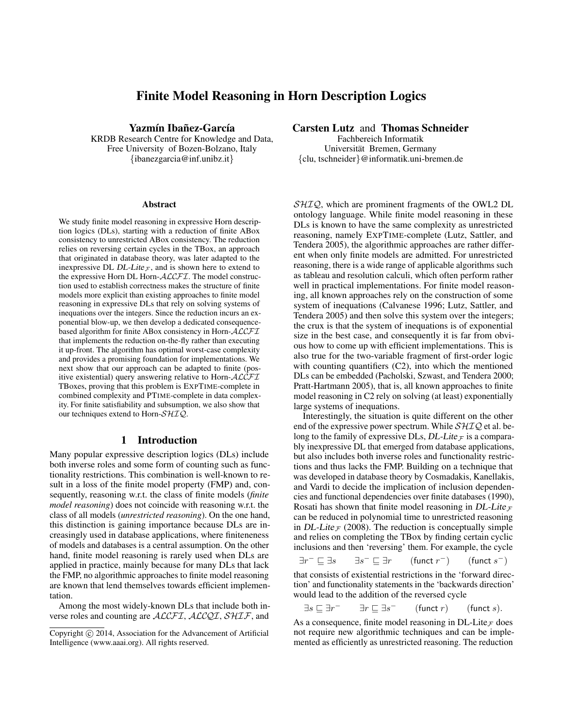# Finite Model Reasoning in Horn Description Logics

Yazmín Ibañez-García

KRDB Research Centre for Knowledge and Data, Free University of Bozen-Bolzano, Italy {ibanezgarcia@inf.unibz.it}

#### Abstract

We study finite model reasoning in expressive Horn description logics (DLs), starting with a reduction of finite ABox consistency to unrestricted ABox consistency. The reduction relies on reversing certain cycles in the TBox, an approach that originated in database theory, was later adapted to the inexpressive DL DL-Lite $\tau$ , and is shown here to extend to the expressive Horn DL Horn-ALCFI. The model construction used to establish correctness makes the structure of finite models more explicit than existing approaches to finite model reasoning in expressive DLs that rely on solving systems of inequations over the integers. Since the reduction incurs an exponential blow-up, we then develop a dedicated consequencebased algorithm for finite ABox consistency in Horn-ALCFI that implements the reduction on-the-fly rather than executing it up-front. The algorithm has optimal worst-case complexity and provides a promising foundation for implementations. We next show that our approach can be adapted to finite (positive existential) query answering relative to Horn-ALCFI TBoxes, proving that this problem is EXPTIME-complete in combined complexity and PTIME-complete in data complexity. For finite satisfiability and subsumption, we also show that our techniques extend to Horn-SHIQ.

# 1 Introduction

Many popular expressive description logics (DLs) include both inverse roles and some form of counting such as functionality restrictions. This combination is well-known to result in a loss of the finite model property (FMP) and, consequently, reasoning w.r.t. the class of finite models (*finite model reasoning*) does not coincide with reasoning w.r.t. the class of all models (*unrestricted reasoning*). On the one hand, this distinction is gaining importance because DLs are increasingly used in database applications, where finiteneness of models and databases is a central assumption. On the other hand, finite model reasoning is rarely used when DLs are applied in practice, mainly because for many DLs that lack the FMP, no algorithmic approaches to finite model reasoning are known that lend themselves towards efficient implementation.

Among the most widely-known DLs that include both inverse roles and counting are ALCFI, ALCQI, SHIF, and

## Carsten Lutz and Thomas Schneider

Fachbereich Informatik Universität Bremen, Germany {clu, tschneider}@informatik.uni-bremen.de

SHIQ, which are prominent fragments of the OWL2 DL ontology language. While finite model reasoning in these DLs is known to have the same complexity as unrestricted reasoning, namely EXPTIME-complete (Lutz, Sattler, and Tendera 2005), the algorithmic approaches are rather different when only finite models are admitted. For unrestricted reasoning, there is a wide range of applicable algorithms such as tableau and resolution calculi, which often perform rather well in practical implementations. For finite model reasoning, all known approaches rely on the construction of some system of inequations (Calvanese 1996; Lutz, Sattler, and Tendera 2005) and then solve this system over the integers; the crux is that the system of inequations is of exponential size in the best case, and consequently it is far from obvious how to come up with efficient implementations. This is also true for the two-variable fragment of first-order logic with counting quantifiers (C2), into which the mentioned DLs can be embedded (Pacholski, Szwast, and Tendera 2000; Pratt-Hartmann 2005), that is, all known approaches to finite model reasoning in C2 rely on solving (at least) exponentially large systems of inequations.

Interestingly, the situation is quite different on the other end of the expressive power spectrum. While  $\mathcal{SHIQ}$  et al. belong to the family of expressive DLs, DL-Lite  $\tau$  is a comparably inexpressive DL that emerged from database applications, but also includes both inverse roles and functionality restrictions and thus lacks the FMP. Building on a technique that was developed in database theory by Cosmadakis, Kanellakis, and Vardi to decide the implication of inclusion dependencies and functional dependencies over finite databases (1990), Rosati has shown that finite model reasoning in DL-Lite  $\tau$ can be reduced in polynomial time to unrestricted reasoning in DL-Lite  $\tau$  (2008). The reduction is conceptually simple and relies on completing the TBox by finding certain cyclic inclusions and then 'reversing' them. For example, the cycle

$$
\exists r^- \sqsubseteq \exists s \qquad \exists s^- \sqsubseteq \exists r \qquad (\text{funct } r^-) \qquad (\text{funct } s^-)
$$

that consists of existential restrictions in the 'forward direction' and functionality statements in the 'backwards direction' would lead to the addition of the reversed cycle

$$
\exists s \sqsubseteq \exists r^- \qquad \exists r \sqsubseteq \exists s^- \qquad \text{(funct } r\text{)} \qquad \text{(funct } s\text{)}.
$$

As a consequence, finite model reasoning in DL-Lite<sub> $F$ </sub> does not require new algorithmic techniques and can be implemented as efficiently as unrestricted reasoning. The reduction

Copyright © 2014, Association for the Advancement of Artificial Intelligence (www.aaai.org). All rights reserved.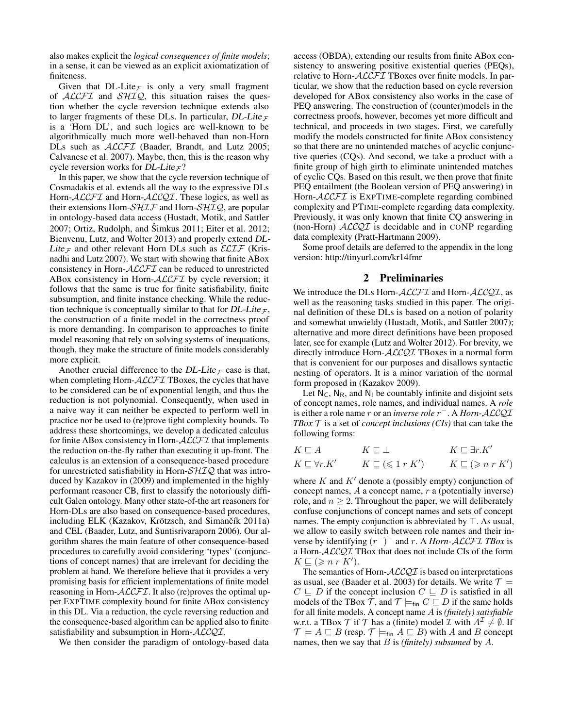also makes explicit the *logical consequences of finite models*; in a sense, it can be viewed as an explicit axiomatization of finiteness.

Given that DL-Lite $_F$  is only a very small fragment of  $ALCFT$  and  $SHIQ$ , this situation raises the question whether the cycle reversion technique extends also to larger fragments of these DLs. In particular, DL-Lite  $_F$ is a 'Horn DL', and such logics are well-known to be algorithmically much more well-behaved than non-Horn DLs such as *ACCFI* (Baader, Brandt, and Lutz 2005; Calvanese et al. 2007). Maybe, then, this is the reason why cycle reversion works for DL-Lite  $\mathcal{F}$ ?

In this paper, we show that the cycle reversion technique of Cosmadakis et al. extends all the way to the expressive DLs Horn-ALCFI and Horn-ALCQI. These logics, as well as their extensions Horn- $\mathcal{SHT}$  and Horn- $\mathcal{SHTQ}$ , are popular in ontology-based data access (Hustadt, Motik, and Sattler  $2007$ ; Ortiz, Rudolph, and Šimkus  $2011$ ; Eiter et al.  $2012$ ; Bienvenu, Lutz, and Wolter 2013) and properly extend DL-Lite  $\tau$  and other relevant Horn DLs such as  $\mathcal{ELIF}$  (Krisnadhi and Lutz 2007). We start with showing that finite ABox consistency in Horn-ALCFI can be reduced to unrestricted ABox consistency in Horn-ALCFI by cycle reversion; it follows that the same is true for finite satisfiability, finite subsumption, and finite instance checking. While the reduction technique is conceptually similar to that for DL-Lite  $\tau$ , the construction of a finite model in the correctness proof is more demanding. In comparison to approaches to finite model reasoning that rely on solving systems of inequations, though, they make the structure of finite models considerably more explicit.

Another crucial difference to the DL-Lite  $\tau$  case is that, when completing Horn- $\mathcal{ALCFT}$  TBoxes, the cycles that have to be considered can be of exponential length, and thus the reduction is not polynomial. Consequently, when used in a naive way it can neither be expected to perform well in practice nor be used to (re)prove tight complexity bounds. To address these shortcomings, we develop a dedicated calculus for finite ABox consistency in Horn- $\mathcal{ALCFT}$  that implements the reduction on-the-fly rather than executing it up-front. The calculus is an extension of a consequence-based procedure for unrestricted satisfiability in Horn- $\mathcal{SHIQ}$  that was introduced by Kazakov in (2009) and implemented in the highly performant reasoner CB, first to classify the notoriously difficult Galen ontology. Many other state-of-the art reasoners for Horn-DLs are also based on consequence-based procedures, including ELK (Kazakov, Krötzsch, and Simančík 2011a) and CEL (Baader, Lutz, and Suntisrivaraporn 2006). Our algorithm shares the main feature of other consequence-based procedures to carefully avoid considering 'types' (conjunctions of concept names) that are irrelevant for deciding the problem at hand. We therefore believe that it provides a very promising basis for efficient implementations of finite model reasoning in Horn- $ALCFT$ . It also (re)proves the optimal upper EXPTIME complexity bound for finite ABox consistency in this DL. Via a reduction, the cycle reversing reduction and the consequence-based algorithm can be applied also to finite satisfiability and subsumption in Horn-ALCQI.

We then consider the paradigm of ontology-based data

access (OBDA), extending our results from finite ABox consistency to answering positive existential queries (PEQs), relative to Horn-ALCFI TBoxes over finite models. In particular, we show that the reduction based on cycle reversion developed for ABox consistency also works in the case of PEQ answering. The construction of (counter)models in the correctness proofs, however, becomes yet more difficult and technical, and proceeds in two stages. First, we carefully modify the models constructed for finite ABox consistency so that there are no unintended matches of acyclic conjunctive queries (CQs). And second, we take a product with a finite group of high girth to eliminate unintended matches of cyclic CQs. Based on this result, we then prove that finite PEQ entailment (the Boolean version of PEQ answering) in Horn-ALCFI is EXPTIME-complete regarding combined complexity and PTIME-complete regarding data complexity. Previously, it was only known that finite CQ answering in (non-Horn)  $ALCQI$  is decidable and in CONP regarding data complexity (Pratt-Hartmann 2009).

Some proof details are deferred to the appendix in the long version: http://tinyurl.com/kr14fmr

# 2 Preliminaries

We introduce the DLs Horn- $ALCFT$  and Horn- $ALCQI$ , as well as the reasoning tasks studied in this paper. The original definition of these DLs is based on a notion of polarity and somewhat unwieldy (Hustadt, Motik, and Sattler 2007); alternative and more direct definitions have been proposed later, see for example (Lutz and Wolter 2012). For brevity, we directly introduce Horn-ALCQI TBoxes in a normal form that is convenient for our purposes and disallows syntactic nesting of operators. It is a minor variation of the normal form proposed in (Kazakov 2009).

Let  $N_C$ ,  $N_R$ , and  $N_I$  be countably infinite and disjoint sets of concept names, role names, and individual names. A *role* is either a role name r or an *inverse role* r <sup>−</sup>. A *Horn-*ALCQI *TBox*  $\mathcal T$  is a set of *concept inclusions (CIs)* that can take the following forms:

$$
K \sqsubseteq A \qquad K \sqsubseteq \bot \qquad K \sqsubseteq \exists r.K'
$$
  

$$
K \sqsubseteq \forall r.K' \qquad K \sqsubseteq (\leq 1 r K') \qquad K \sqsubseteq (\geq n r K')
$$

where  $K$  and  $K'$  denote a (possibly empty) conjunction of concept names,  $A$  a concept name,  $r$  a (potentially inverse) role, and  $n \geq 2$ . Throughout the paper, we will deliberately confuse conjunctions of concept names and sets of concept names. The empty conjunction is abbreviated by  $\top$ . As usual, we allow to easily switch between role names and their inverse by identifying (r −) <sup>−</sup> and r. A *Horn-*ALCFI *TBox* is a Horn-ALCQI TBox that does not include CIs of the form  $K \sqsubseteq (\geqslant n \; r \; \tilde{K}').$ 

The semantics of Horn- $ALCQI$  is based on interpretations as usual, see (Baader et al. 2003) for details. We write  $\mathcal{T} \models$  $C \subseteq D$  if the concept inclusion  $C \subseteq D$  is satisfied in all models of the TBox  $\mathcal{T}$ , and  $\mathcal{T} \models_{fin} C \sqsubseteq D$  if the same holds for all finite models. A concept name A is *(finitely) satisfiable* w.r.t. a TBox  $\mathcal T$  if  $\mathcal T$  has a (finite) model  $\mathcal I$  with  $A^{\mathcal I} \neq \emptyset$ . If  $\mathcal{T} \models A \sqsubseteq B$  (resp.  $\mathcal{T} \models_{\text{fin}} A \sqsubseteq B$ ) with A and B concept names, then we say that B is *(finitely) subsumed* by A.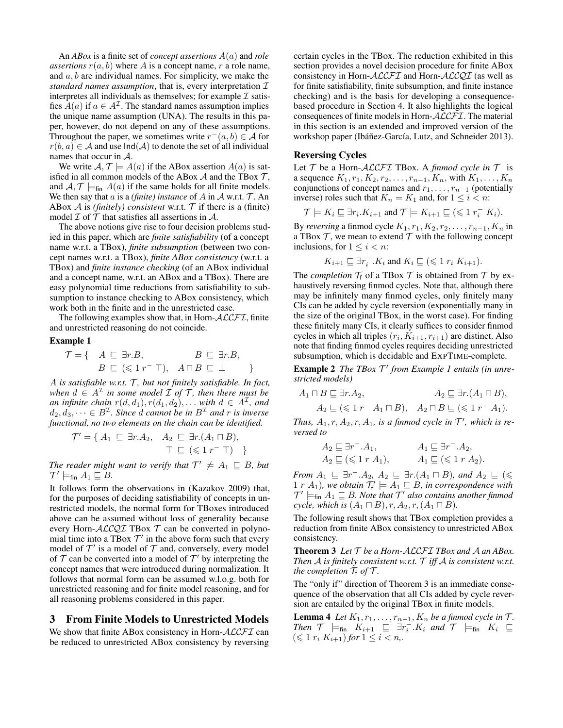An *ABox* is a finite set of *concept assertions* A(a) and *role assertions*  $r(a, b)$  where A is a concept name, r a role name, and  $a, b$  are individual names. For simplicity, we make the *standard names assumption*, that is, every interpretation  $I$ interpretes all individuals as themselves; for example  $\mathcal I$  satisfies  $A(a)$  if  $a \in A^{\mathcal{I}}$ . The standard names assumption implies the unique name assumption (UNA). The results in this paper, however, do not depend on any of these assumptions. Throughout the paper, we sometimes write  $r^-(a, b) \in \mathcal{A}$  for  $r(b, a) \in A$  and use  $\text{Ind}(A)$  to denote the set of all individual names that occur in A.

We write  $A, \mathcal{T} \models A(a)$  if the ABox assertion  $A(a)$  is satisfied in all common models of the ABox  $A$  and the TBox  $T$ , and  $A, \mathcal{T} \models_{fin} A(a)$  if the same holds for all finite models. We then say that a is a *(finite)* instance of A in A w.r.t.  $T$ . An ABox  $A$  is *(finitely) consistent* w.r.t.  $T$  if there is a *(finite)* model  $\mathcal I$  of  $\mathcal T$  that satisfies all assertions in  $\mathcal A$ .

The above notions give rise to four decision problems studied in this paper, which are *finite satisfiability* (of a concept name w.r.t. a TBox), *finite subsumption* (between two concept names w.r.t. a TBox), *finite ABox consistency* (w.r.t. a TBox) and *finite instance checking* (of an ABox individual and a concept name, w.r.t. an ABox and a TBox). There are easy polynomial time reductions from satisfiability to subsumption to instance checking to ABox consistency, which work both in the finite and in the unrestricted case.

The following examples show that, in Horn- $ALCFT$ , finite and unrestricted reasoning do not coincide.

#### Example 1

$$
\mathcal{T} = \{ A \subseteq \exists r.B, \qquad B \subseteq \exists r.B, B \subseteq (\leq 1 r^{-\top}), A \sqcap B \subseteq \bot \}
$$

A is satisfiable w.r.t. T, but not finitely satisfiable. In fact, when  $d \in A^{\mathcal{I}}$  in some model  $\mathcal{I}$  of  $\mathcal{T}$ , then there must be *an infinite chain*  $r(d, d_1), r(d_1, d_2), \ldots$  *with*  $d \in A^{\mathcal{I}}$ *, and*  $d_2, d_3, \dots \in B^{\mathcal{I}}$ . Since  $d$  cannot be in  $B^{\mathcal{I}}$  and  $r$  is inverse *functional, no two elements on the chain can be identified.*

$$
\mathcal{T}' = \{ A_1 \subseteq \exists r.A_2, A_2 \subseteq \exists r.(A_1 \sqcap B), \top \subseteq (\leq 1 r^- \top) \}
$$

*The reader might want to verify that*  $\mathcal{T}' \not\models A_1 \sqsubseteq B$ , but  $\mathcal{T}'\models_{\mathsf{fin}} A_1 \sqsubseteq B$ .

It follows form the observations in (Kazakov 2009) that, for the purposes of deciding satisfiability of concepts in unrestricted models, the normal form for TBoxes introduced above can be assumed without loss of generality because every Horn- $ALCQI$  TBox  $T$  can be converted in polynomial time into a TBox  $\mathcal{T}'$  in the above form such that every model of  $\mathcal{T}'$  is a model of  $\mathcal T$  and, conversely, every model of  $T$  can be converted into a model of  $T'$  by interpreting the concept names that were introduced during normalization. It follows that normal form can be assumed w.l.o.g. both for unrestricted reasoning and for finite model reasoning, and for all reasoning problems considered in this paper.

# 3 From Finite Models to Unrestricted Models

We show that finite ABox consistency in Horn-ALCFI can be reduced to unrestricted ABox consistency by reversing certain cycles in the TBox. The reduction exhibited in this section provides a novel decision procedure for finite ABox consistency in Horn-ALCFI and Horn-ALCQI (as well as for finite satisfiability, finite subsumption, and finite instance checking) and is the basis for developing a consequencebased procedure in Section 4. It also highlights the logical consequences of finite models in Horn-ALCFI. The material in this section is an extended and improved version of the workshop paper (Ibáñez-García, Lutz, and Schneider 2013).

# Reversing Cycles

Let  $T$  be a Horn- $ALCFT$  TBox. A *finmod cycle in*  $T$  is a sequence  $K_1, r_1, K_2, r_2, \ldots, r_{n-1}, K_n$ , with  $K_1, \ldots, K_n$ conjunctions of concept names and  $r_1, \ldots, r_{n-1}$  (potentially inverse) roles such that  $K_n = K_1$  and, for  $1 \leq i < n$ :

$$
\mathcal{T} \models K_i \sqsubseteq \exists r_i.K_{i+1} \text{ and } \mathcal{T} \models K_{i+1} \sqsubseteq (\leqslant 1 \ r_i^- K_i).
$$

By *reversing* a finmod cycle  $K_1, r_1, K_2, r_2, \ldots, r_{n-1}, K_n$  in a TBox  $\mathcal T$ , we mean to extend  $\mathcal T$  with the following concept inclusions, for  $1 \leq i < n$ :

$$
K_{i+1} \sqsubseteq \exists r_i^- . K_i \text{ and } K_i \sqsubseteq (\leqslant 1 r_i K_{i+1}).
$$

The *completion*  $\mathcal{T}_f$  of a TBox  $\mathcal{T}$  is obtained from  $\mathcal{T}$  by exhaustively reversing finmod cycles. Note that, although there may be infinitely many finmod cycles, only finitely many CIs can be added by cycle reversion (exponentially many in the size of the original TBox, in the worst case). For finding these finitely many CIs, it clearly suffices to consider finmod cycles in which all triples  $(r_i, K_{i+1}, r_{i+1})$  are distinct. Also note that finding finmod cycles requires deciding unrestricted subsumption, which is decidable and EXPTIME-complete.

Example 2 The TBox  $T'$  from Example 1 entails (in unre*stricted models)*

$$
A_1 \sqcap B \sqsubseteq \exists r. A_2, \qquad A_2 \sqsubseteq \exists r. (A_1 \sqcap B),
$$
  

$$
A_2 \sqsubseteq (\leq 1 \ r^- A_1 \sqcap B), \quad A_2 \sqcap B \sqsubseteq (\leq 1 \ r^- A_1).
$$

Thus,  $A_1, r, A_2, r, A_1$ , is a finmod cycle in  $\mathcal{T}'$ , which is re*versed to*

$$
A_2 \sqsubseteq \exists r^- . A_1, \qquad A_1 \sqsubseteq \exists r^- . A_2, A_2 \sqsubseteq (\leq 1 r A_1), \qquad A_1 \sqsubseteq (\leq 1 r A_2).
$$

*From*  $A_1 \subseteq \exists r^- . A_2$ ,  $A_2 \subseteq \exists r. (A_1 \sqcap B)$ *, and*  $A_2 \subseteq (\leq$  $1 r A_1$ ), we obtain  $\mathcal{T}'_f \models A_1 \sqsubseteq B$ , in correspondence with  $\mathcal{T}'\models_{\mathsf{fin}} A_1 \sqsubseteq B$ . Note that  $\mathcal{T}'$  also contains another finmod *cycle, which is*  $(A_1 \sqcap B)$ *, r,*  $A_2$ *, r,*  $(A_1 \sqcap B)$ *.* 

The following result shows that TBox completion provides a reduction from finite ABox consistency to unrestricted ABox consistency.

Theorem 3 *Let* T *be a Horn-*ALCFI *TBox and* A *an ABox. Then* A *is finitely consistent w.r.t.* T *iff* A *is consistent w.r.t. the completion*  $\mathcal{T}_f$  *of*  $\mathcal{T}$ *.* 

The "only if" direction of Theorem 3 is an immediate consequence of the observation that all CIs added by cycle reversion are entailed by the original TBox in finite models.

**Lemma 4** *Let*  $K_1, r_1, \ldots, r_{n-1}, K_n$  *be a finmod cycle in*  $\mathcal{T}$ *. Then*  $\mathcal{T}$   $\models_{fin}$   $\overline{K}_{i+1} \subseteq \overline{\exists} r_i^{\perp} . \overline{K}_i$  *and*  $\mathcal{T}$   $\models_{fin}$   $K_i \subseteq$  $(\leq 1 \ r_i \ K_{i+1})$  *for*  $1 \leq i \lt n$ ,.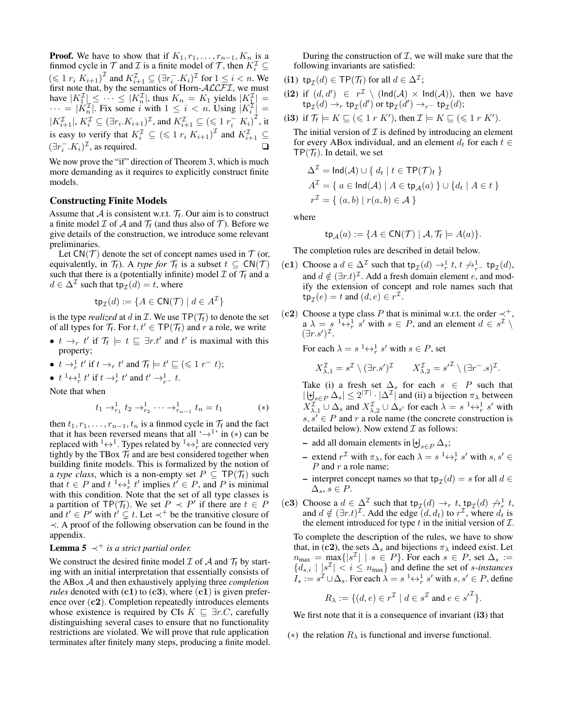**Proof.** We have to show that if  $K_1, r_1, \ldots, r_{n-1}, K_n$  is a finmod cycle in  $\mathcal T$  and  $\mathcal I$  is a finite model of  $\mathcal T$ , then  $K_i^{\mathcal I} \subseteq$  $(\leq 1 \ r_i \ K_{i+1})^{\mathcal{I}}$  and  $K_{i+1}^{\mathcal{I}} \subseteq (\exists r_i^-, K_i)^{\mathcal{I}}$  for  $1 \leq i < n$ . We first note that, by the semantics of Horn- $ALCFT$ , we must have  $|K_1^{\mathcal{I}}| \leq \cdots \leq |K_n^{\mathcal{I}}|$ , thus  $K_n = K_1$  yields  $|K_{\mathcal{I}}^{\mathcal{I}}| =$  $\cdots = |\tilde{K}_n^{\mathcal{I}}|$ . Fix some i with  $1 \leq i < n$ . Using  $|K_i^{\mathcal{I}}|$  =  $|K_{i+1}^{\mathcal{I}}|, K_i^{\mathcal{I}} \subseteq (\exists r_i.K_{i+1})^{\mathcal{I}}, \text{ and } K_{i+1}^{\mathcal{I}} \subseteq (\leq \mathbf{1} r_i^{\top} K_i)^{\mathcal{I}}, \text{ it}$ is easy to verify that  $K_i^{\mathcal{I}} \subseteq (\leq 1 r_i K_{i+1})^{\mathcal{I}}$  and  $K_{i+1}^{\mathcal{I}} \subseteq$  $(\exists r_i^- . K_i)^{\mathcal{I}}$ , as required.  $\square$ 

We now prove the "if" direction of Theorem 3, which is much more demanding as it requires to explicitly construct finite models.

## Constructing Finite Models

Assume that A is consistent w.r.t.  $\mathcal{T}_f$ . Our aim is to construct a finite model  $\mathcal I$  of  $\mathcal A$  and  $\mathcal T_f$  (and thus also of  $\mathcal T$ ). Before we give details of the construction, we introduce some relevant preliminaries.

Let  $CN(\mathcal{T})$  denote the set of concept names used in  $\mathcal{T}$  (or, equivalently, in  $\mathcal{T}_f$ ). A *type for*  $\mathcal{T}_f$  is a subset  $t \subseteq \mathsf{CN}(\mathcal{T})$ such that there is a (potentially infinite) model  $\mathcal I$  of  $\mathcal T_f$  and a  $d \in \Delta^{\mathcal{I}}$  such that  $tp_{\mathcal{I}}(d) = t$ , where

$$
\mathsf{tp}_{\mathcal{I}}(d) := \{ A \in \mathsf{CN}(\mathcal{T}) \mid d \in A^{\mathcal{I}} \}
$$

is the type *realized* at d in  $\mathcal{I}$ . We use  $\mathsf{TP}(\mathcal{T}_f)$  to denote the set of all types for  $\mathcal{T}_f$ . For  $t, t' \in \mathsf{TP}(\mathcal{T}_f)$  and r a role, we write

- $t \to_r t'$  if  $\mathcal{T}_f \models t \sqsubseteq \exists r.t'$  and  $t'$  is maximal with this property;
- $t \to_r^1 t'$  if  $t \to_r t'$  and  $\mathcal{T}_f \models t' \sqsubseteq (\leq 1 r^- t);$
- $t^1 \leftrightarrow_r^1 t'$  if  $t \rightarrow_r^1 t'$  and  $t' \rightarrow_{r^-}^1 t$ .

Note that when

$$
t_1 \to_{r_1}^1 t_2 \to_{r_2}^1 \cdots \to_{r_{n-1}}^1 t_n = t_1 \tag{*}
$$

then  $t_1, r_1, \ldots, r_{n-1}, t_n$  is a finmod cycle in  $\mathcal{T}_f$  and the fact that it has been reversed means that all  $\rightarrow$ <sup>1</sup> in (\*) can be replaced with <sup>1</sup> $\leftrightarrow$ <sup>1</sup>. Types related by <sup>1</sup> $\leftrightarrow$ <sup>1</sup><sub>r</sub> are connected very tightly by the TBox  $\mathcal{T}_f$  and are best considered together when building finite models. This is formalized by the notion of a *type class*, which is a non-empty set  $P \subseteq \mathsf{TP}(\mathcal{T}_f)$  such that  $t \in P$  and  $t^{-1} \leftrightarrow_{r}^{1} t'$  implies  $t' \in P$ , and P is minimal with this condition. Note that the set of all type classes is a partition of TP( $\mathcal{T}_f$ ). We set  $P \prec P'$  if there are  $t \in P$ and  $t' \in P'$  with  $\hat{t}' \subsetneq t$ . Let  $\prec^+$  be the transitive closure of ≺. A proof of the following observation can be found in the appendix.

# **Lemma 5**  $\prec^+$  *is a strict partial order.*

We construct the desired finite model  $\mathcal I$  of  $\mathcal A$  and  $\mathcal T_f$  by starting with an initial interpretation that essentially consists of the ABox A and then exhaustively applying three *completion rules* denoted with  $(c1)$  to  $(c3)$ , where  $(c1)$  is given preference over  $(c2)$ . Completion repeatedly introduces elements whose existence is required by CIs  $K \subseteq \exists r.C$ , carefully distinguishing several cases to ensure that no functionality restrictions are violated. We will prove that rule application terminates after finitely many steps, producing a finite model.

During the construction of  $I$ , we will make sure that the following invariants are satisfied:

- (i1)  $tp_{\mathcal{I}}(d) \in \mathsf{TP}(\mathcal{T}_f)$  for all  $d \in \Delta^{\mathcal{I}}$ ;
- (i2) if  $(d, d') \in r^{\mathcal{I}} \setminus (\text{Ind}(\mathcal{A}) \times \text{Ind}(\mathcal{A}))$ , then we have  $\mathsf{tp}_{\mathcal{I}}(d) \to_r \mathsf{tp}_{\mathcal{I}}(d') \text{ or } \mathsf{tp}_{\mathcal{I}}(d') \to_{r^-} \mathsf{tp}_{\mathcal{I}}(d);$
- (i3) if  $\mathcal{T}_f \models K \sqsubseteq (\leq 1 \ r \ K'),$  then  $\mathcal{I} \models K \sqsubseteq (\leq 1 \ r \ K').$

The initial version of  $\mathcal I$  is defined by introducing an element for every ABox individual, and an element  $d_t$  for each  $t \in$  $TP(\mathcal{T}_f)$ . In detail, we set

$$
\Delta^{\mathcal{I}} = \text{Ind}(\mathcal{A}) \cup \{ d_t \mid t \in \text{TP}(\mathcal{T})_f \}
$$
  

$$
A^{\mathcal{I}} = \{ a \in \text{Ind}(\mathcal{A}) \mid A \in \text{tp}_{\mathcal{A}}(a) \} \cup \{ d_t \mid A \in t \}
$$
  

$$
r^{\mathcal{I}} = \{ (a, b) \mid r(a, b) \in \mathcal{A} \}
$$

where

$$
\mathsf{tp}_{\mathcal{A}}(a) := \{ A \in \mathsf{CN}(\mathcal{T}) \mid \mathcal{A}, \mathcal{T}_{\mathsf{f}} \models A(a) \}.
$$

The completion rules are described in detail below.

- (c1) Choose a  $d \in \Delta^{\mathcal{I}}$  such that  $\tt tp_{\mathcal{I}}(d) \rightarrow_r^1 t, t \not\rightarrow_{r^-}^1 t p_{\mathcal{I}}(d)$ , and  $d \notin (\exists r.t)^{\mathcal{I}}$ . Add a fresh domain element e, and modify the extension of concept and role names such that  $\tt tp_{\mathcal{I}}(e) = t \text{ and } (d, e) \in r^{\mathcal{I}}.$
- (c2) Choose a type class P that is minimal w.r.t. the order  $\prec^+$ ,  $a \lambda = s^{-1} \leftrightarrow_r^1 s'$  with  $s \in P$ , and an element  $d \in s^T \setminus$  $(\exists r.s')^{\mathcal{I}}.$

For each  $\lambda = s^{-1} \leftrightarrow_r^1 s'$  with  $s \in P$ , set

$$
X_{\lambda,1}^{\mathcal{I}} = s^{\mathcal{I}} \setminus (\exists r.s')^{\mathcal{I}} \qquad X_{\lambda,2}^{\mathcal{I}} = s'^{\mathcal{I}} \setminus (\exists r^{-}.s)^{\mathcal{I}}.
$$

Take (i) a fresh set  $\Delta_s$  for each  $s \in P$  such that  $|\biguplus_{s \in P} \Delta_s| \leq 2^{|\mathcal{T}|} \cdot |\Delta^{\mathcal{I}}|$  and (ii) a bijection  $\pi_\lambda$  between  $X^{\mathcal{I}}_{\lambda,1} \cup \Delta_s$  and  $X^{\mathcal{I}}_{\lambda,2} \cup \Delta_{s'}$  for each  $\lambda = s^{-1} \leftrightarrow_r^1 s'$  with  $s, s' \in P$  and r a role name (the concrete construction is detailed below). Now extend  $\mathcal I$  as follows:

- add all domain elements in  $\biguplus_{s \in P} \Delta_s$ ;
- extend  $r^{\mathcal{I}}$  with  $\pi_{\lambda}$ , for each  $\lambda = s^{-1} \leftrightarrow_r^1 s'$  with  $s, s' \in$  $P$  and  $r$  a role name;
- interpret concept names so that  $tp_{\mathcal{I}}(d) = s$  for all  $d \in$  $\Delta_s, s \in P$ .
- (c3) Choose a  $d \in \Delta^{\mathcal{I}}$  such that  $tp_{\mathcal{I}}(d) \rightarrow_r t$ ,  $tp_{\mathcal{I}}(d) \not\rightarrow_r t$ , and  $d \notin (\exists r.t)^{\mathcal{I}}$ . Add the edge  $(d, d_t)$  to  $r^{\mathcal{I}}$ , where  $d_t$  is the element introduced for type  $t$  in the initial version of  $\mathcal{I}$ .

To complete the description of the rules, we have to show that, in (c2), the sets  $\Delta_s$  and bijections  $\pi_{\lambda}$  indeed exist. Let  $n_{\text{max}} = \max_{\mathbf{s}} \{ |s^{\mathcal{I}}| \mid s \in P \}$ . For each  $s \in P$ , set  $\Delta_s :=$  ${d_{s,i} |s^{\mathcal{I}}| < i \leq n_{\text{max}}}$  and define the set of *s-instances*  $I_s := s^{\mathcal{I}} \cup \Delta_s$ . For each  $\lambda = s^{-1} \leftrightarrow_r^1 s'$  with  $s, s' \in P$ , define

$$
R_{\lambda} := \{ (d, e) \in r^{\mathcal{I}} \mid d \in s^{\mathcal{I}} \text{ and } e \in {s'}^{\mathcal{I}} \}.
$$

We first note that it is a consequence of invariant (i3) that

(\*) the relation  $R_{\lambda}$  is functional and inverse functional.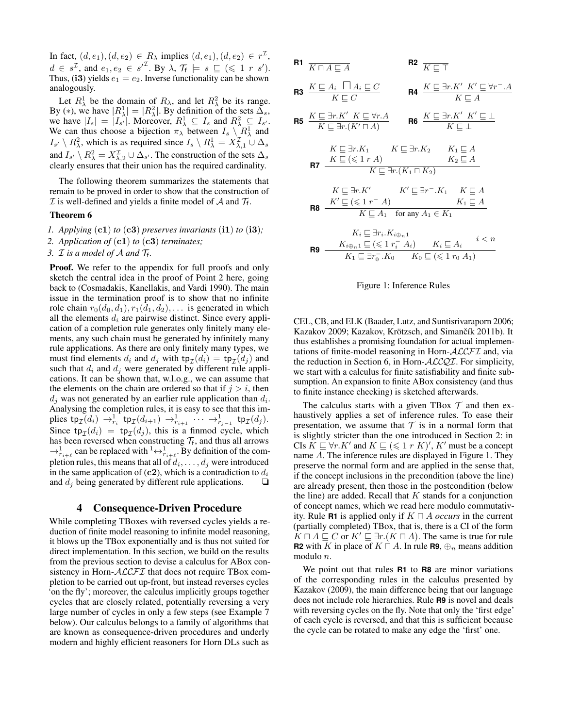In fact,  $(d, e_1), (d, e_2) \in R_\lambda$  implies  $(d, e_1), (d, e_2) \in r^\mathcal{I}$ ,  $d \in s^{\mathcal{I}}$ , and  $e_1, e_2 \in s'^{\mathcal{I}}$ . By  $\lambda$ ,  $\mathcal{T}_f \models s \sqsubseteq (\leq 1 \; r \; s')$ . Thus, (i3) yields  $e_1 = e_2$ . Inverse functionality can be shown analogously.

Let  $R^1_\lambda$  be the domain of  $R_\lambda$ , and let  $R^2_\lambda$  be its range. By (\*), we have  $|R_{\lambda}^{1}| = |R_{\lambda}^{2}|$ . By definition of the sets  $\overline{\Delta}_{s}$ , we have  $|I_s| = |I_{s'}|$ . Moreover,  $R_{\lambda}^1 \subseteq I_s$  and  $R_{\lambda}^2 \subseteq I_{s'}$ . We can thus choose a bijection  $\pi_{\lambda}$  between  $I_s \setminus R^1_{\lambda}$  and  $I_{s'} \setminus R_\lambda^2$ , which is as required since  $I_s \setminus R_\lambda^1 = X_{\lambda,1}^{\mathcal{I}} \cup \Delta_s$ and  $I_{s'} \setminus R_\lambda^2 = X_{\lambda,2}^{\mathcal{I}} \cup \Delta_{s'}$ . The construction of the sets  $\Delta_s$ clearly ensures that their union has the required cardinality.

The following theorem summarizes the statements that remain to be proved in order to show that the construction of  $\mathcal I$  is well-defined and yields a finite model of  $\mathcal A$  and  $\mathcal T_f$ .

#### Theorem 6

- *1. Applying*  $(c1)$  *to*  $(c3)$  *preserves invariants*  $(ii)$  *to*  $(ii)$ ;
- *2. Application of* (c1) *to* (c3) *terminates;*

3.  $\mathcal I$  *is a model of*  $\mathcal A$  *and*  $\mathcal T_f$ *.* 

Proof. We refer to the appendix for full proofs and only sketch the central idea in the proof of Point 2 here, going back to (Cosmadakis, Kanellakis, and Vardi 1990). The main issue in the termination proof is to show that no infinite role chain  $r_0(d_0, d_1)$ ,  $r_1(d_1, d_2)$ , ... is generated in which all the elements  $d_i$  are pairwise distinct. Since every application of a completion rule generates only finitely many elements, any such chain must be generated by infinitely many rule applications. As there are only finitely many types, we must find elements  $d_i$  and  $d_j$  with  $\text{tp}_{\mathcal{I}}(d_i) = \text{tp}_{\mathcal{I}}(d_j)$  and such that  $d_i$  and  $d_j$  were generated by different rule applications. It can be shown that, w.l.o.g., we can assume that the elements on the chain are ordered so that if  $j > i$ , then  $d_j$  was not generated by an earlier rule application than  $d_i$ . Analysing the completion rules, it is easy to see that this implies  ${\sf tp}_{\mathcal I}(d_i) \to_{r_i}^1 {\sf tp}_{\mathcal I}(d_{i+1}) \to_{r_{i+1}}^1 \cdots \to_{r_{j-1}}^1 {\sf tp}_{\mathcal I}(d_j)$ . Since  $tp_{\mathcal{I}}(d_i) = tp_{\mathcal{I}}(d_j)$ , this is a finmod cycle, which has been reversed when constructing  $\mathcal{T}_f$ , and thus all arrows  $\rightarrow_{r_{i+\ell}}^1$  can be replaced with  $\lambda_{r_{i+\ell}}^1$ . By definition of the completion rules, this means that all of  $d_i, \ldots, d_j$  were introduced in the same application of (c2), which is a contradiction to  $d_i$ and  $d_i$  being generated by different rule applications.  $\Box$ 

## 4 Consequence-Driven Procedure

While completing TBoxes with reversed cycles yields a reduction of finite model reasoning to infinite model reasoning, it blows up the TBox exponentially and is thus not suited for direct implementation. In this section, we build on the results from the previous section to devise a calculus for ABox consistency in Horn- $ALCFT$  that does not require TBox completion to be carried out up-front, but instead reverses cycles 'on the fly'; moreover, the calculus implicitly groups together cycles that are closely related, potentially reversing a very large number of cycles in only a few steps (see Example 7 below). Our calculus belongs to a family of algorithms that are known as consequence-driven procedures and underly modern and highly efficient reasoners for Horn DLs such as

R1 
$$
\overline{K \cap A \sqsubseteq A}
$$
 R2  $\overline{K \sqsubseteq T}$ 

$$
\text{R3} \quad \frac{K \sqsubseteq A_i \quad \Box A_i \sqsubseteq C}{K \sqsubseteq C} \qquad \qquad \text{R4} \quad \frac{K \sqsubseteq \exists r.K' \quad K' \sqsubseteq \forall r^-.A}{K \sqsubseteq A}
$$

$$
\text{RS} \quad \frac{K \sqsubseteq \exists r. K' \quad K \sqsubseteq \forall r. A}{K \sqsubseteq \exists r. (K' \sqcap A)} \qquad \text{RS} \quad \frac{K \sqsubseteq \exists r. K' \quad K' \sqsubseteq \bot}{K \sqsubseteq \bot}
$$

$$
K \sqsubseteq \exists r.K_1 \qquad K \sqsubseteq \exists r.K_2 \qquad K_1 \sqsubseteq A
$$
  
RT 
$$
\frac{K \sqsubseteq (\leq 1 r A)}{K \sqsubseteq \exists r.(K_1 \sqcap K_2)}
$$

$$
\begin{array}{cc} & K \sqsubseteq \exists r.K' & K' \sqsubseteq \exists r^{-}.K_1 & K \sqsubseteq A \\ \textbf{R8} & \xrightarrow{K' \sqsubseteq (\leqslant 1 \ r^{-} \ A)} & K_1 \sqsubseteq A \\ & K \sqsubseteq A_1 & \text{for any } A_1 \in K_1 \end{array}
$$

$$
K_i \sqsubseteq \exists r_i.K_{i\oplus n1} \n\mathbf{R9} \quad K_{i\oplus n1} \sqsubseteq (\leq 1 \ r_i^- A_i) \quad K_i \sqsubseteq A_i \quad i < n
$$
\n
$$
K_1 \sqsubseteq \exists r_0^- . K_0 \quad K_0 \sqsubseteq (\leq 1 \ r_0 \ A_1)
$$

#### Figure 1: Inference Rules

CEL, CB, and ELK (Baader, Lutz, and Suntisrivaraporn 2006; Kazakov 2009; Kazakov, Krötzsch, and Simančík 2011b). It thus establishes a promising foundation for actual implementations of finite-model reasoning in Horn-ALCFI and, via the reduction in Section 6, in Horn- $ALCQI$ . For simplicity, we start with a calculus for finite satisfiability and finite subsumption. An expansion to finite ABox consistency (and thus to finite instance checking) is sketched afterwards.

The calculus starts with a given TBox  $\mathcal T$  and then exhaustively applies a set of inference rules. To ease their presentation, we assume that  $T$  is in a normal form that is slightly stricter than the one introduced in Section 2: in CIs  $\breve{K} \sqsubseteq \forall r.K'$  and  $K \sqsubseteq (\leq 1 \ r \ K)'$ ,  $K'$  must be a concept name A. The inference rules are displayed in Figure 1. They preserve the normal form and are applied in the sense that, if the concept inclusions in the precondition (above the line) are already present, then those in the postcondition (below the line) are added. Recall that  $K$  stands for a conjunction of concept names, which we read here modulo commutativity. Rule **R1** is applied only if  $K \sqcap A$  *occurs* in the current (partially completed) TBox, that is, there is a CI of the form  $K \sqcap A \sqsubseteq C$  or  $K' \sqsubseteq \exists r.(K \sqcap A)$ . The same is true for rule **R2** with K in place of  $K \sqcap A$ . In rule **R9**,  $\bigoplus_{n}$  means addition modulo n.

We point out that rules **R1** to **R8** are minor variations of the corresponding rules in the calculus presented by Kazakov (2009), the main difference being that our language does not include role hierarchies. Rule **R9** is novel and deals with reversing cycles on the fly. Note that only the 'first edge' of each cycle is reversed, and that this is sufficient because the cycle can be rotated to make any edge the 'first' one.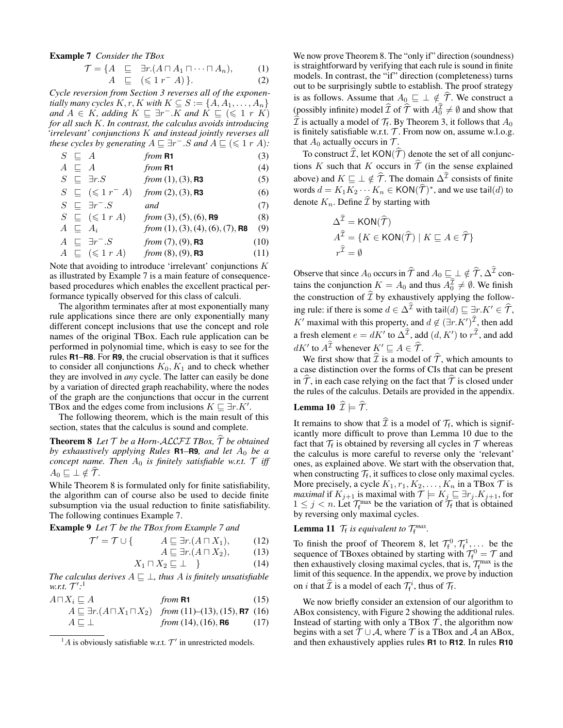Example 7 *Consider the TBox*

$$
\mathcal{T} = \{ A \subseteq \exists r. (A \sqcap A_1 \sqcap \cdots \sqcap A_n), \qquad (1)
$$

$$
A \subseteq (\leqslant 1 \, r^{-} \, A) \}. \tag{2}
$$

*Cycle reversion from Section 3 reverses all of the exponentially many cycles*  $K, r, K$  *with*  $K \subseteq S := \{A, A_1, \ldots, A_n\}$  $\alpha$ *nd*  $A \in K$ , adding  $K \sqsubseteq \exists r^- . \overline{K}$  and  $\overline{K} \sqsubseteq (\leq 1 \, r \, \overline{K})$ *for all such* K*. In contrast, the calculus avoids introducing 'irrelevant' conjunctions* K *and instead jointly reverses all these cycles by generating*  $A \sqsubseteq \exists r^- . S$  *and*  $A \sqsubseteq (\leq 1 r A)$ *:* 

| $S \subseteq A$                 | from R1                          | (3) |
|---------------------------------|----------------------------------|-----|
| $A \subseteq A$                 | from R1                          | (4) |
| $S \subseteq \exists r.S$       | from (1), (3), R3                | (5) |
| $S \subseteq (\leq 1 r^{-} A)$  | from (2), (3), R3                | (6) |
| $S \subseteq \exists r^{-} . S$ | and                              | (7) |
| $S \subseteq (\leq 1 r A)$      | from (3), (5), (6), R9           | (8) |
| $A \subseteq A_i$               | from (1), (3), (4), (6), (7), R8 | (9) |

$$
A \subseteq \exists r^- . S \qquad from (7), (9), \textbf{R3} \qquad (10)
$$
  

$$
A \subseteq (\leq 1 r A) \qquad from (8), (9), \textbf{R3} \qquad (11)
$$

Note that avoiding to introduce 'irrelevant' conjunctions  $K$ as illustrated by Example 7 is a main feature of consequencebased procedures which enables the excellent practical performance typically observed for this class of calculi.

The algorithm terminates after at most exponentially many rule applications since there are only exponentially many different concept inclusions that use the concept and role names of the original TBox. Each rule application can be performed in polynomial time, which is easy to see for the rules **R1**–**R8**. For **R9**, the crucial observation is that it suffices to consider all conjunctions  $K_0, K_1$  and to check whether they are involved in *any* cycle. The latter can easily be done by a variation of directed graph reachability, where the nodes of the graph are the conjunctions that occur in the current TBox and the edges come from inclusions  $K \sqsubseteq \exists r.K'.$ 

The following theorem, which is the main result of this section, states that the calculus is sound and complete.

**Theorem 8** Let  $\mathcal T$  be a Horn-ALCFI *TBox*,  $\hat{\mathcal T}$  be obtained *by exhaustively applying Rules* **R1–R9***, and let*  $A_0$  *be a concept name. Then*  $A_0$  *is finitely satisfiable w.r.t.*  $\mathcal{T}$  *iff*  $A_0 \sqsubseteq \bot \notin \mathcal{T}$ .

While Theorem 8 is formulated only for finite satisfiability, the algorithm can of course also be used to decide finite subsumption via the usual reduction to finite satisfiability. The following continues Example 7.

Example 9 *Let* T *be the TBox from Example 7 and*

 $\mathcal{T}' =$ 

$$
A \sqsubseteq \exists r.(A \sqcap X_1), \qquad (12)
$$
  
 
$$
A \sqsubseteq \exists r.(A \sqcap X_2), \qquad (13)
$$

$$
X_1 \sqcap X_2 \sqsubseteq \bot \quad \bigg\} \tag{14}
$$

*The calculus derives*  $A \sqsubseteq \bot$ *, thus A is finitely unsatisfiable* w.r.t.  $\mathcal{T}^{\prime}.^1$ 

$$
A \sqcap X_i \sqsubseteq A
$$
 from **R1** (15)  

$$
A \sqsubseteq \exists r. (A \sqcap X_1 \sqcap X_2)
$$
 from (11)–(13), (15), **R7** (16)  

$$
A \sqsubseteq \bot
$$
 from (14), (16), **R6** (17)

We now prove Theorem 8. The "only if" direction (soundness) is straightforward by verifying that each rule is sound in finite models. In contrast, the "if" direction (completeness) turns out to be surprisingly subtle to establish. The proof strategy is as follows. Assume that  $A_0 \sqsubseteq \perp \notin \mathcal{T}$ . We construct a (possibly infinite) model  $\widehat{\mathcal{I}}$  of  $\widehat{\mathcal{T}}$  with  $A_0^{\mathcal{I}} \neq \emptyset$  and show that  $\mathcal I$  is actually a model of  $\mathcal T_f$ . By Theorem 3, it follows that  $A_0$ is finitely satisfiable w.r.t.  $T$ . From now on, assume w.l.o.g. that  $A_0$  actually occurs in  $\mathcal{T}$ .

To construct  $\widehat{\mathcal{I}}$ , let KON( $\widehat{\mathcal{T}}$ ) denote the set of all conjunctions K such that K occurs in  $\hat{\mathcal{T}}$  (in the sense explained above) and  $K \sqsubseteq \perp \notin \widehat{T}$ . The domain  $\Delta^{\mathcal{I}}$  consists of finite words  $d = K_1 K_2 \cdots K_n \in \text{KON}(\widehat{\mathcal{T}})^*$ , and we use tail $(d)$  to denote  $K_n$ . Define  $\widehat{\mathcal{I}}$  by starting with

$$
\Delta^{\mathcal{I}} = \text{KON}(\widehat{\mathcal{T}})
$$
  

$$
A^{\widehat{\mathcal{I}}} = \{ K \in \text{KON}(\widehat{\mathcal{T}}) \mid K \sqsubseteq A \in \widehat{\mathcal{T}} \}
$$
  

$$
r^{\widehat{\mathcal{I}}} = \emptyset
$$

Observe that since  $A_0$  occurs in  $\hat{T}$  and  $A_0 \sqsubseteq \perp \notin \hat{T}, \Delta^{\hat{T}}$  contains the conjunction  $K = A_0$  and thus  $A_0^{\mathcal{I}} \neq \emptyset$ . We finish the construction of  $\widehat{\mathcal{I}}$  by exhaustively applying the following rule: if there is some  $d \in \Delta^{\widehat{\mathcal{I}}}$  with tail $(d) \sqsubseteq \exists r.K' \in \widehat{\mathcal{T}}$ , K' maximal with this property, and  $d \notin (\exists r.K')^{\mathcal{I}}$ , then add a fresh element  $e = dK'$  to  $\Delta^{\mathcal{I}}$ , add  $(d, K')$  to  $r^{\mathcal{I}}$ , and add  $dK'$  to  $A^{\mathcal{I}}$  whenever  $K' \sqsubseteq A \in \widehat{\mathcal{T}}$ .

We first show that  $\hat{\mathcal{I}}$  is a model of  $\hat{\mathcal{T}}$ , which amounts to a case distinction over the forms of CIs that can be present in  $\hat{\tau}$ , in each case relying on the fact that  $\hat{\tau}$  is closed under the rules of the calculus. Details are provided in the appendix.

# **Lemma 10**  $\hat{\mathcal{I}} \models \hat{\mathcal{T}}$ .

It remains to show that  $\mathcal I$  is a model of  $\mathcal T_f$ , which is signifiicantly more difficult to prove than Lemma 10 due to the fact that  $\mathcal{T}_f$  is obtained by reversing all cycles in  $\mathcal T$  whereas the calculus is more careful to reverse only the 'relevant' ones, as explained above. We start with the observation that, when constructing  $\mathcal{T}_f$ , it suffices to close only maximal cycles. More precisely, a cycle  $K_1, r_1, K_2, \ldots, K_n$  in a TBox  $\mathcal T$  is *maximal* if  $K_{j+1}$  is maximal with  $\mathcal{T} \models K_j \sqsubseteq \exists r_j.K_{j+1},$  for  $1 \leq j \leq n$ . Let  $\mathcal{T}_{f}^{\max}$  be the variation of  $\mathcal{T}_{f}$  that is obtained by reversing only maximal cycles.

# **Lemma 11**  $\mathcal{T}_f$  is equivalent to  $\mathcal{T}_f^{max}$ .

To finish the proof of Theorem 8, let  $\mathcal{T}_f^0$ ,  $\mathcal{T}_f^1$ , ... be the sequence of TBoxes obtained by starting with  $\mathcal{T}_{f}^{0} = \mathcal{T}$  and then exhaustively closing maximal cycles, that is,  $\mathcal{T}_{f}^{\max}$  is the limit of this sequence. In the appendix, we prove by induction on *i* that  $\widehat{\mathcal{I}}$  is a model of each  $\mathcal{T}_{f}^{i}$ , thus of  $\mathcal{T}_{f}$ .

We now briefly consider an extension of our algorithm to ABox consistency, with Figure 2 showing the additional rules. Instead of starting with only a TBox  $T$ , the algorithm now begins with a set  $T \cup A$ , where T is a TBox and A an ABox, and then exhaustively applies rules **R1** to **R12**. In rules **R10**

 ${}^{1}A$  is obviously satisfiable w.r.t.  $\mathcal{T}'$  in unrestricted models.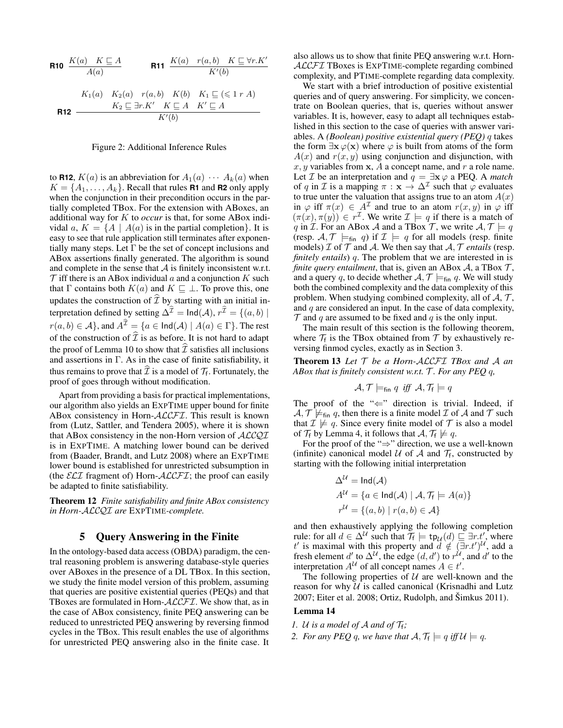R10 
$$
\frac{K(a) \quad K \subseteq A}{A(a)}
$$
 R11 
$$
\frac{K(a) \quad r(a,b) \quad K \subseteq \forall r.K'}{K'(b)}
$$
  
\nK<sub>1</sub>(a) 
$$
K_2(a) \quad r(a,b) \quad K(b) \quad K_1 \subseteq (\leq 1 r A)
$$
  
\nR12 
$$
\frac{K_2 \subseteq \exists r.K' \quad K \subseteq A \quad K' \subseteq A}{K'(b)}
$$

#### Figure 2: Additional Inference Rules

to **R12**,  $K(a)$  is an abbreviation for  $A_1(a) \cdots A_k(a)$  when  $K = \{A_1, \ldots, A_k\}$ . Recall that rules **R1** and **R2** only apply when the conjunction in their precondition occurs in the partially completed TBox. For the extension with ABoxes, an additional way for K to *occur* is that, for some ABox individal a,  $K = \{A \mid A(a)$  is in the partial completion. It is easy to see that rule application still terminates after exponentially many steps. Let  $\Gamma$  be the set of concept inclusions and ABox assertions finally generated. The algorithm is sound and complete in the sense that  $A$  is finitely inconsistent w.r.t.  $\mathcal T$  iff there is an ABox individual a and a conjunction K such that  $\Gamma$  contains both  $K(a)$  and  $K \sqsubseteq \bot$ . To prove this, one updates the construction of  $\widehat{\mathcal{I}}$  by starting with an initial interpretation defined by setting  $\Delta^{\mathcal{I}} = \text{Ind}(\mathcal{A}), r^{\mathcal{I}} = \{(a, b) \mid$  $r(a, b) \in \mathcal{A}$ , and  $A^{\hat{\mathcal{I}}} = \{a \in \text{Ind}(\mathcal{A}) \mid A(a) \in \Gamma\}$ . The rest of the construction of  $\widehat{\mathcal{I}}$  is as before. It is not hard to adapt the proof of Lemma 10 to show that  $\hat{\mathcal{I}}$  satisfies all inclusions and assertions in Γ. As in the case of finite satisfiability, it thus remains to prove that  $\mathcal I$  is a model of  $\mathcal T_f$ . Fortunately, the proof of goes through without modification.

Apart from providing a basis for practical implementations, our algorithm also yields an EXPTIME upper bound for finite ABox consistency in Horn-ALCFI. This result is known from (Lutz, Sattler, and Tendera 2005), where it is shown that ABox consistency in the non-Horn version of  $ALCQI$ is in EXPTIME. A matching lower bound can be derived from (Baader, Brandt, and Lutz 2008) where an EXPTIME lower bound is established for unrestricted subsumption in (the  $\mathcal{ELI}$  fragment of) Horn- $\mathcal{ALCFT}$ ; the proof can easily be adapted to finite satisfiability.

Theorem 12 *Finite satisfiability and finite ABox consistency in Horn-*ALCQI *are* EXPTIME*-complete.*

## 5 Query Answering in the Finite

In the ontology-based data access (OBDA) paradigm, the central reasoning problem is answering database-style queries over ABoxes in the presence of a DL TBox. In this section, we study the finite model version of this problem, assuming that queries are positive existential queries (PEQs) and that TBoxes are formulated in Horn-ALCFI. We show that, as in the case of ABox consistency, finite PEQ answering can be reduced to unrestricted PEQ answering by reversing finmod cycles in the TBox. This result enables the use of algorithms for unrestricted PEQ answering also in the finite case. It

also allows us to show that finite PEQ answering w.r.t. Horn-ALCFI TBoxes is EXPTIME-complete regarding combined complexity, and PTIME-complete regarding data complexity.

We start with a brief introduction of positive existential queries and of query answering. For simplicity, we concentrate on Boolean queries, that is, queries without answer variables. It is, however, easy to adapt all techniques established in this section to the case of queries with answer variables. A *(Boolean) positive existential query (PEQ)* q takes the form  $\exists x \varphi(x)$  where  $\varphi$  is built from atoms of the form  $A(x)$  and  $r(x, y)$  using conjunction and disjunction, with  $x, y$  variables from  $x, A$  a concept name, and r a role name. Let *I* be an interpretation and  $q = \exists x \, \varphi$  a PEQ. A *match* of q in *I* is a mapping  $\pi : \mathbf{x} \to \Delta^{\mathcal{I}}$  such that  $\varphi$  evaluates to true unter the valuation that assigns true to an atom  $A(x)$ in  $\varphi$  iff  $\pi(x) \in A^{\mathcal{I}}$  and true to an atom  $r(x, y)$  in  $\varphi$  iff  $(\pi(x), \pi(y)) \in r^{\mathcal{I}}$ . We write  $\mathcal{I} \models q$  if there is a match of q in *I*. For an ABox *A* and a TBox *T*, we write  $A, T \models q$ (resp.  $A, \mathcal{T} \models_{fin} q$ ) if  $\mathcal{I} \models q$  for all models (resp. finite models)  $\mathcal I$  of  $\mathcal T$  and  $\mathcal A$ . We then say that  $\mathcal A$ ,  $\mathcal T$  *entails* (resp. *finitely entails*) q. The problem that we are interested in is *finite query entailment*, that is, given an ABox  $A$ , a TBox  $T$ , and a query q, to decide whether  $A, \mathcal{T} \models_{fin} q$ . We will study both the combined complexity and the data complexity of this problem. When studying combined complexity, all of  $A, \mathcal{T}$ , and  $q$  are considered an input. In the case of data complexity,  $\mathcal T$  and q are assumed to be fixed and q is the only input.

The main result of this section is the following theorem, where  $\mathcal{T}_f$  is the TBox obtained from  $\mathcal T$  by exhaustively reversing finmod cycles, exactly as in Section 3.

Theorem 13 *Let* T *be a Horn-*ALCFI *TBox and* A *an ABox that is finitely consistent w.r.t.* T *. For any PEQ* q*,*

$$
\mathcal{A}, \mathcal{T} \models_{\mathsf{fin}} q \ \textit{iff} \ \mathcal{A}, \mathcal{T}_{\mathsf{f}} \models q
$$

The proof of the " $\Leftarrow$ " direction is trivial. Indeed, if  $A, \mathcal{T} \not\models_{fin} q$ , then there is a finite model  $\mathcal I$  of  $A$  and  $\mathcal T$  such that  $\mathcal{I} \not\models q$ . Since every finite model of  $\mathcal{T}$  is also a model of  $\mathcal{T}_f$  by Lemma 4, it follows that  $\mathcal{A}, \mathcal{T}_f \not\models q$ .

For the proof of the "⇒" direction, we use a well-known (infinite) canonical model  $U$  of  $A$  and  $\mathcal{T}_f$ , constructed by starting with the following initial interpretation

$$
\Delta^{\mathcal{U}} = \text{Ind}(\mathcal{A})
$$
  
\n
$$
A^{\mathcal{U}} = \{a \in \text{Ind}(\mathcal{A}) \mid \mathcal{A}, \mathcal{T}_f \models A(a)\}
$$
  
\n
$$
r^{\mathcal{U}} = \{(a, b) \mid r(a, b) \in \mathcal{A}\}
$$

and then exhaustively applying the following completion rule: for all  $d \in \Delta^{\mathcal{U}}$  such that  $\mathcal{T}_f \models \text{tp}_{\mathcal{U}}(d) \sqsubseteq \exists r.t',$  where t' is maximal with this property and  $\ddot{d} \notin (\exists r.t')^{\mathcal{U}}$ , add a fresh element d' to  $\Delta^{U}$ , the edge  $(d, d')$  to  $r^{\mathcal{U}}$ , and d' to the interpretation  $A^U$  of all concept names  $A \in t'$ .

The following properties of  $U$  are well-known and the reason for why  $U$  is called canonical (Krisnadhi and Lutz  $2007$ ; Eiter et al.  $2008$ ; Ortiz, Rudolph, and Šimkus  $2011$ ).

#### Lemma 14

- *1. U is a model of A and of*  $\mathcal{T}_f$ *;*
- 2. For any PEQ q, we have that  $\mathcal{A}, \mathcal{T}_f \models q$  iff  $\mathcal{U} \models q$ .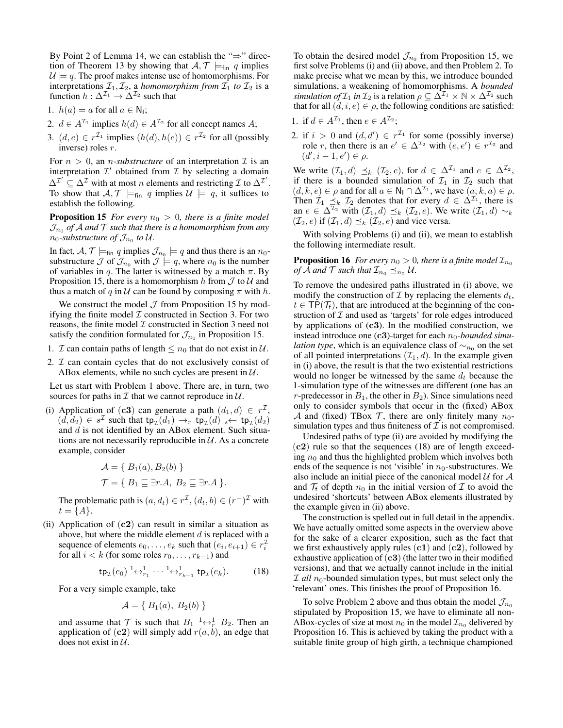By Point 2 of Lemma 14, we can establish the "⇒" direction of Theorem 13 by showing that  $A, \mathcal{T} \models_{fin} q$  implies  $U \models q$ . The proof makes intense use of homomorphisms. For interpretations  $\mathcal{I}_1, \mathcal{I}_2$ , a *homomorphism from*  $\mathcal{I}_1$  *to*  $\mathcal{I}_2$  is a function  $h: \Delta^{\mathcal{I}_1} \rightarrow \Delta^{\mathcal{I}_2}$  such that

- 1.  $h(a) = a$  for all  $a \in \mathbb{N}_1$ ;
- 2.  $d \in A^{\mathcal{I}_1}$  implies  $h(d) \in A^{\mathcal{I}_2}$  for all concept names A;
- 3.  $(d, e) \in r^{\mathcal{I}_1}$  implies  $(h(d), h(e)) \in r^{\mathcal{I}_2}$  for all (possibly inverse) roles r.

For  $n > 0$ , an *n-substructure* of an interpretation  $\mathcal{I}$  is an interpretation  $\mathcal{I}'$  obtained from  $\mathcal I$  by selecting a domain  $\Delta^{\mathcal{I}'} \subseteq \Delta^{\mathcal{I}}$  with at most *n* elements and restricting  $\mathcal{I}$  to  $\Delta^{\mathcal{I}'}$ . To show that  $A, \mathcal{T} \models_{fin} q$  implies  $\mathcal{U} \models q$ , it suffices to establish the following.

**Proposition 15** *For every*  $n_0 > 0$ *, there is a finite model*  $\mathcal{J}_{n_0}$  of  $\mathcal A$  and  $\mathcal T$  such that there is a homomorphism from any  $n_0$ -substructure of  $\mathcal{J}_{n_0}$  to U.

In fact,  $A, \mathcal{T} \models_{\text{fin}} q$  implies  $\mathcal{J}_{n_0} \models q$  and thus there is an  $n_0$ substructure  $\mathcal J$  of  $\mathcal J_{n_0}$  with  $\mathcal J \models q$ , where  $n_0$  is the number of variables in q. The latter is witnessed by a match  $\pi$ . By Proposition 15, there is a homomorphism h from  $\mathcal J$  to  $\mathcal U$  and thus a match of q in U can be found by composing  $\pi$  with h.

We construct the model  $J$  from Proposition 15 by modifying the finite model  $\mathcal I$  constructed in Section 3. For two reasons, the finite model  $\mathcal I$  constructed in Section 3 need not satisfy the condition formulated for  $\mathcal{J}_{n_0}$  in Proposition 15.

- 1. *I* can contain paths of length  $\leq n_0$  that do not exist in  $\mathcal{U}$ .
- 2.  $I$  can contain cycles that do not exclusively consist of ABox elements, while no such cycles are present in  $U$ .

Let us start with Problem 1 above. There are, in turn, two sources for paths in  $\mathcal I$  that we cannot reproduce in  $\mathcal U$ .

(i) Application of (c3) can generate a path  $(d_1, d) \in r^{\mathcal{I}}$ ,  $(d, d_2) \in s^{\mathcal{I}}$  such that  $\tt tp_{\mathcal{I}}(d_1) \rightarrow_r \ttp_{\mathcal{I}}(d)$   $\cdot \leftarrow \t tp_{\mathcal{I}}(d_2)$ and  $d$  is not identified by an ABox element. Such situations are not necessarily reproducible in  $U$ . As a concrete example, consider

$$
\mathcal{A} = \{ B_1(a), B_2(b) \}
$$
  

$$
\mathcal{T} = \{ B_1 \sqsubseteq \exists r.A, B_2 \sqsubseteq \exists r.A \}.
$$

The problematic path is  $(a, d_t) \in r^{\mathcal{I}}$ ,  $(d_t, b) \in (r^{-})^{\mathcal{I}}$  with  $t = \{A\}.$ 

(ii) Application of  $(c2)$  can result in similar a situation as above, but where the middle element  $d$  is replaced with a sequence of elements  $e_0, \ldots, e_k$  such that  $(e_i, e_{i+1}) \in r_i^{\mathcal{I}}$ for all  $i < k$  (for some roles  $r_0, \ldots, r_{k-1}$ ) and

$$
\mathsf{tp}_{\mathcal{I}}(e_0) \xrightarrow{1} \longleftrightarrow_{r_1}^1 \cdots \xrightarrow{1} \leftrightarrow_{r_{k-1}}^1 \mathsf{tp}_{\mathcal{I}}(e_k). \tag{18}
$$

For a very simple example, take

$$
\mathcal{A} = \{ B_1(a), B_2(b) \}
$$

and assume that  $\mathcal T$  is such that  $B_1 \longrightarrow_R^1 B_2$ . Then an application of  $(c2)$  will simply add  $r(a, b)$ , an edge that does not exist in  $U$ .

To obtain the desired model  $\mathcal{J}_{n_0}$  from Proposition 15, we first solve Problems (i) and (ii) above, and then Problem 2. To make precise what we mean by this, we introduce bounded simulations, a weakening of homomorphisms. A *bounded simulation of*  $\mathcal{I}_1$  *in*  $\mathcal{I}_2$  *is a relation*  $\rho \subseteq \tilde{\Delta}^{\mathcal{I}_1} \times \mathbb{N} \times \tilde{\Delta}^{\mathcal{I}_2}$  *such* that for all  $(d, i, e) \in \rho$ , the following conditions are satisfied:

- 1. if  $d \in A^{\mathcal{I}_1}$ , then  $e \in A^{\mathcal{I}_2}$ ;
- 2. if  $i > 0$  and  $(d, d') \in r^{\mathcal{I}_1}$  for some (possibly inverse) role r, then there is an  $e' \in \Delta^{\mathcal{I}_2}$  with  $(e, e') \in r^{\mathcal{I}_2}$  and  $(d', i - 1, e') \in \rho.$

We write  $(\mathcal{I}_1, d) \preceq_k (\mathcal{I}_2, e)$ , for  $d \in \Delta^{\mathcal{I}_1}$  and  $e \in \Delta^{\mathcal{I}_2}$ , if there is a bounded simulation of  $\mathcal{I}_1$  in  $\mathcal{I}_2$  such that  $(d, k, e) \in \rho$  and for all  $a \in \mathbb{N}_1 \cap \Delta^{\mathcal{I}_1}$ , we have  $(a, k, a) \in \rho$ . Then  $\mathcal{I}_1 \preceq_k \mathcal{I}_2$  denotes that for every  $d \in \Delta^{\mathcal{I}_1}$ , there is an  $e \in \Delta^{\mathcal{I}_2}$  with  $(\mathcal{I}_1, d) \preceq_k (\mathcal{I}_2, e)$ . We write  $(\mathcal{I}_1, d) \sim_k$  $(\mathcal{I}_2, e)$  if  $(\mathcal{I}_1, d) \preceq_k (\mathcal{I}_2, e)$  and vice versa.

With solving Problems (i) and (ii), we mean to establish the following intermediate result.

**Proposition 16** *For every*  $n_0 > 0$ *, there is a finite model*  $\mathcal{I}_{n_0}$ *of* A and T such that  $\mathcal{I}_{n_0} \preceq_{n_0} \mathcal{U}$ .

To remove the undesired paths illustrated in (i) above, we modify the construction of  $\mathcal I$  by replacing the elements  $d_t$ ,  $t \in \text{TP}(\mathcal{T}_f)$ , that are introduced at the beginning of the construction of  $I$  and used as 'targets' for role edges introduced by applications of  $(c3)$ . In the modified construction, we instead introduce one  $(c3)$ -target for each  $n_0$ -bounded simu*lation type*, which is an equivalence class of  $\sim_{n_0}$  on the set of all pointed interpretations  $(\mathcal{I}_1, d)$ . In the example given in (i) above, the result is that the two existential restrictions would no longer be witnessed by the same  $d_t$  because the 1-simulation type of the witnesses are different (one has an r-predecessor in  $B_1$ , the other in  $B_2$ ). Since simulations need only to consider symbols that occur in the (fixed) ABox A and (fixed) TBox  $\mathcal T$ , there are only finitely many  $n_0$ simulation types and thus finiteness of  $\mathcal I$  is not compromised.

Undesired paths of type (ii) are avoided by modifying the  $(c2)$  rule so that the sequences (18) are of length exceeding  $n_0$  and thus the highlighted problem which involves both ends of the sequence is not 'visible' in  $n_0$ -substructures. We also include an initial piece of the canonical model  $U$  for  $\mathcal A$ and  $\mathcal{T}_f$  of depth  $n_0$  in the initial version of  $\mathcal I$  to avoid the undesired 'shortcuts' between ABox elements illustrated by the example given in (ii) above.

The construction is spelled out in full detail in the appendix. We have actually omitted some aspects in the overview above for the sake of a clearer exposition, such as the fact that we first exhaustively apply rules  $(c1)$  and  $(c2)$ , followed by exhaustive application of  $(c3)$  (the latter two in their modified versions), and that we actually cannot include in the initial  $I$  *all*  $n_0$ -bounded simulation types, but must select only the 'relevant' ones. This finishes the proof of Proposition 16.

To solve Problem 2 above and thus obtain the model  $\mathcal{J}_{n_0}$ stipulated by Proposition 15, we have to eliminate all non-ABox-cycles of size at most  $n_0$  in the model  $\mathcal{I}_{n_0}$  delivered by Proposition 16. This is achieved by taking the product with a suitable finite group of high girth, a technique championed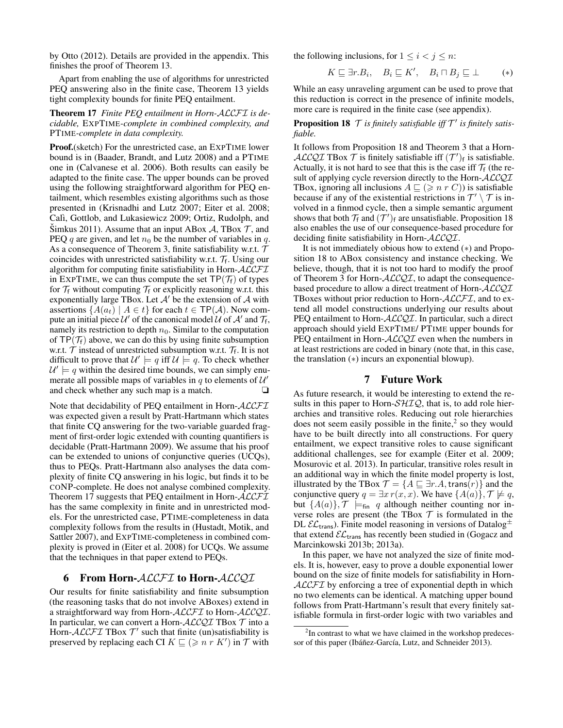by Otto (2012). Details are provided in the appendix. This finishes the proof of Theorem 13.

Apart from enabling the use of algorithms for unrestricted PEQ answering also in the finite case, Theorem 13 yields tight complexity bounds for finite PEQ entailment.

Theorem 17 *Finite PEQ entailment in Horn-*ALCFI *is decidable,* EXPTIME*-complete in combined complexity, and* PTIME*-complete in data complexity.*

Proof.(sketch) For the unrestricted case, an EXPTIME lower bound is in (Baader, Brandt, and Lutz 2008) and a PTIME one in (Calvanese et al. 2006). Both results can easily be adapted to the finite case. The upper bounds can be proved using the following straightforward algorithm for PEQ entailment, which resembles existing algorithms such as those presented in (Krisnadhi and Lutz 2007; Eiter et al. 2008; Calì, Gottlob, and Lukasiewicz 2009; Ortiz, Rudolph, and Simkus 2011). Assume that an input ABox  $\mathcal{A}$ , TBox  $\mathcal{T}$ , and PEQ q are given, and let  $n_0$  be the number of variables in q. As a consequence of Theorem 3, finite satisfiability w.r.t.  $\mathcal T$ coincides with unrestricted satisfiability w.r.t.  $\mathcal{T}_f$ . Using our algorithm for computing finite satisfiability in Horn- $ALCFT$ in EXPTIME, we can thus compute the set  $\mathsf{TP}(\mathcal{T}_f)$  of types for  $\mathcal{T}_f$  without computing  $\mathcal{T}_f$  or explicitly reasoning w.r.t. this exponentially large TBox. Let  $\mathcal{A}'$  be the extension of  $\mathcal A$  with assertions  $\{A(a_t) \mid A \in t\}$  for each  $t \in \mathsf{TP}(\mathcal{A})$ . Now compute an initial piece  $\mathcal{U}'$  of the canonical model  $\mathcal{U}$  of  $\mathcal{A}'$  and  $\mathcal{T}_f$ , namely its restriction to depth  $n_0$ . Similar to the computation of  $TP(\mathcal{T}_f)$  above, we can do this by using finite subsumption w.r.t.  $\mathcal T$  instead of unrestricted subsumption w.r.t.  $\mathcal T_f$ . It is not difficult to prove that  $\mathcal{U}' \models q$  iff  $\mathcal{U} \models q$ . To check whether  $\mathcal{U}' \models q$  within the desired time bounds, we can simply enumerate all possible maps of variables in q to elements of  $\mathcal{U}'$ and check whether any such map is a match.  $\Box$ 

Note that decidability of PEQ entailment in Horn-ALCFT was expected given a result by Pratt-Hartmann which states that finite CQ answering for the two-variable guarded fragment of first-order logic extended with counting quantifiers is decidable (Pratt-Hartmann 2009). We assume that his proof can be extended to unions of conjunctive queries (UCQs), thus to PEQs. Pratt-Hartmann also analyses the data complexity of finite CQ answering in his logic, but finds it to be CONP-complete. He does not analyse combined complexity. Theorem 17 suggests that PEQ entailment in Horn-ALCFI has the same complexity in finite and in unrestricted models. For the unrestricted case, PTIME-completeness in data complexity follows from the results in (Hustadt, Motik, and Sattler 2007), and EXPTIME-completeness in combined complexity is proved in (Eiter et al. 2008) for UCQs. We assume that the techniques in that paper extend to PEQs.

# 6 From Horn-ALCFI to Horn-ALCQI

Our results for finite satisfiability and finite subsumption (the reasoning tasks that do not involve ABoxes) extend in a straightforward way from Horn-ALCFI to Horn-ALCQI. In particular, we can convert a Horn- $ALCQI$  TBox  $T$  into a Horn-ALCFI TBox  $T'$  such that finite (un)satisfiability is preserved by replacing each CI  $K \sqsubseteq (\geq n \; r \; K')$  in  $\mathcal T$  with

the following inclusions, for  $1 \leq i < j \leq n$ :

$$
K \sqsubseteq \exists r.B_i, \quad B_i \sqsubseteq K', \quad B_i \sqcap B_j \sqsubseteq \bot \qquad (*)
$$

While an easy unraveling argument can be used to prove that this reduction is correct in the presence of infinite models, more care is required in the finite case (see appendix).

**Proposition 18**  $\mathcal T$  is finitely satisfiable iff  $\mathcal T'$  is finitely satis*fiable.*

It follows from Proposition 18 and Theorem 3 that a Horn-ALCQI TBox  $\mathcal T$  is finitely satisfiable iff  $(\mathcal T')_f$  is satisfiable. Actually, it is not hard to see that this is the case iff  $\mathcal{T}_f$  (the result of applying cycle reversion directly to the Horn- $ALCQI$ TBox, ignoring all inclusions  $A \subseteq (\geq n r C)$  is satisfiable because if any of the existential restrictions in  $\mathcal{T}' \setminus \mathcal{T}$  is involved in a finmod cycle, then a simple semantic argument shows that both  $\mathcal{T}_f$  and  $(\mathcal{T}')_f$  are unsatisfiable. Proposition 18 also enables the use of our consequence-based procedure for deciding finite satisfiability in Horn-ALCQI.

It is not immediately obious how to extend (∗) and Proposition 18 to ABox consistency and instance checking. We believe, though, that it is not too hard to modify the proof of Theorem 3 for Horn- $ALCQI$ , to adapt the consequencebased procedure to allow a direct treatment of Horn-ALCQI TBoxes without prior reduction to Horn- $ALCFT$ , and to extend all model constructions underlying our results about PEQ entailment to Horn-ALCQI. In particular, such a direct approach should yield EXPTIME/ PTIME upper bounds for PEQ entailment in Horn-ALCQI even when the numbers in at least restrictions are coded in binary (note that, in this case, the translation (∗) incurs an exponential blowup).

# 7 Future Work

As future research, it would be interesting to extend the results in this paper to Horn- $\mathcal{SHIQ}$ , that is, to add role hierarchies and transitive roles. Reducing out role hierarchies does not seem easily possible in the finite, $2$  so they would have to be built directly into all constructions. For query entailment, we expect transitive roles to cause significant additional challenges, see for example (Eiter et al. 2009; Mosurovic et al. 2013). In particular, transitive roles result in an additional way in which the finite model property is lost, illustrated by the TBox  $\mathcal{T} = \{A \sqsubseteq \exists r.A, \text{trans}(r)\}\$ and the conjunctive query  $q = \exists x r(x, x)$ . We have  $\{A(a)\}, \mathcal{T} \not\models q$ , but  $\{A(a)\}\$ ,  $\mathcal{T}$   $\models$ <sub>fin</sub> q although neither counting nor inverse roles are present (the TBox  $T$  is formulated in the DL  $\mathcal{EL}_{trans}$ ). Finite model reasoning in versions of Datalog $\pm$ that extend  $\mathcal{EL}_{trans}$  has recently been studied in (Gogacz and Marcinkowski 2013b; 2013a).

In this paper, we have not analyzed the size of finite models. It is, however, easy to prove a double exponential lower bound on the size of finite models for satisfiability in Horn-ALCFI by enforcing a tree of exponential depth in which no two elements can be identical. A matching upper bound follows from Pratt-Hartmann's result that every finitely satisfiable formula in first-order logic with two variables and

 $2$ In contrast to what we have claimed in the workshop predecessor of this paper (Ibáñez-García, Lutz, and Schneider 2013).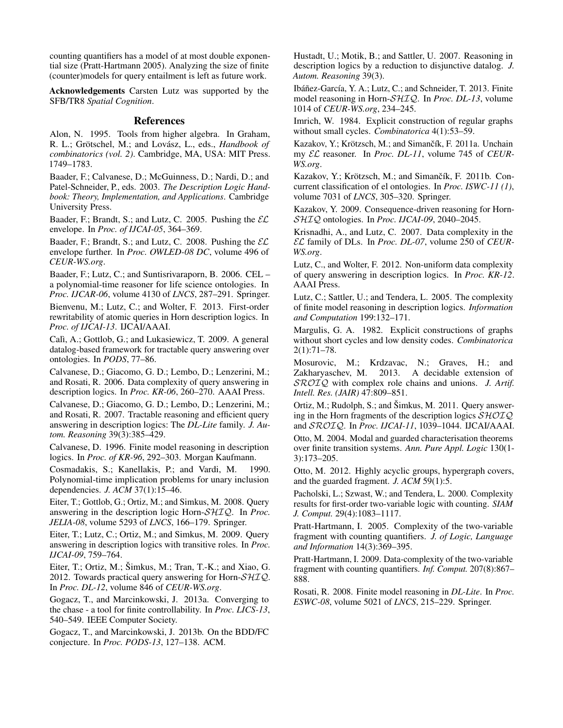counting quantifiers has a model of at most double exponential size (Pratt-Hartmann 2005). Analyzing the size of finite (counter)models for query entailment is left as future work.

Acknowledgements Carsten Lutz was supported by the SFB/TR8 *Spatial Cognition*.

## References

Alon, N. 1995. Tools from higher algebra. In Graham, R. L.; Grötschel, M.; and Lovász, L., eds., *Handbook of combinatorics (vol. 2)*. Cambridge, MA, USA: MIT Press. 1749–1783.

Baader, F.; Calvanese, D.; McGuinness, D.; Nardi, D.; and Patel-Schneider, P., eds. 2003. *The Description Logic Handbook: Theory, Implementation, and Applications*. Cambridge University Press.

Baader, F.; Brandt, S.; and Lutz, C. 2005. Pushing the  $\mathcal{EL}$ envelope. In *Proc. of IJCAI-05*, 364–369.

Baader, F.; Brandt, S.; and Lutz, C. 2008. Pushing the  $\mathcal{EL}$ envelope further. In *Proc. OWLED-08 DC*, volume 496 of *CEUR-WS.org*.

Baader, F.; Lutz, C.; and Suntisrivaraporn, B. 2006. CEL – a polynomial-time reasoner for life science ontologies. In *Proc. IJCAR-06*, volume 4130 of *LNCS*, 287–291. Springer.

Bienvenu, M.; Lutz, C.; and Wolter, F. 2013. First-order rewritability of atomic queries in Horn description logics. In *Proc. of IJCAI-13*. IJCAI/AAAI.

Calì, A.; Gottlob, G.; and Lukasiewicz, T. 2009. A general datalog-based framework for tractable query answering over ontologies. In *PODS*, 77–86.

Calvanese, D.; Giacomo, G. D.; Lembo, D.; Lenzerini, M.; and Rosati, R. 2006. Data complexity of query answering in description logics. In *Proc. KR-06*, 260–270. AAAI Press.

Calvanese, D.; Giacomo, G. D.; Lembo, D.; Lenzerini, M.; and Rosati, R. 2007. Tractable reasoning and efficient query answering in description logics: The *DL-Lite* family. *J. Autom. Reasoning* 39(3):385–429.

Calvanese, D. 1996. Finite model reasoning in description logics. In *Proc. of KR-96*, 292–303. Morgan Kaufmann.

Cosmadakis, S.; Kanellakis, P.; and Vardi, M. 1990. Polynomial-time implication problems for unary inclusion dependencies. *J. ACM* 37(1):15–46.

Eiter, T.; Gottlob, G.; Ortiz, M.; and Simkus, M. 2008. Query answering in the description logic Horn-SHIQ. In *Proc. JELIA-08*, volume 5293 of *LNCS*, 166–179. Springer.

Eiter, T.; Lutz, C.; Ortiz, M.; and Simkus, M. 2009. Query answering in description logics with transitive roles. In *Proc. IJCAI-09*, 759–764.

Eiter, T.; Ortiz, M.; Šimkus, M.; Tran, T.-K.; and Xiao, G. 2012. Towards practical query answering for Horn- $\mathcal{SHIQ}$ . In *Proc. DL-12*, volume 846 of *CEUR-WS.org*.

Gogacz, T., and Marcinkowski, J. 2013a. Converging to the chase - a tool for finite controllability. In *Proc. LICS-13*, 540–549. IEEE Computer Society.

Gogacz, T., and Marcinkowski, J. 2013b. On the BDD/FC conjecture. In *Proc. PODS-13*, 127–138. ACM.

Hustadt, U.; Motik, B.; and Sattler, U. 2007. Reasoning in description logics by a reduction to disjunctive datalog. *J. Autom. Reasoning* 39(3).

Ibáñez-García, Y. A.; Lutz, C.; and Schneider, T. 2013. Finite model reasoning in Horn-SHIQ. In *Proc. DL-13*, volume 1014 of *CEUR-WS.org*, 234–245.

Imrich, W. 1984. Explicit construction of regular graphs without small cycles. *Combinatorica* 4(1):53–59.

Kazakov, Y.; Krötzsch, M.; and Simančík, F. 2011a. Unchain my EL reasoner. In *Proc. DL-11*, volume 745 of *CEUR-WS.org*.

Kazakov, Y.; Krötzsch, M.; and Simančík, F. 2011b. Concurrent classification of el ontologies. In *Proc. ISWC-11 (1)*, volume 7031 of *LNCS*, 305–320. Springer.

Kazakov, Y. 2009. Consequence-driven reasoning for Horn-SHIQ ontologies. In *Proc. IJCAI-09*, 2040–2045.

Krisnadhi, A., and Lutz, C. 2007. Data complexity in the EL family of DLs. In *Proc. DL-07*, volume 250 of *CEUR-WS.org*.

Lutz, C., and Wolter, F. 2012. Non-uniform data complexity of query answering in description logics. In *Proc. KR-12*. AAAI Press.

Lutz, C.; Sattler, U.; and Tendera, L. 2005. The complexity of finite model reasoning in description logics. *Information and Computation* 199:132–171.

Margulis, G. A. 1982. Explicit constructions of graphs without short cycles and low density codes. *Combinatorica* 2(1):71–78.

Mosurovic, M.; Krdzavac, N.; Graves, H.; and Zakharyaschev, M. 2013. A decidable extension of SROIQ with complex role chains and unions. *J. Artif. Intell. Res. (JAIR)* 47:809–851.

Ortiz, M.; Rudolph, S.; and Šimkus, M. 2011. Query answering in the Horn fragments of the description logics  $\mathcal{SHOIQ}$ and SROIQ. In *Proc. IJCAI-11*, 1039–1044. IJCAI/AAAI.

Otto, M. 2004. Modal and guarded characterisation theorems over finite transition systems. *Ann. Pure Appl. Logic* 130(1- 3):173–205.

Otto, M. 2012. Highly acyclic groups, hypergraph covers, and the guarded fragment. *J. ACM* 59(1):5.

Pacholski, L.; Szwast, W.; and Tendera, L. 2000. Complexity results for first-order two-variable logic with counting. *SIAM J. Comput.* 29(4):1083–1117.

Pratt-Hartmann, I. 2005. Complexity of the two-variable fragment with counting quantifiers. *J. of Logic, Language and Information* 14(3):369–395.

Pratt-Hartmann, I. 2009. Data-complexity of the two-variable fragment with counting quantifiers. *Inf. Comput.* 207(8):867– 888.

Rosati, R. 2008. Finite model reasoning in *DL-Lite*. In *Proc. ESWC-08*, volume 5021 of *LNCS*, 215–229. Springer.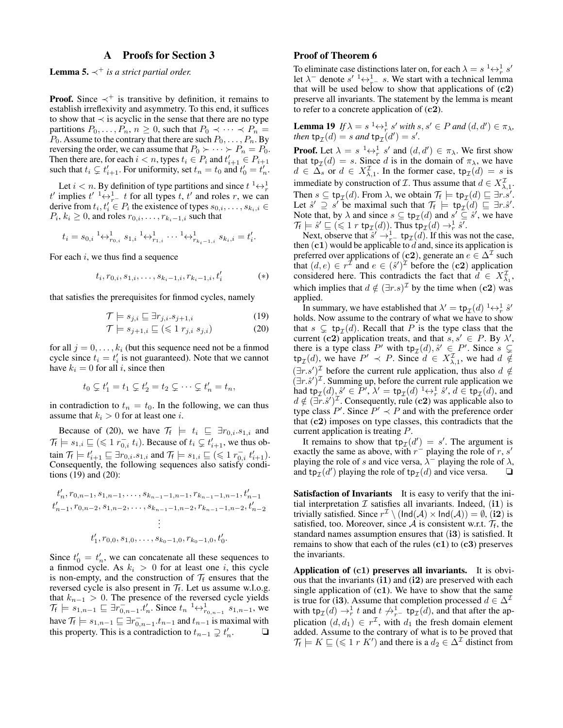# A Proofs for Section 3

**Lemma 5.**  $\prec^+$  *is a strict partial order.* 

**Proof.** Since  $\prec^+$  is transitive by definition, it remains to establish irreflexivity and asymmetry. To this end, it suffices to show that  $\prec$  is acyclic in the sense that there are no type partitions  $P_0, \ldots, P_n, n \geq 0$ , such that  $P_0 \prec \cdots \prec P_n$  $P_0$ . Assume to the contrary that there are such  $P_0, \ldots, P_n$ . By reversing the order, we can assume that  $P_0 \succ \cdots \succ P_n = P_0$ . Then there are, for each  $i < n$ , types  $t_i \in P_i$  and  $t'_{i+1} \in P_{i+1}$ such that  $t_i \subsetneq t'_{i+1}$ . For uniformity, set  $t_n = t_0$  and  $t'_0 = t'_n$ .

Let  $i < n$ . By definition of type partitions and since  $t^1 \leftrightarrow \frac{1}{r}$ t' implies  $t' \stackrel{1}{\rightarrow} \frac{1}{r} - t$  for all types t, t' and roles r, we can derive from  $t_i, t'_i \in P_i$  the existence of types  $s_{0,i}, \ldots, s_{k_i,i} \in$  $P_i, k_i \geq 0$ , and roles  $r_{0,i}, \ldots, r_{k_i-1,i}$  such that

$$
t_i = s_{0,i}^{-1} \leftrightarrow_{r_{0,i}}^1 s_{1,i}^{-1} \leftrightarrow_{r_{1,i}}^1 \cdots^{-1} \leftrightarrow_{r_{k_i-1,i}}^1 s_{k_i,i} = t'_i.
$$

For each  $i$ , we thus find a sequence

$$
t_i, r_{0,i}, s_{1,i}, \dots, s_{k_i-1,i}, r_{k_i-1,i}, t'_i \tag{*}
$$

that satisfies the prerequisites for finmod cycles, namely

$$
\mathcal{T} \models s_{j,i} \sqsubseteq \exists r_{j,i}.s_{j+1,i} \tag{19}
$$
\n
$$
\mathcal{T} \vdash \Box (z, 1) \tag{20}
$$

$$
\mathcal{T} \models s_{j+1,i} \sqsubseteq (\leq 1 \; r_{j,i} \; s_{j,i}) \tag{20}
$$

for all  $j = 0, \ldots, k_i$  (but this sequence need not be a finmod cycle since  $t_i = t'_i$  is not guaranteed). Note that we cannot have  $k_i = 0$  for all i, since then

$$
t_0 \subsetneq t_1' = t_1 \subsetneq t_2' = t_2 \subsetneq \cdots \subsetneq t_n' = t_n,
$$

in contradiction to  $t_n = t_0$ . In the following, we can thus assume that  $k_i > 0$  for at least one *i*.

Because of (20), we have  $\mathcal{T}_f \models t_i \subseteq \exists r_{0,i}.s_{1,i}$  and  $\mathcal{T}_f \models s_{1,i} \sqsubseteq (\leq 1 \ r_{0,i}^-, t_i)$ . Because of  $t_i \subsetneq t'_{i+1}$ , we thus obtain  $\mathcal{T}_f \models t'_{i+1} \sqsubseteq \exists r_{0,i}.s_{1,i}$  and  $\mathcal{T}_f \models s_{1,i} \sqsubseteq (\leq 1 \ r_{0,i}^-, t'_{i+1}).$ Consequently, the following sequences also satisfy conditions (19) and (20):

$$
t'_{n}, r_{0,n-1}, s_{1,n-1}, \ldots, s_{k_{n-1}-1,n-1}, r_{k_{n-1}-1,n-1}, t'_{n-1}
$$
  
\n
$$
t'_{n-1}, r_{0,n-2}, s_{1,n-2}, \ldots, s_{k_{n-1}-1,n-2}, r_{k_{n-1}-1,n-2}, t'_{n-2}
$$
  
\n
$$
\vdots
$$
  
\n
$$
t'_{1}, r_{0,0}, s_{1,0}, \ldots, s_{k_{0}-1,0}, r_{k_{0}-1,0}, t'_{0}.
$$

Since  $t'_0 = t'_n$ , we can concatenate all these sequences to a finmod cycle. As  $k_i > 0$  for at least one i, this cycle is non-empty, and the construction of  $\mathcal{T}_f$  ensures that the reversed cycle is also present in  $\mathcal{T}_f$ . Let us assume w.l.o.g. that  $k_{n-1} > 0$ . The presence of the reversed cycle yields  $\mathcal{T}_{f} \models s_{1,n-1} \sqsubseteq \exists r_{0,n-1}^{-1} \cdot t'_{n}$ . Since  $t_{n} \xrightarrow{1} \leftrightarrow_{r_{0,n-1}} s_{1,n-1}$ , we have  $\mathcal{T}_{f} \models s_{1,n-1} \sqsubseteq \exists r_{0,n-1}^{-} . t_{n-1}$  and  $t_{n-1}$  is maximal with this property. This is a contradiction to  $t_{n-1} \supsetneq t'_n$ . ❏

### Proof of Theorem 6

To eliminate case distinctions later on, for each  $\lambda = s^{-1} \leftrightarrow_{r}^{1} s'$ let  $\lambda^-$  denote  $s' \xrightarrow{1} \leftrightarrow_{r^-}^1 s$ . We start with a technical lemma that will be used below to show that applications of  $(c2)$ preserve all invariants. The statement by the lemma is meant to refer to a concrete application of  $(c2)$ .

**Lemma 19** If  $\lambda = s^{-1} \leftrightarrow_{r}^{1} s'$  with  $s, s' \in P$  and  $(d, d') \in \pi_{\lambda}$ , *then*  $tp_{\mathcal{I}}(d) = s$  *and*  $tp_{\mathcal{I}}(d') = s'$ *.* 

**Proof.** Let  $\lambda = s^{-1} \leftrightarrow_r^1 s'$  and  $(d, d') \in \pi_{\lambda}$ . We first show that  $tp_{\mathcal{I}}(d) = s$ . Since d is in the domain of  $\pi_{\lambda}$ , we have  $d \in \Delta_s$  or  $d \in X_{\lambda,1}^{\mathcal{I}}$ . In the former case,  $tp_{\mathcal{I}}(d) = s$  is immediate by construction of  $\mathcal{I}$ . Thus assume that  $d \in X^{\mathcal{I}}_{\lambda,1}$ . Then  $s \subseteq \text{tp}_{\mathcal{I}}(d)$ . From  $\lambda$ , we obtain  $\mathcal{T}_f \models \text{tp}_{\mathcal{I}}(d) \sqsubseteq \exists r.s'.$ Let  $\hat{s}' \supseteq s'$  be maximal such that  $\mathcal{T}_f \models \text{tp}_{\mathcal{I}}(d) \sqsubseteq \exists r.\hat{s}'.$ Note that, by  $\lambda$  and since  $s \subseteq \text{tp}_{\mathcal{I}}(d)$  and  $s' \subseteq \hat{s}'$ , we have  $\mathcal{T}_{f} \models \hat{s}' \sqsubseteq (\leq 1 \; r \; \texttt{tp}_{\mathcal{I}}(d)).$  Thus  $\texttt{tp}_{\mathcal{I}}(d) \rightarrow_r^1 \hat{s}'.$ 

Next, observe that  $\hat{s}' \rightarrow_{r}^1$  tp<sub> $\mathcal{I}(d)$ </sub>. If this was not the case, then  $(c1)$  would be applicable to  $d$  and, since its application is preferred over applications of (c2), generate an  $e \in \Delta^{\mathcal{I}}$  such that  $(d, e) \in r^{\mathcal{I}}$  and  $e \in (\hat{s}^{\prime})^{\mathcal{I}}$  before the  $(c2)$  application considered here. This contradicts the fact that  $\hat{d} \in X_{\lambda_1}^{\mathcal{I}},$ which implies that  $d \notin (\exists r.s)^{\mathcal{I}}$  by the time when  $(c2)$  was applied.

In summary, we have established that  $\lambda' = \text{tp}_{\mathcal{I}}(d) \longrightarrow_R^1 \hat{s}'$ holds. Now assume to the contrary of what we have to show that  $s \subsetneq \text{tp}_{\mathcal{I}}(d)$ . Recall that P is the type class that the current (c2) application treats, and that  $s, s' \in P$ . By  $\lambda'$ , there is a type class P' with  $tp<sub>\mathcal{I</sub>(d),  $\hat{s}' \in P'$ . Since  $s \subsetneq$$  $\tt tp<sub>\mathcal{I}(d)</sub>$ , we have  $P' \prec P$ . Since  $d \in X^{\mathcal{I}}_{\lambda,1}$ , we had  $d \notin$  $(\exists r.s')^{\mathcal{I}}$  before the current rule application, thus also  $d \notin$  $(\exists r.\hat{s}')^{\mathcal{I}}$ . Summing up, before the current rule application we had  $\tanctan{\pi} p_{\mathcal{I}}(d), \hat{s}' \in P', \lambda' = \text{tp}_{\mathcal{I}}(d) \longrightarrow_r^1 \hat{s}', d \in \text{tp}_{\mathcal{I}}(d)$ , and  $d \notin (\exists \tilde{r}.\hat{s}')^{\mathcal{I}}$ . Consequently, rule (c2) was applicable also to type class  $P'$ . Since  $P' \prec P$  and with the preference order that (c2) imposes on type classes, this contradicts that the current application is treating P.

It remains to show that  $tp_{\mathcal{I}}(d') = s'$ . The argument is exactly the same as above, with  $r^{-}$  playing the role of r, s' playing the role of s and vice versa,  $\overline{\lambda}$  playing the role of  $\lambda$ , and  $\text{tp}_{\mathcal{I}}(d')$  playing the role of  $\text{tp}_{\mathcal{I}}(d)$  and vice versa.  $\Box$ 

Satisfaction of Invariants It is easy to verify that the initial interpretation  $\mathcal I$  satisfies all invariants. Indeed, (i1) is trivially satisfied. Since  $r^{\mathcal{I}} \setminus (\text{Ind}(\mathcal{A}) \times \text{Ind}(\mathcal{A})) = \emptyset$ , (i2) is satisfied, too. Moreover, since A is consistent w.r.t.  $\mathcal{T}_f$ , the standard names assumption ensures that (i3) is satisfied. It remains to show that each of the rules  $(c1)$  to  $(c3)$  preserves the invariants.

Application of  $(c1)$  preserves all invariants. It is obvious that the invariants (i1) and (i2) are preserved with each single application of  $(c1)$ . We have to show that the same is true for (i3). Assume that completion processed  $d \in \Delta^{\mathcal{I}}$ with  $tp_{\mathcal{I}}(d) \to^1_r t$  and  $t \not\to^1_{r^-} tp_{\mathcal{I}}(d)$ , and that after the application  $(d, d_1) \in r^{\mathcal{I}}$ , with  $d_1$  the fresh domain element added. Assume to the contrary of what is to be proved that  $\mathcal{T}_f \models K \sqsubseteq (\leq 1 \ r \ K')$  and there is a  $d_2 \in \Delta^\mathcal{I}$  distinct from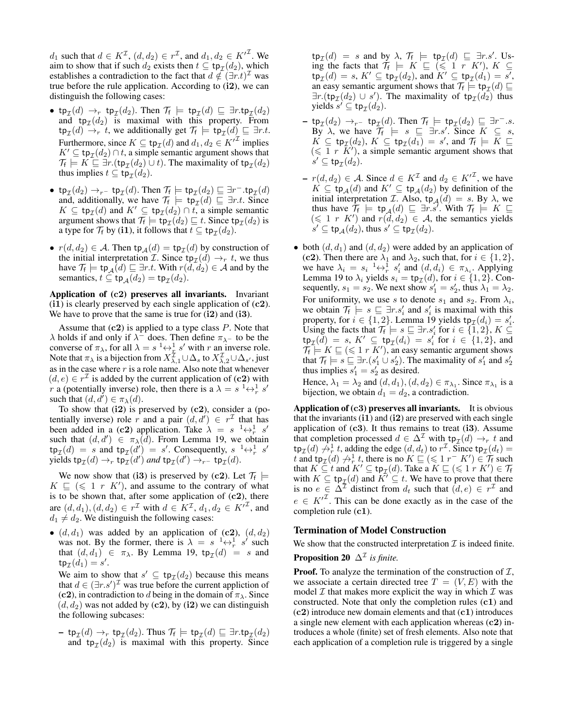$d_1$  such that  $d \in K^{\mathcal{I}}$ ,  $(d, d_2) \in r^{\mathcal{I}}$ , and  $d_1, d_2 \in K'^{\mathcal{I}}$ . We aim to show that if such  $d_2$  exists then  $t \subseteq \text{tp}_{\mathcal{I}}(d_2)$ , which establishes a contradiction to the fact that  $d \notin (\exists r.t)^{\mathcal{I}}$  was true before the rule application. According to (i2), we can distinguish the following cases:

- tp $_{\mathcal{I}}(d) \rightarrow_r$  tp $_{\mathcal{I}}(d_2)$ . Then  $\mathcal{T}_f$   $\models$  tp $_{\mathcal{I}}(d) \sqsubseteq \exists r.\textsf{tp}_{\mathcal{I}}(d_2)$ and  $tp<sub>\mathcal{I}</sub>(d<sub>2</sub>)$  is maximal with this property. From  $\tt tp_{\mathcal{I}}(d) \to_r t$ , we additionally get  $\mathcal{T}_f \models \texttt tp_{\mathcal{I}}(d) \sqsubseteq \exists r.t.$ Furthermore, since  $K \subseteq \text{tp}_{\mathcal{I}}(d)$  and  $d_1, d_2 \in {K'}^{\mathcal{I}}$  implies  $K' \subseteq \text{tp}_{\mathcal{I}}(d_2) \cap t$ , a simple semantic argument shows that  $\mathcal{T}_{f} \models K \sqsubseteq \exists r.(\text{tp}_{\mathcal{I}}(d_2) \cup t)$ . The maximality of  $\text{tp}_{\mathcal{I}}(d_2)$ thus implies  $t \subseteq \text{tp}_{\mathcal{I}}(d_2)$ .
- tp $_{\mathcal{I}}(d_2) \rightarrow_{r^-}$  tp $_{\mathcal{I}}(d)$ . Then  $\mathcal{T}_{f} \models$  tp $_{\mathcal{I}}(d_2) \sqsubseteq \exists r^-$ .tp $_{\mathcal{I}}(d)$ and, additionally, we have  $\mathcal{T}_f \models \text{tp}_{\mathcal{I}}(d) \sqsubseteq \exists r.t.$  Since  $K \subseteq \text{tp}_{\mathcal{I}}(d)$  and  $K' \subseteq \text{tp}_{\mathcal{I}}(d_2) \cap t$ , a simple semantic argument shows that  $\mathcal{T}_{f} \models \text{tp}_{\mathcal{I}}(d_2) \sqsubseteq t$ . Since  $\text{tp}_{\mathcal{I}}(d_2)$  is a type for  $\mathcal{T}_f$  by (**i**1), it follows that  $t \subseteq \text{tp}_{\mathcal{I}}(d_2)$ .
- $r(d, d_2) \in \mathcal{A}$ . Then  $tp_{\mathcal{A}}(d) = tp_{\mathcal{I}}(d)$  by construction of the initial interpretation *I*. Since  $tp_{\mathcal{I}}(d) \rightarrow_r t$ , we thus have  $\mathcal{T}_{f} \models \text{tp}_{\mathcal{A}}(d) \sqsubseteq \exists r.t.$  With  $r(d, d_2) \in \mathcal{A}$  and by the semantics,  $t \subseteq \text{tp}_{\mathcal{A}}(d_2) = \text{tp}_{\mathcal{I}}(d_2)$ .

Application of (c2) preserves all invariants. Invariant (i1) is clearly preserved by each single application of  $(c2)$ . We have to prove that the same is true for  $(i2)$  and  $(i3)$ .

Assume that  $(c2)$  is applied to a type class  $P$ . Note that  $\lambda$  holds if and only if  $\lambda^-$  does. Then define  $\pi_{\lambda^-}$  to be the converse of  $\pi_{\lambda}$ , for all  $\lambda = s^{-1} \leftrightarrow \frac{1}{x} s'$  with r an inverse role. Note that  $\pi_\lambda$  is a bijection from  $X_{\lambda,1}^{\mathcal{I}}\cup\Delta_s$  to  $X_{\lambda,2}^{\mathcal{I}}\cup\Delta_{s'}$ , just as in the case where  $r$  is a role name. Also note that whenever  $(d, e) \in r^{\mathcal{I}}$  is added by the current application of (c2) with *r* a (potentially inverse) role, then there is a  $\lambda = s^{-1} \leftrightarrow_{r}^{1} s'$ such that  $(d, d') \in \pi_{\lambda}(d)$ .

To show that  $(i2)$  is preserved by  $(c2)$ , consider a (potentially inverse) role r and a pair  $(d, d') \in r^{\mathcal{I}}$  that has been added in a (c2) application. Take  $\lambda = s^{-1} \leftrightarrow_{r}^1 s'$ such that  $(d, d') \in \pi_{\lambda}(d)$ . From Lemma 19, we obtain  $\tt tp_{\mathcal I}(d) = s$  and  $\tt tp_{\mathcal I}(d') = s'$ . Consequently,  $s^{-1} \leftrightarrow_r^1 s'$ yields  $\tt tp_{\mathcal{I}}(d) \rightarrow_r \t tp_{\mathcal{I}}(d')$  and  $\tt tp_{\mathcal{I}}(d') \rightarrow_r \t-t p_{\mathcal{I}}(d)$ .

We now show that (i3) is preserved by (c2). Let  $\mathcal{T}_f$   $\models$  $K \subseteq (\leq 1 \ r \ K')$ , and assume to the contrary of what is to be shown that, after some application of  $(c2)$ , there are  $(d, d_1), (d, d_2) \in r^{\mathcal{I}}$  with  $d \in K^{\mathcal{I}}, d_1, d_2 \in K'^{\mathcal{I}}$ , and  $d_1 \neq d_2$ . We distinguish the following cases:

•  $(d, d_1)$  was added by an application of  $(c2)$ ,  $(d, d_2)$ was not. By the former, there is  $\lambda = s^{-1} \leftrightarrow_r^1 s'$  such that  $(d, d_1) \in \pi_\lambda$ . By Lemma 19,  $tp_{\mathcal{I}}(d) = s$  and  ${\sf tp}_{\mathcal I}(d_1) = s'.$ 

We aim to show that  $s' \subseteq \text{tp}_{\mathcal{I}}(d_2)$  because this means that  $d \in (\exists r.s')^{\mathcal{I}}$  was true before the current appliction of (c2), in contradiction to d being in the domain of  $\pi_{\lambda}$ . Since  $(d, d_2)$  was not added by (c2), by (i2) we can distinguish the following subcases:

 $-$  tp $_{\mathcal{I}}(d) \rightarrow_r$  tp $_{\mathcal{I}}(d_2)$ . Thus  $\mathcal{T}_f \models$  tp $_{\mathcal{I}}(d) \sqsubseteq \exists r.\texttt{tp}_{\mathcal{I}}(d_2)$ and  $tp_{\mathcal{I}}(d_2)$  is maximal with this property. Since

 $\tt tp_{\mathcal I}(d) = s$  and by  $\lambda$ ,  $\mathcal T_f \models \t tp_{\mathcal I}(d) \sqsubseteq \exists r.s'.$  Using the facts that  $\mathcal{T}_f \models K \sqsubseteq (\leq 1 \ r \ K'), K \subseteq$  $\tt tp_{\mathcal I}(d) = s,\, K' \subseteq \tt tp_{\mathcal I}(d_2), \text{ and } K' \subseteq \tt tp_{\mathcal I}(d_1) = s',$ an easy semantic argument shows that  $\mathcal{T}_{\mathsf{f}} \models \mathsf{tp}_{\mathcal{I}}(d) \sqsubseteq$  $\exists r.(\text{tp}_{\mathcal{I}}(d_2) \cup s')$ . The maximality of tp $_{\mathcal{I}}(\overline{d_2})$  thus yields  $s' \subseteq \text{tp}_{\mathcal{I}}(d_2)$ .

- tp<sub>I</sub>(d<sub>2</sub>) →<sub>r</sub>- tp<sub>I</sub>(d). Then  $\mathcal{T}_f$   $\models$  tp<sub>I</sub>(d<sub>2</sub>)  $\sqsubseteq \exists r^- .s$ . By  $\lambda$ , we have  $\mathcal{T}_f$   $\models s \sqsubseteq \exists r.s'.$  Since  $K \subseteq s$ ,  $K \subseteq \text{tp}_{\mathcal{I}}(d_2), K \subseteq \text{tp}_{\mathcal{I}}(d_1) = s'$ , and  $\mathcal{T}_\text{f} \models K \sqsubseteq$  $(\leq 1 \, r \, \overline{K'})$ , a simple semantic argument shows that  $s' \subseteq \texttt{tp}_{\mathcal{I}}(d_2).$
- $\mathbf{r}(d, d_2) \in \mathcal{A}$ . Since  $d \in K^{\mathcal{I}}$  and  $d_2 \in K'^{\mathcal{I}}$ , we have  $K \subseteq \text{tp}_{\mathcal{A}}(d)$  and  $K' \subseteq \text{tp}_{\mathcal{A}}(d_2)$  by definition of the initial interpretation *L*. Also,  $tp_{\mathcal{A}}(d) = s$ . By  $\lambda$ , we thus have  $\mathcal{T}_f \models \text{tp}_{\mathcal{A}}(d) \sqsubseteq \exists r.s'.$  With  $\mathcal{T}_f \models K \sqsubseteq$  $(\leq 1 \ r \ K')$  and  $r(\tilde{d}, d_2) \in A$ , the semantics yields  $s' \subseteq \text{tp}_{\mathcal{A}}(d_2)$ , thus  $s' \subseteq \text{tp}_{\mathcal{I}}(d_2)$ .
- both  $(d, d_1)$  and  $(d, d_2)$  were added by an application of (c2). Then there are  $\lambda_1$  and  $\lambda_2$ , such that, for  $i \in \{1, 2\}$ , we have  $\lambda_i = s_i^{-1} \leftrightarrow_r^1 s'_i$  and  $(d, d_i) \in \pi_{\lambda_i}$ . Applying Lemma 19 to  $\lambda_i$  yields  $s_i = \text{tp}_{\mathcal{I}}(d)$ , for  $i \in \{1, 2\}$ . Consequently,  $s_1 = s_2$ . We next show  $s'_1 = s'_2$ , thus  $\lambda_1 = \lambda_2$ . For uniformity, we use s to denote  $s_1$  and  $s_2$ . From  $\lambda_i$ , we obtain  $\mathcal{T}_f \models s \sqsubseteq \exists r . s'_i$  and  $s'_i$  is maximal with this property, for  $i \in \{1, 2\}$ . Lemma 19 yields  $tp_{\mathcal{I}}(d_i) = s'_i$ . Using the facts that  $\mathcal{T}_f \models s \sqsubseteq \exists r . s_i'$  for  $i \in \{1, 2\}, K \subseteq$  $\tt tp_{\mathcal I}(\tilde d) = s, K' \subseteq \ttp_{\mathcal I}(d_i) = s'_i \text{ for } i \in \{1,2\}, \text{ and}$  $\mathcal{T}_f \models K \sqsubseteq (\leq 1 \ r \ K')$ , an easy semantic argument shows that  $\mathcal{T}_f \models s \sqsubseteq \exists r.(s'_1 \cup s'_2)$ . The maximality of  $s'_1$  and  $s'_2$ thus implies  $s'_1 = s'_2$  as desired.

Hence,  $\lambda_1 = \lambda_2$  and  $(d, d_1), (d, d_2) \in \pi_{\lambda_1}$ . Since  $\pi_{\lambda_1}$  is a bijection, we obtain  $d_1 = d_2$ , a contradiction.

Application of  $(c3)$  preserves all invariants. It is obvious that the invariants  $(i1)$  and  $(i2)$  are preserved with each single application of  $(c3)$ . It thus remains to treat  $(i3)$ . Assume that completion processed  $d \in \Delta^{\mathcal{I}}$  with  $tp_{\mathcal{I}}(d) \rightarrow_r t$  and  $\tt{tp}_\mathcal{I}(d) \stackrel{\sim}{\rightarrow} \frac{1}{r} t$ , adding the edge  $(d, d_t)$  to  $r^\mathcal{I}$ . Since  $\tt{tp}_\mathcal{I}(d_t) =$ t and tp<sub>I</sub>(d)  $\leftrightarrow_r^1 t$ , there is no  $K \sqsubseteq (\leq 1 \ r - K') \in \mathcal{T}_f$  such that  $K \subseteq t$  and  $K' \subseteq \text{tp}_{\mathcal{I}}(d)$ . Take a  $K \sqsubseteq (\leq 1 \ r \ K') \in \mathcal{T}_f$ with  $K \subseteq \text{tp}_{\mathcal{I}}(d)$  and  $\overline{K'} \subseteq t$ . We have to prove that there is no  $e \in \Delta^{\mathcal{I}}$  distinct from  $d_t$  such that  $(d, e) \in r^{\mathcal{I}}$  and  $e \in K'^{\mathcal{I}}$ . This can be done exactly as in the case of the completion rule (c1).

## Termination of Model Construction

We show that the constructed interpretation  $\mathcal I$  is indeed finite. **Proposition 20**  $\Delta^{\mathcal{I}}$  is finite.

**Proof.** To analyze the termination of the construction of  $I$ , we associate a certain directed tree  $T = (V, E)$  with the model  $\mathcal I$  that makes more explicit the way in which  $\mathcal I$  was constructed. Note that only the completion rules (c1) and (c2) introduce new domain elements and that (c1) introduces a single new element with each application whereas (c2) introduces a whole (finite) set of fresh elements. Also note that each application of a completion rule is triggered by a single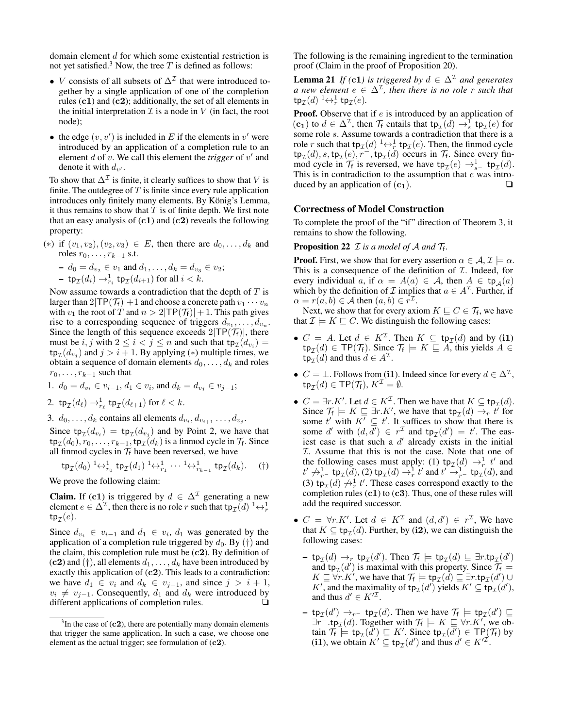domain element d for which some existential restriction is not yet satisfied.<sup>3</sup> Now, the tree  $T$  is defined as follows:

- *V* consists of all subsets of  $\Delta^{\mathcal{I}}$  that were introduced together by a single application of one of the completion rules  $(c1)$  and  $(c2)$ ; additionally, the set of all elements in the initial interpretation  $\mathcal I$  is a node in  $V$  (in fact, the root node);
- the edge  $(v, v')$  is included in E if the elements in  $v'$  were introduced by an application of a completion rule to an element  $d$  of  $v$ . We call this element the *trigger* of  $v'$  and denote it with  $d_{v'}$ .

To show that  $\Delta^{\mathcal{I}}$  is finite, it clearly suffices to show that V is finite. The outdegree of  $T$  is finite since every rule application introduces only finitely many elements. By König's Lemma, it thus remains to show that  $T$  is of finite depth. We first note that an easy analysis of  $(c1)$  and  $(c2)$  reveals the following property:

(∗) if  $(v_1, v_2), (v_2, v_3) \in E$ , then there are  $d_0, ..., d_k$  and roles  $r_0, \ldots, r_{k-1}$  s.t.

$$
- d_0 = d_{v_2} \in v_1 \text{ and } d_1, \dots, d_k = d_{v_3} \in v_2;
$$
  
-  $\text{tp}_{\mathcal{I}}(d_i) \rightarrow_{r_i}^1 \text{tp}_{\mathcal{I}}(d_{i+1}) \text{ for all } i < k.$ 

Now assume towards a contradiction that the depth of  $T$  is larger than  $2|\text{TP}(\mathcal{T}_f)|+1$  and choose a concrete path  $v_1 \cdots v_n$ with  $v_1$  the root of T and  $n > 2|TP(\mathcal{T}_f)| + 1$ . This path gives rise to a corresponding sequence of triggers  $d_{v_1}, \ldots, d_{v_n}$ . Since the length of this sequence exceeds  $2|TP(\mathcal{T}_f)|$ , there must be  $i, j$  with  $2 \le i < j \le n$  and such that  $tp_{\mathcal{I}}(d_{v_i}) =$  $\tt tp<sub>\mathcal I</sub>(d_{v_j})$  and  $j > i + 1$ . By applying (\*) multiple times, we obtain a sequence of domain elements  $d_0, \ldots, d_k$  and roles  $r_0, \ldots, r_{k-1}$  such that

1. 
$$
d_0 = d_{v_i} \in v_{i-1}, d_1 \in v_i
$$
, and  $d_k = d_{v_j} \in v_{j-1}$ ;

2. 
$$
\operatorname{tp}_{\mathcal{I}}(d_{\ell}) \to_{r_{\ell}}^1 \operatorname{tp}_{\mathcal{I}}(d_{\ell+1})
$$
 for  $\ell < k$ .

3.  $d_0, \ldots, d_k$  contains all elements  $d_{v_i}, d_{v_{i+1}} \ldots, d_{v_j}$ .

Since  $\text{tp}_{\mathcal{I}}(d_{v_i}) = \text{tp}_{\mathcal{I}}(d_{v_j})$  and by Point 2, we have that  ${\sf tp}_{\cal I}(d_0), r_0,\ldots,r_{k-1}, {\sf tp}_{\cal I}(d_k)$  is a finmod cycle in  $\cal T_{\sf f}.$  Since all finmod cycles in  $\mathcal{T}_f$  have been reversed, we have

$$
\mathfrak{tp}_{\mathcal{I}}(d_0) \stackrel{1}{\leftrightarrow}^1_{r_0} \mathfrak{tp}_{\mathcal{I}}(d_1) \stackrel{1}{\leftrightarrow}^1_{r_1} \cdots \stackrel{1}{\leftrightarrow}^1_{r_{k-1}} \mathfrak{tp}_{\mathcal{I}}(d_k). \quad (\dagger)
$$

We prove the following claim:

**Claim.** If (c1) is triggered by  $d \in \Delta^{\mathcal{I}}$  generating a new element  $e \in \Delta^{\mathcal{I}}$ , then there is no role r such that  ${\rm tp}_{\mathcal{I}}(d) \longrightarrow_{r}^1$ tp $_\mathcal{I}(e).$ 

Since  $d_{v_i} \in v_{i-1}$  and  $d_1 \in v_i$ ,  $d_1$  was generated by the application of a completion rule triggered by  $d_0$ . By  $(\dagger)$  and the claim, this completion rule must be  $(c2)$ . By definition of (c2) and (†), all elements  $d_1, \ldots, d_k$  have been introduced by exactly this application of  $(c2)$ . This leads to a contradiction: we have  $d_1 \in v_i$  and  $d_k \in v_{i-1}$ , and since  $j > i + 1$ ,  $v_i \neq v_{i-1}$ . Consequently,  $d_1$  and  $d_k$  were introduced by different applications of completion rules.

The following is the remaining ingredient to the termination proof (Claim in the proof of Proposition 20).

**Lemma 21** *If* (**c1**) is triggered by  $d \in \Delta^{\mathcal{I}}$  and generates *a* new element  $e \in \Delta^{\mathcal{I}}$ , then there is no role r such that  $\textrm{tp}_{\mathcal{I}}(d) \stackrel{1}{\leftrightarrow}^1_r \textrm{tp}_{\mathcal{I}}(e).$ 

**Proof.** Observe that if  $e$  is introduced by an application of  $(c_1)$  to  $d \in \Delta^{\mathcal{I}}$ , then  $\mathcal{T}_f$  entails that  $tp_{\mathcal{I}}(d) \rightarrow_s^{\hat{1}} tp_{\mathcal{I}}(e)$  for some role s. Assume towards a contradiction that there is a role r such that  $\tt tp_{\mathcal I}(d) \longrightarrow_r^1 t p_{\mathcal I}(e)$ . Then, the finmod cycle  $\tt tp_{\mathcal I}(d), s, tp_{\mathcal I}(e), r^-, tp_{\mathcal I}(d)$  occurs in  $\mathcal T_f$ . Since every finmod cycle in  $\mathcal{T}_f$  is reversed, we have  $\text{tp}_{\mathcal{I}}(e) \to_{s^-}^1 \text{tp}_{\mathcal{I}}(d)$ . This is in contradiction to the assumption that  $e$  was introduced by an application of  $(c_1)$ .  $\Box$ 

# Correctness of Model Construction

To complete the proof of the "if" direction of Theorem 3, it remains to show the following.

# **Proposition 22**  $\mathcal I$  *is a model of A and*  $\mathcal T_f$ *.*

**Proof.** First, we show that for every assertion  $\alpha \in \mathcal{A}, \mathcal{I} \models \alpha$ . This is a consequence of the definition of  $I$ . Indeed, for every individual a, if  $\alpha = A(a) \in \mathcal{A}$ , then  $A \in \text{tp}_{\mathcal{A}}(a)$ which by the definition of  $\mathcal I$  implies that  $a \in A^{\mathcal I}$ . Further, if  $\alpha = r(a, b) \in \mathcal{A}$  then  $(a, b) \in r^{\mathcal{I}}$ .

Next, we show that for every axiom  $K \sqsubseteq C \in \mathcal{T}_f$ , we have that  $\mathcal{I} \models K \sqsubseteq C$ . We distinguish the following cases:

- $C = A$ . Let  $d \in K^{\mathcal{I}}$ . Then  $K \subseteq \text{tp}_{\mathcal{I}}(d)$  and by (i1)  $\tt tp_{\mathcal I}(d) \in \textsf{TP}(\mathcal T_f)$ . Since  $\mathcal T_f \models K \sqsubseteq A$ , this yields  $A \in$  $\text{tr}_{\mathcal{I}}(d)$  and thus  $d \in A^{\mathcal{I}}$ .
- $C = \perp$ . Follows from (i1). Indeed since for every  $d \in \Delta^{\mathcal{I}}$ ,  ${\sf tp}_{\mathcal I}(d) \in {\sf TP}(\mathcal T_{\sf f}),\, K^{\mathcal I}=\emptyset.$
- $C = \exists r.K'.$  Let  $d \in K^{\mathcal{I}}$ . Then we have that  $K \subseteq \text{tp}_{\mathcal{I}}(d)$ . Since  $\mathcal{T}_f \models K \sqsubseteq \exists r.K'$ , we have that  $tp_{\mathcal{I}}(d) \rightarrow_r t'$  for some t' with  $K' \subseteq t'$ . It suffices to show that there is some d' with  $(d, d') \in r^{\mathcal{I}}$  and  $tp_{\mathcal{I}}(d') = t'$ . The easiest case is that such a  $d'$  already exists in the initial I. Assume that this is not the case. Note that one of the following cases must apply: (1)  $tp_{\mathcal{I}}(d) \rightarrow_r^1 t'$  and  $t' \nrightarrow_{r^-}^1$  tp<sub>I</sub> $(d)$ , (2) tp<sub>I</sub> $(d) \rightarrow_r^1 t'$  and  $t' \rightarrow_{r^-}^1$  tp<sub>I</sub> $(d)$ , and (3)  $tp_{\mathcal{I}}(d) \not\rightarrow^1_r t'$ . These cases correspond exactly to the completion rules  $(c1)$  to  $(c3)$ . Thus, one of these rules will add the required successor.
- $C = \forall r.K'.$  Let  $d \in K^{\mathcal{I}}$  and  $(d, d') \in r^{\mathcal{I}}$ , We have that  $K \subseteq \text{tp}_{\mathcal{I}}(d)$ . Further, by (i2), we can distinguish the following cases:
	- tp<sub>I</sub>(d)  $\rightarrow_r$  tp<sub>I</sub>(d'). Then  $\mathcal{T}_f \models$  tp<sub>I</sub>(d)  $\sqsubseteq \exists r.\text{tp}_{\mathcal{I}}(d')$ and  $tp_{\mathcal{I}}(d')$  is maximal with this property. Since  $\mathcal{T}_f \models$  $K \sqsubseteq \forall r.K'$ , we have that  $\mathcal{T}_f \models \textsf{tp}_{\mathcal{I}}(d) \sqsubseteq \exists r.\textsf{tp}_{\mathcal{I}}(d') \cup$ K', and the maximality of  $tp_{\mathcal{I}}(d')$  yields  $K' \subseteq tp_{\mathcal{I}}(d'),$ and thus  $d' \in K'^{\mathcal{I}}$ .
	- tp<sub>I</sub>(d') →<sub>r</sub>- tp<sub>I</sub>(d). Then we have  $\mathcal{T}_f$   $\models$  tp<sub>I</sub>(d')  $\sqsubseteq$  $\exists r^{\top}.\text{tp}_{\mathcal{I}}(d)$ . Together with  $\mathcal{T}_{f} \models K \sqsubseteq \forall r.K'$ , we obtain  $\mathcal{T}_f \models \text{tp}_{\mathcal{I}}(d') \sqsubseteq K'$ . Since  $\text{tp}_{\mathcal{I}}(d') \in \text{TP}(\mathcal{T}_f)$  by (i1), we obtain  $K' \subseteq \text{tp}_{\mathcal{I}}(d')$  and thus  $d' \in K'^{\mathcal{I}}$ .

 $3$ In the case of (c2), there are potentially many domain elements that trigger the same application. In such a case, we choose one element as the actual trigger; see formulation of (c2).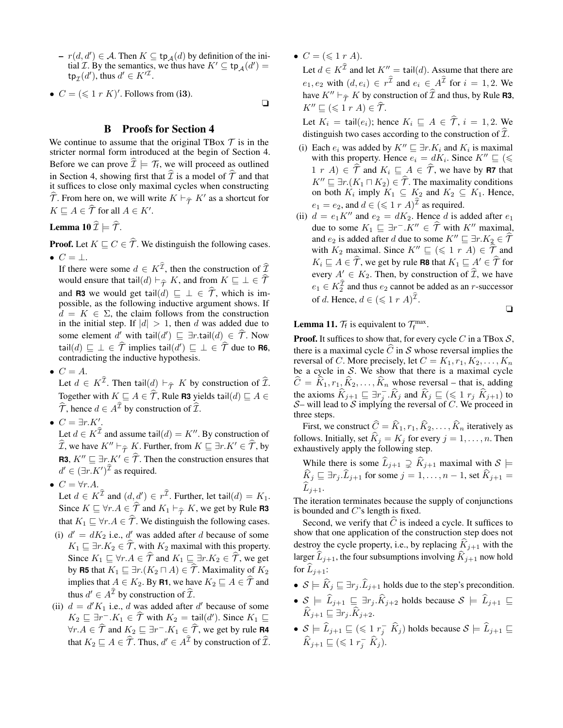- $r(d, d') \in \mathcal{A}$ . Then  $K \subseteq \text{tp}_{\mathcal{A}}(d)$  by definition of the initial *T*. By the semantics, we thus have  $K' \subseteq \text{tp}_{\mathcal{A}}(d') =$  $\tt tp<sub>\mathcal{I</sub>(d'), thus d' \in K'^{\mathcal{I}}.$
- $C = (\leq 1 \ r \ K)'$ . Follows from (i3).

## B Proofs for Section 4

We continue to assume that the original TBox  $\mathcal T$  is in the stricter normal form introduced at the begin of Section 4. Before we can prove  $\mathcal{I} \models \mathcal{T}_f$ , we will proceed as outlined in Section 4, showing first that  $\hat{\mathcal{I}}$  is a model of  $\hat{\mathcal{T}}$  and that it suffices to close only maximal cycles when constructing  $\widehat{T}$ . From here on, we will write  $K \vdash_{\widehat{T}} K'$  as a shortcut for  $K \sqsubseteq A \in \widehat{\mathcal{T}}$  for all  $A \in K'.$ 

Lemma 10  $\widehat{\mathcal{I}} \models \widehat{\mathcal{T}}$ .

**Proof.** Let  $K \sqsubseteq C \in \widehat{T}$ . We distinguish the following cases. •  $C = \perp$ .

If there were some  $d \in K^{\mathcal{I}}$ , then the construction of  $\widehat{\mathcal{I}}$ would ensure that tail $(d) \vdash_{\widehat{T}} K$ , and from  $K \sqsubseteq \bot \in \widehat{T}$ and **R3** we would get tail $(d) \sqsubseteq \bot \in \mathcal{T}$ , which is im-<br>possible, as the following inductive argument shows. If  $d = K \in \Sigma$ , the claim follows from the construction in the initial step. If  $|d| > 1$ , then d was added due to some element d' with tail $(d') \sqsubseteq \exists r \cdot \text{tail}(d) \in \widehat{\mathcal{T}}$ . Now tail $(d) \sqsubseteq \bot \in \widehat{T}$  implies tail $(d') \sqsubseteq \bot \in \widehat{T}$  due to **R6**, contradicting the inductive hypothesis.

 $\bullet \ \ C = A.$ 

Let  $d \in K^{\mathcal{I}}$ . Then tail $(d) \vdash_{\widehat{\mathcal{T}}} K$  by construction of  $\widehat{\mathcal{I}}$ . Together with  $K \sqsubseteq A \in \widehat{T}$ , Rule **R3** yields tail $(d) \sqsubseteq A \in$  $\widehat{\mathcal{T}}$ , hence  $d \in A^{\mathcal{I}}$  by construction of  $\widehat{\mathcal{I}}$ .

•  $C = \exists r.K'.$ 

Let  $d \in K^{\mathcal{I}}$  and assume tail $(d) = K''$ . By construction of  $\widehat{\mathcal{I}}$ , we have  $K'' \vdash_{\widehat{\mathcal{T}}} K$ . Further, from  $K \sqsubseteq \exists r.K' \in \widehat{\mathcal{T}}$ , by **R3**,  $K'' \sqsubseteq \exists r.K' \in \widehat{T}$ . Then the construction ensures that  $d' \in (\exists r.K')^{\mathcal{I}}$  as required.

- $C = \forall r.A$ .
- Let  $d \in K^{\mathcal{I}}$  and  $(d, d') \in r^{\mathcal{I}}$ . Further, let tail $(d) = K_1$ . Since  $K \sqsubseteq \forall r.A \in \widehat{T}$  and  $K_1 \vdash_{\widehat{T}} K$ , we get by Rule **R3** that  $K_1 \sqsubseteq \forall r.A \in \widehat{T}$ . We distinguish the following cases.
- (i)  $d' = dK_2$  i.e.,  $d'$  was added after d because of some  $K_1 \sqsubseteq \exists r.K_2 \in \widehat{\mathcal{T}}$ , with  $K_2$  maximal with this property. Since  $K_1 \sqsubseteq \forall r.A \in \widehat{\mathcal{T}}$  and  $K_1 \sqsubseteq \exists r.K_2 \in \widehat{\mathcal{T}}$ , we get by **R5** that  $K_1 \sqsubseteq \exists r.(K_2 \sqcap A) \in \widehat{\mathcal{T}}$ . Maximality of  $K_2$ implies that  $A \in K_2$ . By **R1**, we have  $K_2 \sqsubseteq A \in \widehat{\mathcal{T}}$  and thus  $d' \in A^{\mathcal{I}}$  by construction of  $\widehat{\mathcal{I}}$ .
- (ii)  $d = d'K_1$  i.e., d was added after d' because of some  $K_2 \sqsubseteq \exists r^- . K_1 \in \widehat{\mathcal{T}}$  with  $K_2 = \text{tail}(d')$ . Since  $K_1 \sqsubseteq$  $\forall r.A \in \hat{\mathcal{T}}$  and  $K_2 \sqsubseteq \exists r^- . K_1 \in \hat{\mathcal{T}}$ , we get by rule **R4** that  $K_2 \sqsubseteq A \in \widehat{\mathcal{T}}$ . Thus,  $d' \in A^{\mathcal{I}}$  by construction of  $\widehat{\mathcal{I}}$ .

•  $C = (\leq 1 r A).$ 

❏

Let  $d \in K^{\mathcal{I}}$  and let  $K'' = \text{tail}(d)$ . Assume that there are  $e_1, e_2$  with  $(d, e_i) \in r^{\mathcal{I}}$  and  $e_i \in A^{\mathcal{I}}$  for  $i = 1, 2$ . We have  $K'' \vdash_{\widehat{T}} K$  by construction of  $\widehat{T}$  and thus, by Rule **R3**,  $K'' \sqsubseteq (\leqslant 1 \; r \; A) \in \widetilde{\mathcal{T}}.$ 

Let  $K_i = \text{tail}(e_i)$ ; hence  $K_i \subseteq A \in \hat{\mathcal{T}}, i = 1, 2$ . We distinguish two cases according to the construction of  $\hat{\mathcal{I}}$ .

- (i) Each  $e_i$  was added by  $K'' \sqsubseteq \exists r.K_i$  and  $K_i$  is maximal with this property. Hence  $e_i = dK_i$ . Since  $K'' \sqsubseteq (\leq$  $1 r A$   $\in \hat{\mathcal{T}}$  and  $K_i \sqsubseteq A \in \hat{\mathcal{T}}$ , we have by **R7** that  $K'' \sqsubseteq \exists r.(K_1 \sqcap K_2) \in \widehat{\mathcal{T}}$ . The maximality conditions on both  $K_i$  imply  $K_1 \subseteq K_2$  and  $K_2 \subseteq K_1$ . Hence,  $e_1 = e_2$ , and  $d \in (\leq 1 \ r \ A)^{\widehat{\mathcal{I}}}$  as required.
- (ii)  $d = e_1 K''$  and  $e_2 = dK_2$ . Hence d is added after  $e_1$ due to some  $K_1 \sqsubseteq \exists r^- . K'' \in \widehat{T}$  with  $K''$  maximal, and  $e_2$  is added after d due to some  $K'' \sqsubseteq \exists r.K_2 \in \widehat{\mathcal{T}}$ with  $K_2$  maximal. Since  $K'' \sqsubseteq (\leq 1 \; r \; A) \in \widehat{\mathcal{T}}$  and  $K_i \sqsubseteq A \in \widehat{\mathcal{T}}$ , we get by rule **R8** that  $K_1 \sqsubseteq A' \in \widehat{\mathcal{T}}$  for every  $A' \in K_2$ . Then, by construction of  $\widehat{\mathcal{I}}$ , we have  $e_1 \in K_2^{\mathcal{I}}$  and thus  $e_2$  cannot be added as an *r*-successor of d. Hence,  $d \in (\leq 1 \; r \; A)^{\widehat{\mathcal{I}}}$ .

$$
\Box
$$

# **Lemma 11.**  $\mathcal{T}_f$  is equivalent to  $\mathcal{T}_f^{\max}$ .

**Proof.** It suffices to show that, for every cycle C in a TBox  $S$ , there is a maximal cycle  $\hat{C}$  in S whose reversal implies the reversal of C. More precisely, let  $C = K_1, r_1, K_2, \ldots, K_n$ be a cycle in  $S$ . We show that there is a maximal cycle  $C = K_1, r_1, K_2, \ldots, K_n$  whose reversal – that is, adding the axioms  $\widehat{K}_{j+1} \sqsubseteq \exists r_j^-, \widehat{K}_j$  and  $\widehat{K}_j \sqsubseteq (\leq 1 r_j \ \widehat{K}_{j+1})$  to  $\mathcal{S}-$  will lead to  $\mathcal{S}$  implying the reversal of C. We proceed in three steps.

First, we construct  $\widehat{C} = \widehat{K}_1, r_1, \widehat{K}_2, \ldots, \widehat{K}_n$  iteratively as follows. Initially, set  $\widehat{K}_j = K_j$  for every  $j = 1, \dots, n$ . Then exhaustively apply the following step.

While there is some 
$$
\widehat{L}_{j+1} \supsetneq \widehat{K}_{j+1}
$$
 maximal with  $S \models \widehat{K}_j \sqsubseteq \exists r_j \cdot \widehat{L}_{j+1}$  for some  $j = 1, ..., n-1$ , set  $\widehat{K}_{j+1} = \widehat{L}_{j+1}$ .

The iteration terminates because the supply of conjunctions is bounded and  $C$ 's length is fixed.

Second, we verify that  $\overrightarrow{C}$  is indeed a cycle. It suffices to show that one application of the construction step does not destroy the cycle property, i.e., by replacing  $K_{j+1}$  with the larger  $\widehat{L}_{j+1}$ , the four subsumptions involving  $\widehat{K}_{j+1}$  now hold for  $\widehat{L}_{i+1}$ :

- $S \models \hat{K}_j \sqsubseteq \exists r_j \cdot \hat{L}_{j+1}$  holds due to the step's precondition.
- $S \models \widehat{L}_{j+1} \sqsubseteq \exists r_j \cdot \widehat{K}_{j+2}$  holds because  $S \models \widehat{L}_{j+1} \sqsubseteq$  $\widehat{K}_{i+1} \sqsubseteq \exists r_i \widehat{K}_{i+2}.$
- $S \models \widehat{L}_{j+1} \sqsubseteq (\leq 1 \ r_j^- \ \widehat{K}_j)$  holds because  $S \models \widehat{L}_{j+1} \sqsubseteq$  $\widehat{K}_{j+1} \sqsubseteq (\leqslant 1 \ r_j^- \ \widehat{K}_j).$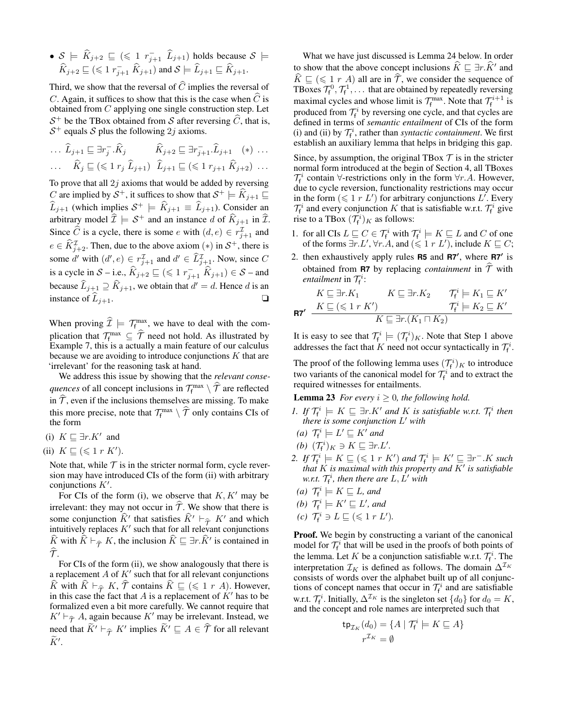$\bullet$   $S \models \widehat{K}_{j+2} \sqsubseteq (\leq 1 \ r_{j+1}^{\{-1\}} \ \widehat{L}_{j+1})$  holds because  $S \models$  $\widehat{K}_{j+2} \sqsubseteq (\leqslant 1 \, r_{j+1}^-\ \widehat{K}_{j+1})$  and  $\mathcal{S} \models \widehat{L}_{j+1} \sqsubseteq \widehat{K}_{j+1}.$ 

Third, we show that the reversal of  $\widehat{C}$  implies the reversal of  $C$ . Again, it suffices to show that this is the case when  $C$  is obtained from C applying one single construction step. Let  $S^+$  be the TBox obtained from S after reversing  $\hat{C}$ , that is,  $S^+$  equals S plus the following 2j axioms.

$$
\dots \widehat{L}_{j+1} \sqsubseteq \exists r_j^- \widehat{K}_j \qquad \widehat{K}_{j+2} \sqsubseteq \exists r_{j+1}^- \widehat{L}_{j+1} \quad (*) \dots
$$

$$
\dots \qquad \widehat{K}_j \sqsubseteq (\leq 1 \ r_j \ \widehat{L}_{j+1}) \ \widehat{L}_{j+1} \sqsubseteq (\leq 1 \ r_{j+1} \ \widehat{K}_{j+2}) \ \dots
$$

To prove that all  $2j$  axioms that would be added by reversing C are implied by  $S^+$ , it suffices to show that  $S^+ \models \widehat{K}_{j+1} \sqsubseteq$  $\widehat{L}_{j+1}$  (which implies  $S^+ \models \widehat{K}_{j+1} \equiv \widehat{L}_{j+1}$ ). Consider an arbitrary model  $\widehat{\mathcal{I}} \models \mathcal{S}^+$  and an instance d of  $\widehat{K}_{j+1}$  in  $\widehat{\mathcal{I}}$ . Since  $\widehat{C}$  is a cycle, there is some e with  $(d, e) \in r_{j+1}^{\mathcal{I}}$  and  $e \in \widehat{K}_{j+2}^{\mathcal{I}}$ . Then, due to the above axiom  $(*)$  in  $\mathcal{S}^+$ , there is some d' with  $(d', e) \in r_{j+1}^{\mathcal{I}}$  and  $d' \in \widehat{L}^{\mathcal{I}}_{j+1}$ . Now, since C is a cycle in  $S$  – i.e.,  $\widehat{K}_{j+2} \sqsubseteq (\leq 1 \ r_{j+1}^-\ \widehat{K}_{j+1}) \in S$  – and because  $\widehat{L}_{j+1} \supseteq \widehat{K}_{j+1}$ , we obtain that  $d' = d$ . Hence d is an instance of  $L_{i+1}$ .

When proving  $\mathcal{I} \models \mathcal{T}_{f_{\infty}}^{\max}$ , we have to deal with the complication that  $\mathcal{T}_{\text{f}}^{\text{max}} \subseteq \hat{\mathcal{T}}$  need not hold. As illustrated by Example 7, this is a actually a main feature of our calculus because we are avoiding to introduce conjunctions  $K$  that are 'irrelevant' for the reasoning task at hand.

We address this issue by showing that the *relevant consequences* of all concept inclusions in  $\mathcal{T}_{f}^{\max} \setminus \widehat{\mathcal{T}}$  are reflected in  $\hat{\tau}$ , even if the inclusions themselves are missing. To make this more precise, note that  $\mathcal{T}_{f}^{\max} \setminus \widehat{\mathcal{T}}$  only contains CIs of the form

- (i)  $K ⊆ \exists r.K'$  and
- (ii)  $K \sqsubseteq (\leqslant 1 \rceil K')$ .

Note that, while  $T$  is in the stricter normal form, cycle reversion may have introduced CIs of the form (ii) with arbitrary conjunctions  $K'$ .

For CIs of the form (i), we observe that  $K, K'$  may be irrelevant: they may not occur in  $\hat{\mathcal{T}}$ . We show that there is some conjunction  $\hat{K}$ <sup>t</sup> that satisfies  $\hat{K}$ <sup>t</sup>  $\vdash_{\hat{\tau}} K'$  and which intuitively replaces  $K'$  such that for all relevant conjunctions intuitively replaces  $K'$  such that for all relevant conjunctions  $\widehat{K}$  with  $\widehat{K} \vdash_{\widehat{T}} K$ , the inclusion  $\widehat{K} \sqsubseteq \exists r.\widehat{K}'$  is contained in  $\tau$ .

For CIs of the form (ii), we show analogously that there is a replacement  $A$  of  $K'$  such that for all relevant conjunctions  $\widehat{K}$  with  $\widehat{K} \vdash_{\widehat{T}} K$ ,  $\widehat{T}$  contains  $\widehat{K} \sqsubseteq (\leq 1 \; r \; A)$ . However, in this case the fact that  $A$  is a replacement of  $K'$  has to be formalized even a bit more carefully. We cannot require that  $K' \vdash_{\widehat{\mathcal{T}}} A$ , again because  $K'$  may be irrelevant. Instead, we need that  $\widetilde{K}' \vdash_{\widehat{\mathcal{T}}} K'$  implies  $\widetilde{K}' \sqsubseteq A \in \widehat{\mathcal{T}}$  for all relevant  $\widetilde{K}'$ .

What we have just discussed is Lemma 24 below. In order to show that the above concept inclusions  $\widehat{K} \sqsubseteq \exists r.\widehat{K}^{\prime}$  and  $\widehat{K} \sqsubseteq (\leq 1 \ r \ A)$  all are in  $\widehat{T}$ , we consider the sequence of TBoxes  $\mathcal{T}_f^0$ ,  $\mathcal{T}_f^1$ , ... that are obtained by repeatedly reversing maximal cycles and whose limit is  $\mathcal{T}_{f}^{\max}$ . Note that  $\mathcal{T}_{f}^{i+1}$  is produced from  $\mathcal{T}_{f}^{i}$  by reversing one cycle, and that cycles are defined in terms of *semantic entailment* of CIs of the form (i) and (ii) by  $\mathcal{T}_{f}^{i}$ , rather than *syntactic containment*. We first establish an auxiliary lemma that helps in bridging this gap.

Since, by assumption, the original TBox  $\mathcal T$  is in the stricter normal form introduced at the begin of Section 4, all TBoxes  $\mathcal{T}_{f}^{i}$  contain  $\forall$ -restrictions only in the form  $\forall r.A.$  However, due to cycle reversion, functionality restrictions may occur in the form  $(\leq 1 r L')$  for arbitrary conjunctions L'. Every  $\mathcal{T}_{f}^{i}$  and every conjunction K that is satisfiable w.r.t.  $\mathcal{T}_{f}^{i}$  give rise to a TBox  $(\mathcal{T}_{f}^{i})_{K}$  as follows:

- 1. for all CIs  $L \subseteq C \in \mathcal{T}_{f}^{i}$  with  $\mathcal{T}_{f}^{i} \models K \subseteq L$  and C of one of the forms  $\exists r. L', \forall r. A$ , and  $(\leq 1 r L')$ , include  $K \sqsubseteq C$ ;
- 2. then exhaustively apply rules **R5** and **R7'**, where **R7'** is obtained from **R7** by replacing *containment* in  $\hat{\tau}$  with *entailment* in  $\mathcal{T}_{f}^{i}$ :

$$
\begin{array}{cc} K\sqsubseteq \exists r.K_1 & K\sqsubseteq \exists r.K_2 & \mathcal{T}^i_{\mathsf{f}} \models K_1 \sqsubseteq K' \\ \textbf{R7}' & \xrightarrow{K\sqsubseteq (\leqslant 1 \; r \; K')} & \mathcal{T}^i_{\mathsf{f}} \models K_2 \sqsubseteq K' \\ & K\sqsubseteq \exists r.(K_1 \sqcap K_2) \end{array}
$$

It is easy to see that  $\mathcal{T}_{f}^{i} \models (\mathcal{T}_{f}^{i})_{K}$ . Note that Step 1 above addresses the fact that K need not occur syntactically in  $\mathcal{T}_{f}^{i}$ .

The proof of the following lemma uses  $(\mathcal{T}_{f}^{i})_{K}$  to introduce two variants of the canonical model for  $\mathcal{T}_{f}^{i}$  and to extract the required witnesses for entailments.

**Lemma 23** *For every*  $i \geq 0$ *, the following hold.* 

- *1.* If  $\mathcal{T}_{\mathsf{f}}^i \models K \sqsubseteq \exists r.K'$  and K is satisfiable w.r.t.  $\mathcal{T}_{\mathsf{f}}^i$  then *there is some conjunction* L <sup>0</sup> *with*
- (*a*)  $\mathcal{T}_{f}^{i} \models L' \sqsubseteq K'$  and
- *(b)*  $(\mathcal{T}_{f}^{i})_{K} \ni K \sqsubseteq \exists r.L'.$
- 2. If  $\mathcal{T}_{\mathsf{f}}^i \models K \sqsubseteq (\leqslant 1 \ r \ K')$  and  $\mathcal{T}_{\mathsf{f}}^i \models K' \sqsubseteq \exists r^- . K$  such *that* K *is maximal with this property and* K<sup>0</sup> *is satisfiable* w.r.t.  $\mathcal{T}_{\mathsf{f}}^i$ , then there are  $L, L'$  with
- (*a*)  $\mathcal{T}_{f}^{i} \models K \sqsubseteq L$ *, and*
- *(b)*  $\mathcal{T}_{f}^{i} \models K' \sqsubseteq L'$ *, and*
- (c)  $\mathcal{T}_{f}^{i} \ni L \sqsubseteq (\leqslant 1 r L').$

Proof. We begin by constructing a variant of the canonical model for  $\mathcal{T}_{f}^{i}$  that will be used in the proofs of both points of the lemma. Let K be a conjunction satisfiable w.r.t.  $\mathcal{T}_{f}^{i}$ . The interpretation  $\mathcal{I}_K$  is defined as follows. The domain  $\Delta^{\mathcal{I}_K}$ consists of words over the alphabet built up of all conjunctions of concept names that occur in  $\mathcal{T}_{f}^{i}$  and are satisfiable w.r.t.  $\mathcal{T}_{f}^{i}$ . Initially,  $\Delta^{\mathcal{I}_{K}}$  is the singleton set  $\{d_{0}\}$  for  $d_{0} = K$ , and the concept and role names are interpreted such that

$$
\operatorname{tp}_{\mathcal{I}_K}(d_0) = \{ A \mid \mathcal{T}_f^i \models K \sqsubseteq A \}
$$

$$
r^{\mathcal{I}_K} = \emptyset
$$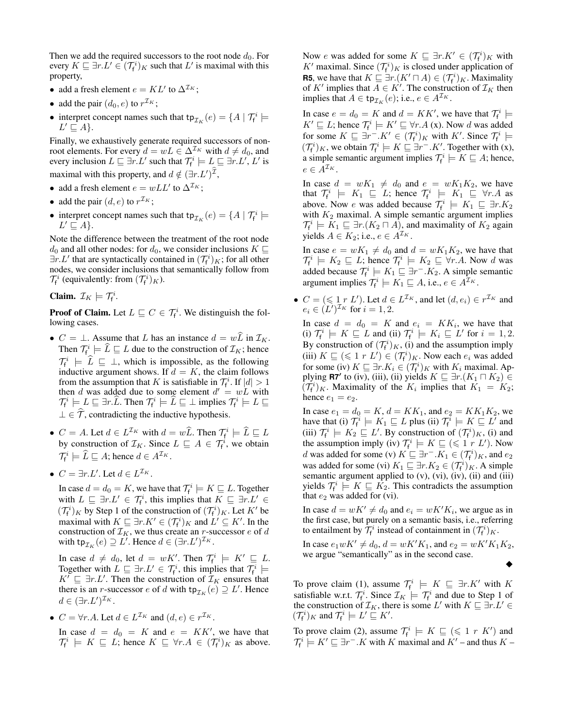Then we add the required successors to the root node  $d_0$ . For every  $K \sqsubseteq \exists r.L' \in (\mathcal{T}_f^i)_K$  such that  $L'$  is maximal with this property,

- add a fresh element  $e = KL'$  to  $\Delta^{\mathcal{I}_K}$ ;
- add the pair  $(d_0, e)$  to  $r^{\mathcal{I}_K}$ ;
- interpret concept names such that  $tp_{\mathcal{I}_K}(e) = \{ A \mid \mathcal{T}_f^i \models$  $L' \sqsubseteq A$ .

Finally, we exhaustively generate required successors of nonroot elements. For every  $d = wL \in \Delta^{\mathcal{I}_K}$  with  $d \neq d_0$ , and every inclusion  $L \sqsubseteq \exists r.L'$  such that  $\mathcal{T}_{f}^{i} \models L \sqsubseteq \exists r.L', L'$  is maximal with this property, and  $d \notin (\exists r.L')^{\mathcal{I}},$ 

- add a fresh element  $e = wLL'$  to  $\Delta^{\mathcal{I}_K}$ ;
- add the pair  $(d, e)$  to  $r^{\mathcal{I}_K}$ ;
- interpret concept names such that  $tp_{\mathcal{I}_K}(e) = \{ A \mid \mathcal{T}_f^i \models$  $L' \sqsubseteq A$ .

Note the difference between the treatment of the root node  $d_0$  and all other nodes: for  $d_0$ , we consider inclusions  $K \square$  $\exists r.L'$  that are syntactically contained in  $(\mathcal{T}_{f}^{i})_{K}$ ; for all other nodes, we consider inclusions that semantically follow from  $\mathcal{T}_{f}^{i}$  (equivalently: from  $(\mathcal{T}_{f}^{i})_{K}$ ).

Claim.  $\mathcal{I}_K \models \mathcal{T}_{f}^i$ .

**Proof of Claim.** Let  $L \sqsubseteq C \in \mathcal{T}_{f}^{i}$ . We distinguish the following cases.

- $C = \perp$ . Assume that L has an instance  $d = w\tilde{L}$  in  $\mathcal{I}_K$ . Then  $\mathcal{T}_{\mathsf{f}}^i \models \widehat{L} \sqsubseteq L$  due to the construction of  $\mathcal{I}_K$ ; hence  $\mathcal{T}_i^i \models \hat{L} \sqsubseteq \bot$ , which is impossible, as the following inductive argument shows. If  $d = K$ , the claim follows from the assumption that K is satisfiable in  $\mathcal{T}_{f}^{i}$ . If  $|d| > 1$ then d was added due to some element  $d' = wL$  with  $\mathcal{T}_{\mathsf{f}}^i \models L \sqsubseteq \exists r.\widehat{L}$ . Then  $\mathcal{T}_{\mathsf{f}}^i \models \widehat{L} \sqsubseteq \bot$  implies  $\mathcal{T}_{\mathsf{f}}^i \models L \sqsubseteq \bot$  $\bot \in \mathcal{T}$ , contradicting the inductive hypothesis.
- $C = A$ . Let  $d \in L^{\mathcal{I}_K}$  with  $d = w\widehat{L}$ . Then  $\mathcal{T}_f^i \models \widehat{L} \sqsubseteq L$ by construction of  $\mathcal{I}_K$ . Since  $L \subseteq A \in \mathcal{T}_f^i$ , we obtain  $\mathcal{T}_{f}^{i} \models \widehat{L} \sqsubseteq A$ ; hence  $d \in A^{\mathcal{I}_{K}}$ .
- $C = \exists r.L'.$  Let  $d \in L^{\mathcal{I}_K}$ .

In case  $d = d_0 = K$ , we have that  $\mathcal{T}_{f}^i \models K \sqsubseteq L$ . Together with  $L \subseteq \exists r.L' \in \mathcal{T}_{f}^{i}$ , this implies that  $K \subseteq \exists r.L' \in$  $({\mathcal T}_{\mathsf f}^i)_K$  by Step 1 of the construction of  $({\mathcal T}_{\mathsf f}^i)_K$ . Let  $K'$  be maximal with  $K \subseteq \exists r.K' \in (\mathcal{T}_{f}^{i})_{K}$  and  $L' \subseteq K'$ . In the construction of  $\mathcal{I}_K$ , we thus create an *r*-successor *e* of *d* with  $\tt tp_{\mathcal{I}_K}(e) \supseteq L'.$  Hence  $d \in (\exists r.L')^{\mathcal{I}_K}$ .

In case  $d \neq d_0$ , let  $d = wK'$ . Then  $\mathcal{T}_f^i \models K' \sqsubseteq L$ . Together with  $L \subseteq \exists r.L' \in \mathcal{T}_f^i$ , this implies that  $\mathcal{T}_f^i \models$  $K^{\prime} \subseteq \exists r.L^{\prime}$ . Then the construction of  $\mathcal{I}_{K}$  ensures that there is an *r*-successor *e* of *d* with  $tp_{\mathcal{I}_K}(e) \supseteq L'$ . Hence  $d \in (\exists r.L')^{\mathcal{I}_K}.$ 

• 
$$
C = \forall r.A.
$$
 Let  $d \in L^{\mathcal{I}_K}$  and  $(d, e) \in r^{\mathcal{I}_K}$ .

In case  $d = d_0 = K$  and  $e = KK'$ , we have that  $\mathcal{T}_{f}^{i} \models K \sqsubseteq L$ ; hence  $K \sqsubseteq \forall r.A \in (\mathcal{T}_{f}^{i})_{K}$  as above. Now e was added for some  $K \subseteq \exists r.K' \in (\mathcal{T}_f^i)_K$  with  $K'$  maximal. Since  $(\mathcal{T}_{f}^{i})_{K}$  is closed under application of **R5**, we have that  $K \sqsubseteq \exists r.(K' \sqcap A) \in (\mathcal{T}_{f}^{i})_{K}$ . Maximality of K' implies that  $A \in K'$ . The construction of  $\mathcal{I}_K$  then implies that  $A \in \text{tp}_{\mathcal{I}_K}(e)$ ; i.e.,  $e \in A^{\mathcal{I}_K}$ .

In case  $e = d_0 = K$  and  $d = KK'$ , we have that  $\mathcal{T}_f^i$   $\models$  $K' \sqsubseteq L$ ; hence  $\mathcal{T}_{f}^{i} \models K' \sqsubseteq \forall r.A$  (x). Now d was added for some  $K \sqsubseteq \exists r^- . K' \in (\mathcal{T}_{f}^i)_{K}$  with  $K'$ . Since  $\mathcal{T}_{f}^i \models$  $({\mathcal T}_{\sf f}^i)_K$ , we obtain  ${\mathcal T}_{\sf f}^i \models K \sqsubseteq \exists r^- . K'.$  Together with  $(x)$ , a simple semantic argument implies  $\mathcal{T}_{f}^{i} \models K \sqsubseteq A$ ; hence,  $e \in A^{\mathcal{I}_K}$ .

In case  $d = wK_1 \neq d_0$  and  $e = wK_1K_2$ , we have that  $\mathcal{T}_{f}^{i} \models K_{1} \sqsubseteq L$ ; hence  $\mathcal{T}_{f}^{i} \models K_{1} \sqsubseteq \forall r.A$  as above. Now e was added because  $\mathcal{T}_f^i \models K_1 \sqsubseteq \exists r.K_2$ with  $K_2$  maximal. A simple semantic argument implies  $\mathcal{T}_{f}^{i} \models K_1 \sqsubseteq \exists r.(K_2 \sqcap A)$ , and maximality of  $K_2$  again yields  $A \in K_2$ ; i.e.,  $e \in A^{\mathcal{I}_K}$ .

In case  $e = wK_1 \neq d_0$  and  $d = wK_1K_2$ , we have that  $\mathcal{T}_{\mathsf{f}}^i \models K_2 \sqsubseteq L$ ; hence  $\mathcal{T}_{\mathsf{f}}^i \models K_2 \sqsubseteq \forall r.A$ . Now d was added because  $\mathcal{T}_{f}^{i} \models K_1 \sqsubseteq \exists r^- . K_2$ . A simple semantic argument implies  $\mathcal{T}_{f}^{i} \models K_1 \sqsubseteq A$ , i.e.,  $e \in A^{\mathcal{I}_{K}}$ .

•  $C = (\leq 1 r L')$ . Let  $d \in L^{\mathcal{I}_K}$ , and let  $(d, e_i) \in r^{\mathcal{I}_K}$  and  $e_i \in (L')^{\mathcal{I}_K}$  for  $i = 1, 2$ .

In case  $d = d_0 = K$  and  $e_i = KK_i$ , we have that (i)  $\mathcal{T}_{f}^{i} \models K \sqsubseteq L$  and (ii)  $\mathcal{T}_{f}^{i} \models K_{i} \sqsubseteq L'$  for  $i = 1, 2$ . By construction of  $(\mathcal{T}_{f}^{i})_K$ , (i) and the assumption imply (iii)  $K \sqsubseteq (\leq 1 \ r \ L') \in (\mathcal{T}_{f}^{i})_{K}$ . Now each  $e_{i}$  was added for some (iv)  $K \sqsubseteq \exists r.K_i \in (\mathcal{T}_{f}^i)_{K}$  with  $K_i$  maximal. Applying **R7'** to (iv), (iii), (ii) yields  $K \sqsubseteq \exists r.(K_1 \sqcap K_2) \in$  $(\overline{\mathcal{T}}_f^i)_K$ . Maximality of the  $K_i$  implies that  $K_1 = K_2$ ; hence  $e_1 = e_2$ .

In case  $e_1 = d_0 = K$ ,  $d = KK_1$ , and  $e_2 = KK_1K_2$ , we have that (i)  $\mathcal{T}_{f}^{i} \models K_{1} \sqsubseteq L$  plus (ii)  $\mathcal{T}_{f}^{i} \models K \sqsubseteq L'$  and (iii)  $\mathcal{T}_{f}^{i} \models K_2 \sqsubseteq L'$ . By construction of  $(\mathcal{T}_{f}^{i})_K$ , (i) and the assumption imply (iv)  $\mathcal{T}_{f}^{i} \models K \sqsubseteq (\leq 1 \; r \; L')$ . Now d was added for some (v)  $K \sqsubseteq \exists r^- . K_1 \in (\mathcal{T}_f^i)_K$ , and  $e_2$ was added for some (vi)  $K_1 \sqsubseteq \exists r.K_2 \in (\mathcal{T}_{f}^i)_K$ . A simple semantic argument applied to  $(v)$ ,  $(vi)$ ,  $(iv)$ ,  $(ii)$  and  $(iii)$ yields  $\mathcal{T}_{f}^{i} \models K \sqsubseteq \hat{K}_{2}$ . This contradicts the assumption that  $e_2$  was added for (vi).

In case  $d = wK' \neq d_0$  and  $e_i = wK'K_i$ , we argue as in the first case, but purely on a semantic basis, i.e., referring to entailment by  $\overline{\mathcal{I}}_f^i$  instead of containment in  $(\mathcal{T}_f^i)_K$ .

In case  $e_1 w K' \neq d_0$ ,  $d = w K' K_1$ , and  $e_2 = w K' K_1 K_2$ , we argue "semantically" as in the second case.

$$
\bullet
$$

To prove claim (1), assume  $\mathcal{T}_f^i \models K \sqsubseteq \exists r.K'$  with K satisfiable w.r.t.  $\mathcal{T}_f^i$ . Since  $\mathcal{I}_K \models \mathcal{T}_f^i$  and due to Step 1 of the construction of  $\mathcal{I}_K$ , there is some L' with  $K \sqsubseteq \exists r.L' \in$  $({\mathcal T}_{\mathsf f}^i)_K$  and  ${\mathcal T}_{\mathsf f}^i \models L' \sqsubseteq K'.$ 

To prove claim (2), assume  $\mathcal{T}_{f}^{i} \models K \sqsubseteq (\leq 1 \; r \; K')$  and  $\mathcal{T}_{\mathsf{f}}^i \models K' \sqsubseteq \exists r^- . K$  with K maximal and  $K'$  – and thus  $K$  –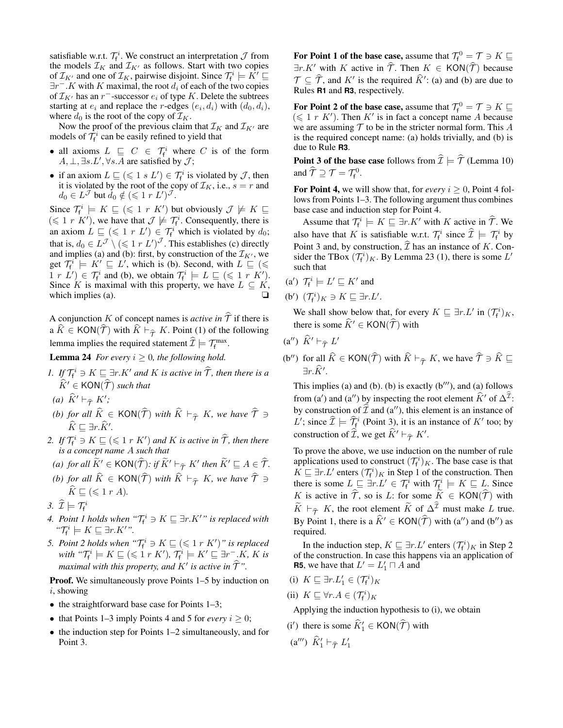satisfiable w.r.t.  $\mathcal{T}_f^i$ . We construct an interpretation  $\mathcal J$  from the models  $\mathcal{I}_K$  and  $\mathcal{I}_{K'}$  as follows. Start with two copies of  $\mathcal{I}_{K'}$  and one of  $\mathcal{I}_K$ , pairwise disjoint. Since  $\mathcal{T}_{f}^i \models \hat{K'} \sqsubseteq$  $\exists r^-$ .K with K maximal, the root  $d_i$  of each of the two copies of  $\mathcal{I}_{K'}$  has an r<sup>-</sup>-successor  $e_i$  of type K. Delete the subtrees starting at  $e_i$  and replace the r-edges  $(e_i, d_i)$  with  $(d_0, d_i)$ , where  $d_0$  is the root of the copy of  $\mathcal{I}_K$ .

Now the proof of the previous claim that  $\mathcal{I}_K$  and  $\mathcal{I}_{K'}$  are models of  $\mathcal{T}_{f}^{i}$  can be easily refined to yield that

- all axioms  $L \subseteq C \in \mathcal{T}_{f}^{i}$  where C is of the form  $A, \perp, \exists s. L', \forall s. A$  are satisfied by  $\mathcal{J}$ ;
- if an axiom  $L \sqsubseteq (\leq 1 \ s \ L') \in \mathcal{T}_f^i$  is violated by  $\mathcal{J}$ , then it is violated by the root of the copy of  $\mathcal{I}_K$ , i.e.,  $s = r$  and  $d_0 \in L^{\mathcal{J}}$  but  $\dot{d}_0 \notin (\leqslant 1 \; r \; L')^{\mathcal{J}}$ .

Since  $\mathcal{T}_{f}^{i} \models K \sqsubseteq (\leq 1 \; r \; K')$  but obviously  $\mathcal{J} \not\models K \sqsubseteq$  $(\leq 1 \ r \ K')$ , we have that  $\mathcal{J} \not\models \mathcal{T}_{f}^{i}$ . Consequently, there is an axiom  $L \subseteq (\leq 1 \ r \ L') \in \mathcal{T}_{f}^{i}$  which is violated by  $d_{0}$ ; that is,  $d_0 \in L^{\mathcal{J}} \setminus (\leqslant 1 \; r \; L')^{\mathcal{J}}$ . This establishes (c) directly and implies (a) and (b): first, by construction of the  $\mathcal{I}_{K'}$ , we get  $T_f^i \models K' \sqsubseteq L'$ , which is (b). Second, with  $L \sqsubseteq (\leq$  $1 r L'$   $\in \mathcal{T}_{f}^{i}$  and (b), we obtain  $\mathcal{T}_{f}^{i} \models L \sqsubseteq (\leq 1 r K')$ . Since K is maximal with this property, we have  $L \subseteq K$ , which implies (a).  $\Box$ 

A conjunction K of concept names is *active in*  $\hat{T}$  if there is a  $K \in KON(\mathcal{T})$  with  $K \vdash_{\widehat{\mathcal{T}}} K$ . Point (1) of the following lemma implies the required statement  $\widehat{\mathcal{I}} \models \mathcal{T}^{\max}_{f}$ .

**Lemma 24** *For every*  $i \geq 0$ *, the following hold.* 

- *1. If*  $\mathcal{T}_{f}^{i} \ni K \sqsubseteq \exists r.K'$  *and K is active in*  $\widehat{T}$ *, then there is a*  $\widehat{K}' \in \text{KON}(\widehat{\mathcal{T}})$  *such that*
- (a)  $\widehat{K}' \vdash_{\widehat{\mathcal{T}}} K'$ ;
- *(b) for all*  $\widehat{K} \in \text{KON}(\widehat{\mathcal{T}})$  *with*  $\widehat{K} \vdash_{\widehat{\mathcal{T}}} K$ *, we have*  $\widehat{\mathcal{T}} \ni$  $\widehat K \sqsubseteq \exists r . \widehat K'.$
- 2. If  $\mathcal{T}_{f}^{i} \supseteq K \sqsubseteq (\leq 1 \ r \ K')$  and K is active in  $\widehat{\mathcal{T}}$ , then there *is a concept name* A *such that*
- *(a) for all*  $\widetilde{K}' \in \textsf{KON}(\widehat{\mathcal{T}})$ *: if*  $\widetilde{K}' \vdash_{\widehat{\mathcal{T}}} K'$  then  $\widetilde{K}' \sqsubseteq A \in \widehat{\mathcal{T}}$ *.*
- *(b) for all*  $\widehat{K} \in \text{KON}(\widehat{\mathcal{T}})$  *with*  $\widehat{K} \vdash_{\widehat{\mathcal{T}}} K$ *, we have*  $\widehat{\mathcal{T}} \ni$  $\widehat{K} \sqsubset (\leqslant 1 \; r \; A).$
- 3.  $\widehat{\mathcal{I}} \models \mathcal{T}_{f}^{i}$
- *4. Point 1 holds when*  $\mathscr{T}_{f}^{i} \ni K \sqsubseteq \exists r.K'$ " is replaced with  $\mathcal{T}_{f}^{i} \models K \sqsubseteq \exists r.K'$ ".
- 5. Point 2 holds when " $\mathcal{T}_{f}^{i} \ni K \sqsubseteq (\leqslant 1 \ r \ K')$ " is replaced with " $\mathcal{T}_{f}^{i} \models K \sqsubseteq (\leqslant 1 \ r \ K'), \ \mathcal{T}_{f}^{i} \models K' \sqsubseteq \exists r^{-}.K, \ K \ is$ maximal with this property, and  $K'$  is active in  $\widehat{\mathcal{T}}$ ".

**Proof.** We simultaneously prove Points 1–5 by induction on i, showing

- $\bullet$  the straightforward base case for Points 1–3;
- that Points 1–3 imply Points 4 and 5 for *every*  $i > 0$ ;
- the induction step for Points 1–2 simultaneously, and for Point 3.

For Point 1 of the base case, assume that  $\mathcal{T}_f^0 = \mathcal{T} \ni K \sqsubseteq \mathcal{T}$  $\exists r.K'$  with K active in  $\hat{\mathcal{T}}$ . Then  $K \in KON(\hat{\mathcal{T}})$  because  $\mathcal{T} \subseteq \hat{\mathcal{T}}$ , and  $K'$  is the required  $\hat{K}'$ : (a) and (b) are due to Rules **R1** and **R3**, respectively.

For Point 2 of the base case, assume that  $\mathcal{T}_f^0 = \mathcal{T} \ni K \sqsubseteq$  $(\leq 1$  r K'). Then K' is in fact a concept name A because we are assuming  $T$  to be in the stricter normal form. This  $A$ is the required concept name: (a) holds trivially, and (b) is due to Rule **R3**.

**Point 3 of the base case** follows from  $\hat{\mathcal{I}} \models \hat{\mathcal{T}}$  (Lemma 10) and  $\widehat{\mathcal{T}} \supseteq \mathcal{T} = \mathcal{T}_{f}^{0}$ .

For Point 4, we will show that, for *every*  $i \geq 0$ , Point 4 follows from Points 1–3. The following argument thus combines base case and induction step for Point 4.

Assume that  $\mathcal{T}_{f}^{i} \models K \sqsubseteq \exists r.K'$  with K active in  $\hat{\mathcal{T}}$ . We also have that K is satisfiable w.r.t.  $\mathcal{T}_f^i$  since  $\widehat{\mathcal{I}} \models \mathcal{T}_f^i$  by Point 3 and, by construction,  $\mathcal{I}$  has an instance of K. Consider the TBox  $(\mathcal{T}_{f}^{i})_K$ . By Lemma 23 (1), there is some L' such that

(a') 
$$
\mathcal{T}_{\mathsf{f}}^i \models L' \sqsubseteq K'
$$
 and

(b')  $(\mathcal{T}_{f}^{i})_{K} \ni K \sqsubseteq \exists r.L'.$ 

We shall show below that, for every  $K \sqsubseteq \exists r.L'$  in  $(\mathcal{T}_f^i)_K$ , there is some  $\widehat{K}$  ∈ KON( $\widehat{\mathcal{T}}$ ) with

- (a'')  $\widehat{K}' \vdash_{\widehat{\mathcal{T}}} L'$
- (b'') for all  $\widehat{K} \in \text{KON}(\widehat{\mathcal{T}})$  with  $\widehat{K} \vdash_{\widehat{\mathcal{T}}} K$ , we have  $\widehat{\mathcal{T}} \ni \widehat{K} \sqsubseteq$ ∃r. $\widehat{K}$ '.

This implies (a) and (b). (b) is exactly  $(b''')$ , and (a) follows from (a') and (a'') by inspecting the root element  $\hat{K}$ ' of  $\Delta^{\mathcal{I}}$ : by construction of  $\hat{\mathcal{I}}$  and (a''), this element is an instance of L'; since  $\widehat{\mathcal{I}} \models \widehat{\mathcal{I}}_f^i$  (Point 3), it is an instance of K' too; by construction of  $\widehat{\mathcal{I}}$ , we get  $\widehat{K}' \vdash_{\widehat{\mathcal{T}}} K'$ .

To prove the above, we use induction on the number of rule applications used to construct  $(\mathcal{T}_{f}^{i})_{K}$ . The base case is that  $K \sqsubseteq \exists r.L'$  enters  $(\mathcal{T}_{f}^{i})_{K}$  in Step 1 of the construction. Then there is some  $L \subseteq \exists r.L' \in \mathcal{T}_{f}^{i}$  with  $\mathcal{T}_{f}^{i} \models K \sqsubseteq L$ . Since K is active in  $\hat{T}$ , so is L: for some  $\tilde{K} \in KON(\hat{T})$  with  $\widetilde{K} \vdash_{\widehat{T}} K$ , the root element  $\widetilde{K}$  of  $\Delta^{\widehat{T}}$  must make L true. By Point 1, there is a  $\hat{K}' \in KON(\hat{\mathcal{T}})$  with (a'') and (b'') as required.

In the induction step,  $K \sqsubseteq \exists r.L'$  enters  $(\mathcal{T}_f^i)_K$  in Step 2 of the construction. In case this happens via an application of **R5**, we have that  $L' = L'_1 \sqcap A$  and

- (i)  $K \sqsubseteq \exists r.L'_1 \in (\mathcal{T}_f^i)_K$
- (ii)  $K \sqsubseteq \forall r.A \in (\mathcal{T}_{f}^{i})_{K}$

Applying the induction hypothesis to (i), we obtain

- (i') there is some  $\widehat{K}'_1 \in \text{KON}(\widehat{\mathcal{T}})$  with
- (a''')  $\widehat{K}'_1 \vdash_{\widehat{\mathcal{T}}} L'_1$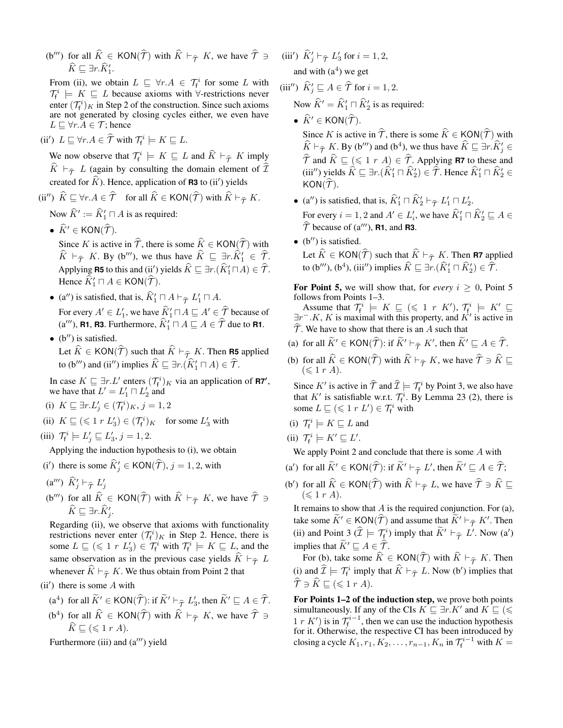(b''') for all  $\hat{K} \in KON(\hat{\mathcal{T}})$  with  $\hat{K} \vdash_{\hat{\mathcal{T}}} K$ , we have  $\hat{\mathcal{T}} \ni$  $\widehat{K} \sqsubseteq \exists r.\widehat{K}'_1.$ 

From (ii), we obtain  $L \subseteq \forall r.A \in \mathcal{T}_f^i$  for some L with  $\mathcal{T}_{f}^{i} \models K \sqsubseteq L$  because axioms with  $\forall$ -restrictions never enter  $(\mathcal{T}_{f}^{i})_{K}$  in Step 2 of the construction. Since such axioms are not generated by closing cycles either, we even have  $L \sqsubseteq \forall r.A \in \mathcal{T}$ ; hence

(ii')  $L \sqsubseteq \forall r.A \in \widehat{\mathcal{T}}$  with  $\mathcal{T}_f^i \models K \sqsubseteq L$ .

We now observe that  $\mathcal{T}_{f}^{i} \models K \sqsubseteq L$  and  $\widehat{K} \models_{\widehat{\mathcal{T}}} K$  imply  $\overline{K}$   $\vdash_{\widehat{\tau}}$  L (again by consulting the domain element of  $\overline{\mathcal{I}}$ created for  $\widehat{K}$ ). Hence, application of **R3** to (ii<sup>'</sup>) yields

(ii'')  $\widehat{K} \sqsubseteq \forall r.A \in \widehat{\mathcal{T}}$  for all  $\widehat{K} \in \mathsf{KON}(\widehat{\mathcal{T}})$  with  $\widehat{K} \vdash_{\widehat{\mathcal{T}}} K$ .

Now  $\widehat{K}' := \widehat{K}'_1 \sqcap A$  is as required:

•  $\widehat{K}' \in \text{KON}(\widehat{\mathcal{T}})$ .

Since K is active in  $\hat{\tau}$ , there is some  $\hat{K} \in KON(\hat{\tau})$  with  $\widehat{K} \vdash_{\widehat{T}} K$ . By (b'''), we thus have  $\widehat{K} \sqsubseteq \exists r \cdot \widehat{K}'_1 \in \widehat{T}$ . Applying **R5** to this and (ii') yields  $\widehat{K} \sqsubseteq \exists r.(\widehat{K}'_1 \sqcap A) \in \widehat{\mathcal{T}}.$ Hence  $\widehat{K}'_1 \sqcap A \in \text{KON}(\widehat{\mathcal{T}})$ .

- (a'') is satisfied, that is,  $\hat{K}_1' \sqcap A \vdash_{\hat{\tau}} L_1' \sqcap A$ . For every  $A' \in L'_1$ , we have  $\widehat{K}'_1 \sqcap A \sqsubseteq A' \in \widehat{\widehat{\mathcal{I}}}$  because of  $(a''')$ , **R1**, **R3**. Furthermore,  $\widehat{K}'_1 \sqcap A \sqsubseteq A \in \widehat{\mathcal{T}}$  due to **R1**.
- $\bullet$  (b'') is satisfied. Let  $\widehat{K} \in \text{KON}(\widehat{\mathcal{T}})$  such that  $\widehat{K} \vdash_{\widehat{\mathcal{T}}_L} K$ . Then **R5** applied to (b''') and (ii'') implies  $\widehat{K} \sqsubseteq \exists r \cdot (\widehat{K}'_1 \sqcap A) \in \widehat{\mathcal{T}}$ .

In case  $K \sqsubseteq \exists r.L'$  enters  $(\mathcal{T}_{f}^{i})_{K}$  via an application of **R7'**, we have that  $L' = L'_1 \sqcap L'_2$  and

- (i)  $K \sqsubseteq \exists r.L'_j \in (\mathcal{T}_f^i)_K, j = 1, 2$
- (ii)  $K \sqsubseteq (\leq 1 \ r \ L_3') \in (\mathcal{T}_f^i)_K$  for some  $L_3'$  with
- (iii)  $\mathcal{T}_{f}^{i} \models L'_{j} \sqsubseteq L'_{3}, j = 1, 2.$

Applying the induction hypothesis to (i), we obtain

- (i') there is some  $\widehat{K}'_j \in \text{KON}(\widehat{\mathcal{T}}), j = 1, 2$ , with
- (a''')  $\widehat{K}'_j \vdash_{\widehat{\mathcal{T}}} L'_j$
- (b''') for all  $\widehat{K} \in \text{KON}(\widehat{\mathcal{T}})$  with  $\widehat{K} \vdash_{\widehat{\mathcal{T}}} K$ , we have  $\widehat{\mathcal{T}} \ni$  $\widehat{K} ⊆ ∃r.\widehat{K}'_j.$

Regarding (ii), we observe that axioms with functionality restrictions never enter  $(\mathcal{T}_{f}^{i})_{K}$  in Step 2. Hence, there is some  $L \subseteq (\leq 1 \ r \ L_3') \in \mathcal{T}_f^i$  with  $\mathcal{T}_f^i \models K \sqsubseteq L$ , and the same observation as in the previous case yields  $K \vdash_{\widehat{\mathcal{T}}} L$ whenever  $\widehat{K} \vdash_{\widehat{T}} K$ . We thus obtain from Point 2 that

 $(ii')$  there is some  $A$  with

- (a<sup>4</sup>) for all  $\widetilde{K}' \in \text{KON}(\widehat{\mathcal{T}})$ : if  $\widetilde{K}' \vdash_{\widehat{\mathcal{T}}} L'_3$ , then  $\widetilde{K}' \sqsubseteq A \in \widehat{\mathcal{T}}$ .
- (b<sup>4</sup>) for all  $\hat{K} \in \text{KON}(\hat{\mathcal{T}})$  with  $\hat{K} \vdash_{\hat{\mathcal{T}}} K$ , we have  $\hat{\mathcal{T}} \ni$  $\widehat{K} \sqsubseteq (\leqslant 1 \; r \; A).$

Furthermore (iii) and  $(a''')$  yield

(iii')  $\widehat{K}'_j \vdash_{\widehat{\mathcal{T}}} L'_3$  for  $i = 1, 2$ , and with  $(a<sup>4</sup>)$  we get

(iii")  $\widehat{K}'_j \sqsubseteq A \in \widehat{\mathcal{T}}$  for  $i = 1, 2$ .

- Now  $\widehat{K}' = \widehat{K}'_1 \sqcap \widehat{K}'_2$  is as required:
- $\widehat{K}' \in KON(\widehat{\mathcal{T}})$ .

Since K is active in  $\hat{\mathcal{T}}$ , there is some  $\hat{K} \in KON(\hat{\mathcal{T}})$  with  $\widehat{K} \vdash_{\widehat{\mathcal{T}}} K$ . By (b''') and (b<sup>4</sup>), we thus have  $\widehat{K} \sqsubseteq \exists r \cdot \widehat{K}'_j \in$  $\widehat{T}$  and  $\widehat{K} \sqsubseteq (\leq 1 \ r \ A) \in \widehat{T}$ . Applying **R7** to these and (iii'') yields  $\widehat{K} \sqsubseteq \exists r.(\widehat{K}'_1 \sqcap \widehat{K}'_2) \in \widehat{\mathcal{T}}$ . Hence  $\widehat{K}'_1 \sqcap \widehat{K}'_2 \in$  $KON(\mathcal{T}).$ 

- (a'') is satisfied, that is,  $\hat{K}_1' \sqcap \hat{K}_2' \vdash_{\hat{\tau}} L_1' \sqcap L_2'$ . For every  $i = 1, 2$  and  $A' \in L'_i$ , we have  $\widehat{K}'_1 \sqcap \widehat{K}'_2 \sqsubseteq A \in \widehat{K}_i$  $\hat{\mathcal{T}}$  because of (a'''), **R1**, and **R3**.
- $\bullet$  (b'') is satisfied. Let  $\widehat{K} \in \text{KON}(\widehat{\mathcal{T}})$  such that  $\widehat{K} \vdash_{\widehat{\mathcal{T}}} K$ . Then **R7** applied to (b'''), (b<sup>4</sup>), (iii'') implies  $\widehat{K} \sqsubseteq \exists r.(\widehat{K}'_1 \sqcap \widehat{K}'_2) \in \widehat{\mathcal{T}}$ .

For Point 5, we will show that, for *every*  $i \geq 0$ , Point 5 follows from Points 1–3.

Assume that  $\mathcal{T}_{f}^{i} \models K \sqsubseteq (\leq 1 \; r \; K'), \mathcal{T}_{f}^{i} \models K' \sqsubseteq$  $\exists r^- . K, K$  is maximal with this property, and  $K'$  is active in  $\mathcal{T}$ . We have to show that there is an A such that

- (a) for all  $\widetilde{K}' \in \text{KON}(\widehat{\mathcal{T}})$ : if  $\widetilde{K}' \vdash_{\widehat{\mathcal{T}}} K'$ , then  $\widetilde{K}' \sqsubseteq A \in \widehat{\mathcal{T}}$ .
- (b) for all  $\widehat{K} \in \text{KON}(\widehat{\mathcal{T}})$  with  $\widehat{K} \vdash_{\widehat{\mathcal{T}}} K$ , we have  $\widehat{\mathcal{T}} \ni \widehat{K} \sqsubseteq$  $(\leqslant 1 r A).$

Since K' is active in  $\hat{\mathcal{T}}$  and  $\hat{\mathcal{I}} \models \mathcal{T}_f^i$  by Point 3, we also have that K' is satisfiable w.r.t.  $\mathcal{T}_{f}^{i}$ . By Lemma 23 (2), there is some  $L \sqsubseteq (\leq 1 r L') \in \mathcal{T}_{f}^{i}$  with

- (i)  $\mathcal{T}_{f}^{i} \models K \sqsubseteq L$  and
- (ii)  $\mathcal{T}_{f}^{i} \models K' \sqsubseteq L'.$

We apply Point 2 and conclude that there is some A with

- (a') for all  $\widetilde{K}' \in \text{KON}(\widehat{\mathcal{T}})$ : if  $\widetilde{K}' \vdash_{\widehat{\mathcal{T}}} L'$ , then  $\widetilde{K}' \sqsubseteq A \in \widehat{\mathcal{T}}$ ;
- (b') for all  $\widehat{K} \in \text{KON}(\widehat{\mathcal{T}})$  with  $\widehat{K} \vdash_{\widehat{\mathcal{T}}} L$ , we have  $\widehat{\mathcal{T}} \ni \widehat{K} \sqsubseteq$  $(\leqslant 1 r A).$

It remains to show that  $A$  is the required conjunction. For (a), take some  $\widetilde{K}' \in \text{KON}(\widetilde{\mathcal{T}})$  and assume that  $\widetilde{K}' \vdash_{\widetilde{\mathcal{T}}} K'$ . Then (ii) and Point 3  $(\hat{\mathcal{I}} \models \mathcal{T}_{\hat{f}}^i)$  imply that  $\tilde{K}' \models_{\hat{\mathcal{T}}} L'$ . Now (a') implies that  $\widetilde{K}' \sqsubseteq A \in \widehat{\mathcal{T}}$ .

For (b), take some  $\widehat{K} \in KON(\widehat{\mathcal{T}})$  with  $\widehat{K} \vdash_{\widehat{\mathcal{T}}} K$ . Then (i) and  $\hat{\mathcal{I}} \models \mathcal{T}_{f}^{i}$  imply that  $\hat{K} \vdash_{\hat{\mathcal{T}}} L$ . Now (b') implies that  $\widehat{\mathcal{T}} \ni \widehat{K} \sqsubseteq (\leqslant 1 r A).$ 

For Points 1–2 of the induction step, we prove both points simultaneously. If any of the CIs  $K \subseteq \exists r.K'$  and  $K \subseteq (\leq$ 1 r K') is in  $\mathcal{T}_{f}^{i-1}$ , then we can use the induction hypothesis for it. Otherwise, the respective CI has been introduced by closing a cycle  $K_1, r_1, K_2, \ldots, r_{n-1}, K_n$  in  $\mathcal{T}_{f}^{i-1}$  with  $K =$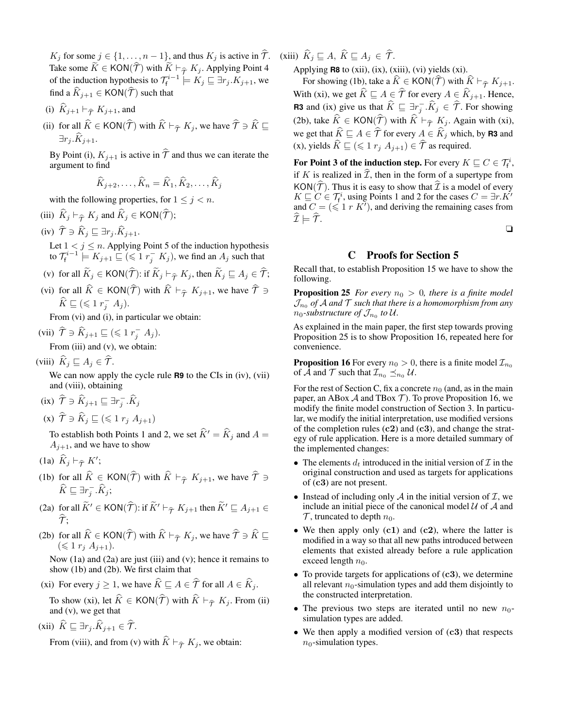$K_j$  for some  $j \in \{1, \ldots, n-1\}$ , and thus  $K_j$  is active in  $\hat{\mathcal{T}}$ . Take some  $\widetilde{K} \in \text{KON}(\widehat{\mathcal{T}})$  with  $\widetilde{K} \vdash_{\widehat{\mathcal{T}}} K_j$ . Applying Point 4 of the induction hypothesis to  $\mathcal{T}_{f}^{i-1} \models K_j \sqsubseteq \exists r_j.K_{j+1}$ , we find a  $\widehat{K}_{i+1} \in KON(\widehat{\mathcal{T}})$  such that

- (i)  $\widehat{K}_{j+1} \vdash_{\widehat{\mathcal{T}}} K_{j+1}$ , and
- (ii) for all  $\widehat{K} \in \textsf{KON}(\widehat{\mathcal{T}})$  with  $\widehat{K} \vdash_{\widehat{\mathcal{T}}} K_j$ , we have  $\widehat{\mathcal{T}} \ni \widehat{K} \sqsubseteq$  $\exists r_i.K_{i+1}.$

By Point (i),  $K_{j+1}$  is active in  $\hat{\mathcal{T}}$  and thus we can iterate the argument to find

$$
\widehat{K}_{j+2}, \ldots, \widehat{K}_n = \widehat{K}_1, \widehat{K}_2, \ldots, \widehat{K}_j
$$

with the following properties, for  $1 \leq j < n$ .

- (iii)  $\widehat{K}_j \vdash_{\widehat{\mathcal{T}}} K_j$  and  $\widehat{K}_j \in \textsf{KON}(\widehat{\mathcal{T}});$
- (iv)  $\widehat{\mathcal{T}} \ni \widehat{K}_j \sqsubseteq \exists r_j . \widehat{K}_{j+1}.$

Let  $1 < j \le n$ . Applying Point 5 of the induction hypothesis to  $\mathcal{T}_{f}^{i-1} \models K_{j+1} \sqsubseteq (\leqslant 1 \ r_{j}^{-} \ K_{j}),$  we find an  $A_{j}$  such that

- (v) for all  $\widetilde{K}_j \in \text{KON}(\widehat{\mathcal{T}})$ : if  $\widetilde{K}_j \vdash_{\widehat{\mathcal{T}}} K_j$ , then  $\widetilde{K}_j \sqsubseteq A_j \in \widehat{\mathcal{T}}$ ;
- (vi) for all  $\hat{K} \in KON(\hat{\mathcal{T}})$  with  $\hat{K} \vdash_{\hat{\mathcal{T}}} K_{j+1}$ , we have  $\hat{\mathcal{T}} \ni$  $\widehat{K} \sqsubseteq (\leqslant 1 r_j^- A_j).$

From (vi) and (i), in particular we obtain:

(vii)  $\widehat{\mathcal{T}} \ni \widehat{K}_{j+1} \sqsubseteq (\leqslant 1 \; r_j^{-} \; A_j).$ From (iii) and (v), we obtain:

(viii)  $\widehat{K}_i \sqsubseteq A_j \in \widehat{\mathcal{T}}$ .

We can now apply the cycle rule **R9** to the CIs in (iv), (vii) and (viii), obtaining

- (ix)  $\widehat{\mathcal{T}} \ni \widehat{K}_{j+1} \sqsubseteq \exists r_j^- \ldotp \widehat{K}_j$
- (x)  $\widehat{\mathcal{T}} \ni \widehat{K}_j \sqsubseteq (\leq 1 \ r_j \ A_{j+1})$

To establish both Points 1 and 2, we set  $\hat{K}' = \hat{K}_j$  and  $A =$  $A_{j+1}$ , and we have to show

- (1a)  $\widehat{K}_j \vdash_{\widehat{\mathcal{T}}} K'$ ;
- (1b) for all  $\widehat{K} \in \text{KON}(\widehat{\mathcal{T}})$  with  $\widehat{K} \vdash_{\widehat{\mathcal{T}}} K_{j+1}$ , we have  $\widehat{\mathcal{T}} \ni$  $\widehat{K} \sqsubseteq \exists r_j^- . \widehat{K}_j;$
- (2a) for all  $\widetilde{K}' \in KON(\widehat{\mathcal{T}})$ : if  $\widetilde{K}' \vdash_{\widehat{\mathcal{T}}} K_{j+1}$  then  $\widetilde{K}' \sqsubseteq A_{j+1} \in$  $\widehat{\tau}$ .
- (2b) for all  $\widehat{K} \in \text{KON}(\widehat{\mathcal{T}})$  with  $\widehat{K} \vdash_{\widehat{\mathcal{T}}} K_j$ , we have  $\widehat{\mathcal{T}} \ni \widehat{K} \sqsubseteq$  $(\leq 1 \ r_j \ A_{j+1}).$

Now (1a) and (2a) are just (iii) and (v); hence it remains to show (1b) and (2b). We first claim that

(xi) For every  $j \ge 1$ , we have  $\widehat{K} \sqsubseteq A \in \widehat{\mathcal{T}}$  for all  $A \in \widehat{K}_j$ .

To show (xi), let  $\hat{K} \in \text{KON}(\hat{\mathcal{T}})$  with  $\hat{K} \vdash_{\hat{\mathcal{T}}} K_j$ . From (ii) and (v), we get that

(xii)  $\widehat{K} \sqsubseteq \exists r_j \ldotp \widehat{K}_{j+1} \in \widehat{\mathcal{T}}$ .

From (viii), and from (v) with  $\hat{K} \models_{\hat{\tau}} K_j$ , we obtain:

(xiii)  $\widehat{K}_i \sqsubseteq A, \widehat{K} \sqsubseteq A_j \in \widehat{\mathcal{T}}$ .

Applying  $R8$  to (xii), (ix), (xiii), (vi) yields (xi).

For showing (1b), take a  $\widehat{K} \in KON(\widehat{\mathcal{T}})$  with  $\widehat{K} \vdash_{\widehat{\mathcal{T}}} K_{j+1}$ . With (xi), we get  $\widehat{K} \sqsubseteq A \in \widehat{\mathcal{T}}$  for every  $A \in \widehat{K}_{j+1}$ . Hence, **R3** and (ix) give us that  $\widehat{K} \sqsubseteq \exists r_j^- \widehat{K}_j \in \widehat{T}$ . For showing (2b), take  $\widehat{K} \in \text{KON}(\widehat{\mathcal{T}})$  with  $\widehat{K} \vdash_{\widehat{\mathcal{T}}} K_j$ . Again with (xi), we get that  $\widehat{K} \sqsubseteq A \in \widehat{T}$  for every  $A \in \widehat{K}_j$  which, by **R3** and (x), yields  $\widehat{K} \sqsubseteq (\leq 1 r_j A_{j+1}) \in \widehat{T}$  as required.

For Point 3 of the induction step. For every  $K\sqsubseteq C\in \mathcal{T}^i_\mathsf{f}$ , if K is realized in  $\mathcal{I}$ , then in the form of a supertype from KON( $\hat{\tau}$ ). Thus it is easy to show that  $\hat{\tau}$  is a model of every  $K \sqsubseteq C \in \mathcal{T}_{f}^{i}$ , using Points 1 and 2 for the cases  $C = \exists r.K'$ and  $C = (\leq 1 \, r \, K')$ , and deriving the remaining cases from  $\widehat{\mathcal{I}} \models \widehat{\mathcal{T}}.$ 

❏

# C Proofs for Section 5

Recall that, to establish Proposition 15 we have to show the following.

**Proposition 25** *For every*  $n_0 > 0$ *, there is a finite model*  $\mathcal{J}_{n_0}$  of  $\mathcal A$  and  $\mathcal T$  such that there is a homomorphism from any  $n_0$ -substructure of  $\mathcal{J}_{n_0}$  to U.

As explained in the main paper, the first step towards proving Proposition 25 is to show Proposition 16, repeated here for convenience.

**Proposition 16** For every  $n_0 > 0$ , there is a finite model  $\mathcal{I}_{n_0}$ of A and T such that  $\mathcal{I}_{n_0} \preceq_{n_0} \mathcal{U}$ .

For the rest of Section C, fix a concrete  $n_0$  (and, as in the main paper, an ABox  $A$  and TBox  $T$ ). To prove Proposition 16, we modify the finite model construction of Section 3. In particular, we modify the initial interpretation, use modified versions of the completion rules  $(c2)$  and  $(c3)$ , and change the strategy of rule application. Here is a more detailed summary of the implemented changes:

- The elements  $d_t$  introduced in the initial version of  $\mathcal I$  in the original construction and used as targets for applications of (c3) are not present.
- Instead of including only  $\mathcal A$  in the initial version of  $\mathcal I$ , we include an initial piece of the canonical model  $U$  of  $A$  and  $\mathcal T$ , truncated to depth  $n_0$ .
- We then apply only (c1) and (c2), where the latter is modified in a way so that all new paths introduced between elements that existed already before a rule application exceed length  $n_0$ .
- To provide targets for applications of  $(c3)$ , we determine all relevant  $n_0$ -simulation types and add them disjointly to the constructed interpretation.
- The previous two steps are iterated until no new  $n_0$ simulation types are added.
- We then apply a modified version of (c3) that respects  $n_0$ -simulation types.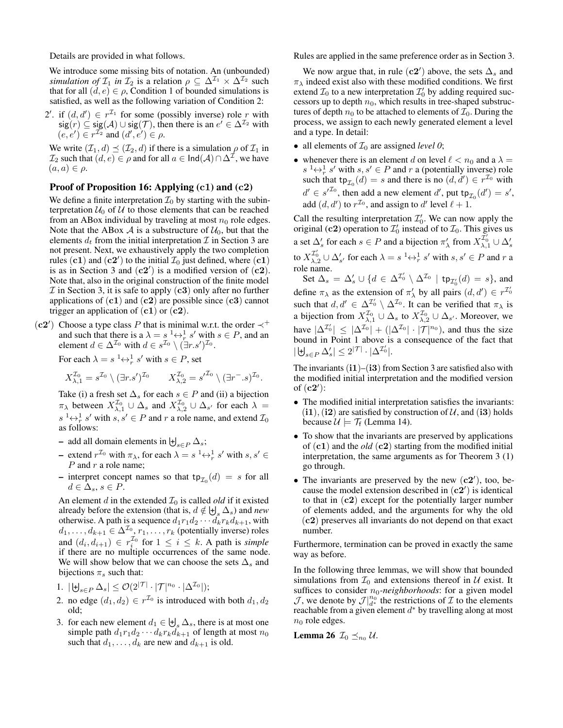Details are provided in what follows.

We introduce some missing bits of notation. An (unbounded) *simulation of*  $\mathcal{I}_1$  *in*  $\mathcal{I}_2$  *is a relation*  $\rho \subseteq \Delta^{\mathcal{I}_1} \times \Delta^{\mathcal{I}_2}$  *such* that for all  $(d, e) \in \rho$ , Condition 1 of bounded simulations is satisfied, as well as the following variation of Condition 2:

2'. if  $(d, d') \in r^{\mathcal{I}_1}$  for some (possibly inverse) role r with sig $(r) \subseteq$  sig $(\mathcal{A}) \cup$  sig $(\mathcal{T})$ , then there is an  $e' \in \Delta^{\mathcal{I}_2}$  with  $(e, e') \in r^{\mathcal{I}_2}$  and  $(d', e') \in \rho$ .

We write  $(\mathcal{I}_1, d) \preceq (\mathcal{I}_2, d)$  if there is a simulation  $\rho$  of  $\mathcal{I}_1$  in  $\mathcal{I}_2$  such that  $(d, e) \in \rho$  and for all  $a \in \text{Ind}(\mathcal{A}) \cap \Delta^{\mathcal{I}}$ , we have  $(a, a) \in \rho$ .

## Proof of Proposition 16: Applying (c1) and (c2)

We define a finite interpretation  $\mathcal{I}_0$  by starting with the subinterpretation  $U_0$  of U to those elements that can be reached from an ABox individual by traveling at most  $n_0$  role edges. Note that the ABox A is a substructure of  $U_0$ , but that the elements  $d_t$  from the initial interpretation  $\mathcal I$  in Section 3 are not present. Next, we exhaustively apply the two completion rules  $(c1)$  and  $(c2')$  to the initial  $\mathcal{I}_0$  just defined, where  $(c1)$ is as in Section 3 and  $(c2')$  is a modified version of  $(c2)$ . Note that, also in the original construction of the finite model  $\mathcal I$  in Section 3, it is safe to apply  $(c3)$  only after no further applications of  $(c1)$  and  $(c2)$  are possible since  $(c3)$  cannot trigger an application of  $(c1)$  or  $(c2)$ .

(c2') Choose a type class P that is minimal w.r.t. the order  $\prec^+$ and such that there is a  $\lambda = s^{-1} \leftrightarrow_r^1 s'$  with  $s \in P$ , and an element  $d \in \Delta^{\mathcal{I}_0}$  with  $d \in s^{\mathcal{I}_0} \setminus (\exists r.s')^{\mathcal{I}_0}$ .

For each  $\lambda = s^{-1} \leftrightarrow_r^1 s'$  with  $s \in P$ , set

$$
X_{\lambda,1}^{\mathcal{I}_0} = s^{\mathcal{I}_0} \setminus (\exists r.s')^{\mathcal{I}_0} \qquad X_{\lambda,2}^{\mathcal{I}_0} = s'^{\mathcal{I}_0} \setminus (\exists r^-.s)^{\mathcal{I}_0}.
$$

Take (i) a fresh set  $\Delta_s$  for each  $s \in P$  and (ii) a bijection  $\pi_{\lambda}$  between  $X_{\lambda,1}^{\mathcal{I}_0} \cup \Delta_s$  and  $X_{\lambda,2}^{\mathcal{I}_0} \cup \Delta_{s'}$  for each  $\lambda =$  $s \xrightarrow{1} s'$  with  $s, s' \in P$  and r a role name, and extend  $\mathcal{I}_0$ as follows:

- add all domain elements in  $\biguplus_{s \in P} \Delta_s$ ;
- extend  $r^{\mathcal{I}_0}$  with  $\pi_\lambda$ , for each  $\lambda = s^{-1} \leftrightarrow_r^1 s'$  with  $s, s' \in$ P and r a role name;
- interpret concept names so that  $tp_{\mathcal{I}_0}(d) = s$  for all  $d \in \Delta_s, s \in P.$

An element  $d$  in the extended  $\mathcal{I}_0$  is called *old* if it existed already before the extension (that is,  $d \notin \biguplus_{s} \Delta_s$ ) and *new* otherwise. A path is a sequence  $d_1r_1d_2 \cdots d_kr_kd_{k+1}$ , with  $d_1, \ldots, d_{k+1} \in \Delta^{\mathcal{I}_0}, r_1, \ldots, r_k$  (potentially inverse) roles and  $(d_i, d_{i+1}) \in r_i^{\mathcal{I}_0}$  for  $1 \leq i \leq k$ . A path is *simple* if there are no multiple occurrences of the same node. We will show below that we can choose the sets  $\Delta_s$  and bijections  $\pi_s$  such that:

- 1.  $|\biguplus_{s \in P} \Delta_s| \leq \mathcal{O}(2^{|\mathcal{T}|} \cdot |\mathcal{T}|^{n_0} \cdot |\Delta^{\mathcal{I}_0}|);$
- 2. no edge  $(d_1, d_2) \in r^{\mathcal{I}_0}$  is introduced with both  $d_1, d_2$ old;
- 3. for each new element  $d_1 \in \biguplus_s \Delta_s$ , there is at most one simple path  $d_1r_1d_2 \cdots d_kr_kd_{k+1}$  of length at most  $n_0$ such that  $d_1, \ldots, d_k$  are new and  $d_{k+1}$  is old.

Rules are applied in the same preference order as in Section 3.

We now argue that, in rule  $(c2')$  above, the sets  $\Delta_s$  and  $\pi_{\lambda}$  indeed exist also with these modified conditions. We first extend  $\mathcal{I}_0$  to a new interpretation  $\mathcal{I}'_0$  by adding required successors up to depth  $n_0$ , which results in tree-shaped substructures of depth  $n_0$  to be attached to elements of  $\mathcal{I}_0$ . During the process, we assign to each newly generated element a level and a type. In detail:

- all elements of  $\mathcal{I}_0$  are assigned *level* 0;
- whenever there is an element d on level  $\ell < n_0$  and a  $\lambda =$  $s \xrightarrow{1} s'$  with  $s, s' \in P$  and r a (potentially inverse) role such that  $tp_{\mathcal{I}_0}(d) = s$  and there is no  $(d, d') \in r^{\mathcal{I}_0}$  with  $d' \in s'^{\mathcal{I}_0}$ , then add a new element  $d'$ , put tp<sub> $\mathcal{I}_0$ </sub> $(d') = s'$ , add  $(d, d')$  to  $r^{\mathcal{I}_0}$ , and assign to d' level  $\ell + 1$ .

Call the resulting interpretation  $\mathcal{I}'_0$ . We can now apply the original (c2) operation to  $\mathcal{I}'_0$  instead of to  $\mathcal{I}_0$ . This gives us a set  $\Delta'_s$  for each  $s \in P$  and a bijection  $\pi'_\lambda$  from  $X^{\mathcal{I}'_0}_{\lambda,1} \cup \Delta'_s$ to  $X_{\lambda,2}^{T_0'} \cup \Delta'_{s'}$  for each  $\lambda = s^{-1} \leftrightarrow^1_r s'$  with  $s, s' \in P$  and  $r$  a role name.

Set  $\Delta_s = \Delta_s' \cup \{d \in \Delta^{\mathcal{I}_0'} \setminus \Delta^{\mathcal{I}_0} \mid \text{tp}_{\mathcal{I}_0'}(d) = s\}$ , and define  $\pi_{\lambda}$  as the extension of  $\pi'_{\lambda}$  by all pairs  $(d, d') \in r^{\mathcal{I}'_0}$ such that  $d, d' \in \Delta^{\mathcal{I}'_0} \setminus \Delta^{\mathcal{I}_0}$ . It can be verified that  $\pi_{\lambda}$  is a bijection from  $X_{\lambda,1}^{\mathcal{I}_0} \cup \Delta_s$  to  $X_{\lambda,2}^{\mathcal{I}_0} \cup \Delta_{s'}$ . Moreover, we have  $|\Delta^{\mathcal{I}_0'}| \leq |\Delta^{\mathcal{I}_0}| + (|\Delta^{\mathcal{I}_0}| \cdot |\mathcal{T}|^{n_0})$ , and thus the size bound in Point 1 above is a consequence of the fact that  $|\biguplus_{s\in P} \Delta_s'|\leq 2^{|{\mathcal{T}}|}\cdot |\Delta^{{\mathcal{I}}_0'}|.$ 

The invariants  $(i1)$ – $(i3)$  from Section 3 are satisfied also with the modified initial interpretation and the modified version of  $(c2')$ :

- The modified initial interpretation satisfies the invariants:  $(i1)$ ,  $(i2)$  are satisfied by construction of U, and  $(i3)$  holds because  $\mathcal{U} \models \mathcal{T}_f$  (Lemma 14).
- To show that the invariants are preserved by applications of  $(c1)$  and the *old*  $(c2)$  starting from the modified initial interpretation, the same arguments as for Theorem 3 (1) go through.
- The invariants are preserved by the new  $(c2')$ , too, because the model extension described in  $(c2)$  is identical to that in (c2) except for the potentially larger number of elements added, and the arguments for why the old (c2) preserves all invariants do not depend on that exact number.

Furthermore, termination can be proved in exactly the same way as before.

In the following three lemmas, we will show that bounded simulations from  $\mathcal{I}_0$  and extensions thereof in  $\mathcal{U}$  exist. It suffices to consider  $n_0$ -neighborhoods: for a given model  $\mathcal{J}$ , we denote by  $\mathcal{J}|_{d^*}^{n_0}$  the restrictions of  $\mathcal I$  to the elements reachable from a given element  $d^*$  by travelling along at most  $n_0$  role edges.

**Lemma 26**  $\mathcal{I}_0 \preceq_{n_0} \mathcal{U}$ .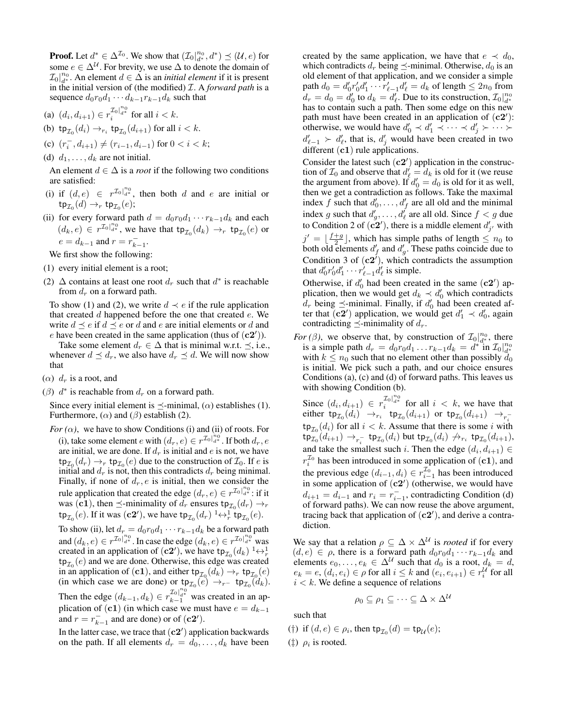**Proof.** Let  $d^* \in \Delta^{\mathcal{I}_0}$ . We show that  $(\mathcal{I}_0|_{d^*}^{n_0}, d^*) \preceq (\mathcal{U}, e)$  for some  $e \in \Delta^{\mathcal{U}}$ . For brevity, we use  $\Delta$  to denote the domain of  $\mathcal{I}_0|_{d^*}^{n_0}$ . An element  $d \in \Delta$  is an *initial element* if it is present in the initial version of (the modified) I. A *forward path* is a sequence  $d_0r_0d_1 \cdots d_{k-1}r_{k-1}d_k$  such that

- (a)  $(d_i, d_{i+1}) \in r_i^{\mathcal{I}_0|_{d^*}^{n_0}}$  for all  $i < k$ .
- (b)  $tp_{\mathcal{I}_0}(d_i) \rightarrow_{r_i} tp_{\mathcal{I}_0}(d_{i+1})$  for all  $i < k$ .
- (c)  $(r_i^-, d_{i+1}) \neq (r_{i-1}, d_{i-1})$  for  $0 < i < k$ ;
- (d)  $d_1, \ldots, d_k$  are not initial.

An element  $d \in \Delta$  is a *root* if the following two conditions are satisfied:

- (i) if  $(d, e) \in r^{\mathcal{I}_0 \mid_{d^*}^{n_0}}$ , then both d and e are initial or  ${\sf tp}_{{\mathcal I}_0}(d) \to_r {\sf tp}_{{\mathcal I}_0}(e);$
- (ii) for every forward path  $d = d_0 r_0 d_1 \cdots r_{k-1} d_k$  and each  $(d_k, e) \in r^{\mathcal{I}_0|_{d^*}^{n_0}}$ , we have that  $tp_{\mathcal{I}_0}(d_k) \to_r tp_{\mathcal{I}_0}(e)$  or  $e = d_{k-1}$  and  $r = r_{k-1}^-$ .

We first show the following:

- (1) every initial element is a root;
- (2)  $\Delta$  contains at least one root  $d_r$  such that  $d^*$  is reachable from  $d_r$  on a forward path.

To show (1) and (2), we write  $d \prec e$  if the rule application that created  $d$  happened before the one that created  $e$ . We write  $d \prec e$  if  $d \prec e$  or d and e are initial elements or d and e have been created in the same application (thus of  $(c2')$ ).

Take some element  $d_r \in \Delta$  that is minimal w.r.t.  $\preceq$ , i.e., whenever  $d \preceq d_r$ , we also have  $d_r \preceq d$ . We will now show that

- ( $\alpha$ )  $d_r$  is a root, and
- ( $\beta$ )  $d^*$  is reachable from  $d_r$  on a forward path.

Since every initial element is  $\preceq$ -minimal,  $(\alpha)$  establishes (1). Furthermore,  $(\alpha)$  and  $(\beta)$  establish (2).

*For*  $(\alpha)$ , we have to show Conditions (i) and (ii) of roots. For (i), take some element e with  $(d_r, e) \in r^{\mathcal{I}_0} \big|_{a^*}^{\overset{\circ}{n}_0}$ . If both  $d_r, e$ are initial, we are done. If  $d_r$  is initial and  $e$  is not, we have  $\tt tp_{\mathcal{I}_0}(d_r) \to_r \tt tp_{\mathcal{I}_0}(e)$  due to the construction of  $\mathcal{I}_0$ . If  $e$  is initial and  $d_r$  is not, then this contradicts  $d_r$  being minimal. Finally, if none of  $d_r$ , e is initial, then we consider the rule application that created the edge  $(d_r, e) \in r^{\mathcal{I}_0|_{d^*}^{n_0}}$ : if it was (c1), then  $\preceq$ -minimality of  $d_r$  ensures  $\tt tp_{\mathcal{I}_0}(d_r) \rightarrow_r$  $\tt tp_{\mathcal{I}_0}(e)$ . If it was  $(c2')$ , we have  $\ttp_{\mathcal{I}_0}(d_r) \longrightarrow_r^1 \ttp_{\mathcal{I}_0}(e)$ .

To show (ii), let  $d_r = d_0 r_0 d_1 \cdots r_{k-1} d_k$  be a forward path and  $(d_k, e) \in r^{\mathcal{I}_0|_{d^*}^{n_0}}$ . In case the edge  $(d_k, e) \in r^{\mathcal{I}_0|_{d^*}^{n_0}}$  was created in an application of (**c2'**), we have  $tp_{\mathcal{I}_0}(d_k) \longrightarrow_p^1$  $\tt tp<sub>Z<sub>0</sub></sub>(e)$  and we are done. Otherwise, this edge was created in an application of (**c1**), and either  $\tt tp_{\mathcal{I}_{0}}(d_{k}) \rightarrow_{r} \ttp_{\mathcal{I}_{0}}(e)$ (in which case we are done) or  $tp_{\mathcal{I}_0}(e) \rightarrow_{r^-} tp_{\mathcal{I}_0}(d_k)$ .

Then the edge  $(d_{k-1}, d_k) \in r_{k-1}^{\mathcal{I}_0} \}^{n_0}$  was created in an application of (c1) (in which case we must have  $e = d_{k-1}$ and  $r = r_{k-1}^-$  and are done) or of  $(c2')$ .

In the latter case, we trace that  $(c2')$  application backwards on the path. If all elements  $d_r = d_0, \ldots, d_k$  have been created by the same application, we have that  $e \prec d_0$ , which contradicts  $d_r$  being  $\preceq$ -minimal. Otherwise,  $d_0$  is an old element of that application, and we consider a simple path  $d_0 = d'_0 r'_0 d'_1 \cdots r'_{\ell-1} d'_{\ell} = d_k$  of length  $\leq 2n_0$  from  $d_r = d_0 = d'_0$  to  $d_k = d'_\ell$ . Due to its construction,  $\mathcal{I}_0|_{d^*}^{n_0}$ has to contain such a path. Then some edge on this new path must have been created in an application of  $(c2')$ : otherwise, we would have  $d'_0 \prec d'_1 \prec \cdots \prec d'_j \succ \cdots \succ$  $d'_{\ell-1} \succ d'_{\ell}$ , that is,  $d'_{j}$  would have been created in two different  $(c1)$  rule applications.

Consider the latest such  $(c2')$  application in the construction of  $\mathcal{I}_0$  and observe that  $d'_{\ell} = d_k$  is old for it (we reuse the argument from above). If  $d'_0 = d_0$  is old for it as well, then we get a contradiction as follows. Take the maximal index f such that  $d'_0, \ldots, d'_f$  are all old and the minimal index g such that  $d'_g, \dots, d'_\ell$  are all old. Since  $f < g$  due to Condition 2 of  $(c2')$ , there is a middle element  $d'_{j'}$  with  $j' = \lfloor \frac{f+g}{2} \rfloor$ , which has simple paths of length  $\leq n_0$  to both old elements  $d'_f$  and  $d'_g$ . These paths coincide due to Condition 3 of  $(c2^i)$ , which contradicts the assumption that  $d'_0 r'_0 d'_1 \cdots r'_{\ell-1} d'_{\ell}$  is simple.

Otherwise, if  $d'_0$  had been created in the same  $(c2')$  application, then we would get  $d_k \prec d'_0$  which contradicts  $d_r$  being  $\preceq$ -minimal. Finally, if  $d'_0$  had been created after that  $(c2')$  application, we would get  $d'_1 \prec d'_0$ , again contradicting  $\preceq$ -minimality of  $d_r$ .

*For* ( $\beta$ ), we observe that, by construction of  $\mathcal{I}_0|_{d^*}^{n_0}$ , there is a simple path  $d_r = d_0 r_0 d_1 \dots r_{k-1} d_k = d^{*}$  in  $\mathcal{I}_0|_{d^{*}}^{n_0}$ with  $k \leq n_0$  such that no element other than possibly  $d_0$ is initial. We pick such a path, and our choice ensures Conditions (a), (c) and (d) of forward paths. This leaves us with showing Condition (b).

Since  $(d_i, d_{i+1}) \in r_i^{\mathcal{I}_0|_{d^*}^{n_0}}$  for all  $i < k$ , we have that either tp $_{\mathcal{I}_0}(d_i) \rightarrow_{r_i}$  tp $_{\mathcal{I}_0}(d_{i+1})$  or tp $_{\mathcal{I}_0}(d_{i+1}) \rightarrow_{r_i^-}$  $\tt{tp}_{\mathcal{I}_0}(d_i)$  for all  $i < k$ . Assume that there is some i with  $\mathtt{tp}_{\mathcal{I}_0}(d_{i+1}) \to_{r_i^-} \mathtt{tp}_{\mathcal{I}_0}(d_i)$  but  $\mathtt{tp}_{\mathcal{I}_0}(d_i) \not\to_{r_i} \mathtt{tp}_{\mathcal{I}_0}(d_{i+1}),$ and take the smallest such *i*. Then the edge  $(d_i, d_{i+1}) \in$  $r_i^{\mathcal{I}_0}$  has been introduced in some application of (c1), and the previous edge  $(d_{i-1}, d_i) \in r_{i-1}^{\mathcal{I}_0}$  has been introduced in some application of  $(c2')$  (otherwise, we would have  $d_{i+1} = d_{i-1}$  and  $r_i = r_{i-1}^-$ , contradicting Condition (d) of forward paths). We can now reuse the above argument, tracing back that application of  $(c2')$ , and derive a contradiction.

We say that a relation  $\rho \subseteq \Delta \times \Delta^{\mathcal{U}}$  is *rooted* if for every  $(d, e) \in \rho$ , there is a forward path  $d_0r_0d_1 \cdots r_{k-1}d_k$  and elements  $e_0, \ldots, e_k \in \Delta^{\mathcal{U}}$  such that  $d_0$  is a root,  $d_k = d$ ,  $e_k = e, (d_i, e_i) \in \rho$  for all  $i \leq k$  and  $(e_i, e_{i+1}) \in r_i^{\mathcal{U}}$  for all  $i < k$ . We define a sequence of relations

$$
\rho_0 \subseteq \rho_1 \subseteq \cdots \subseteq \Delta \times \Delta^{\mathcal{U}}
$$

such that

(†) if  $(d, e) \in \rho_i$ , then  $\tt tp_{\mathcal{I}_0}(d) = \ttp_{\mathcal{U}}(e);$ 

( $\ddagger$ )  $\rho_i$  is rooted.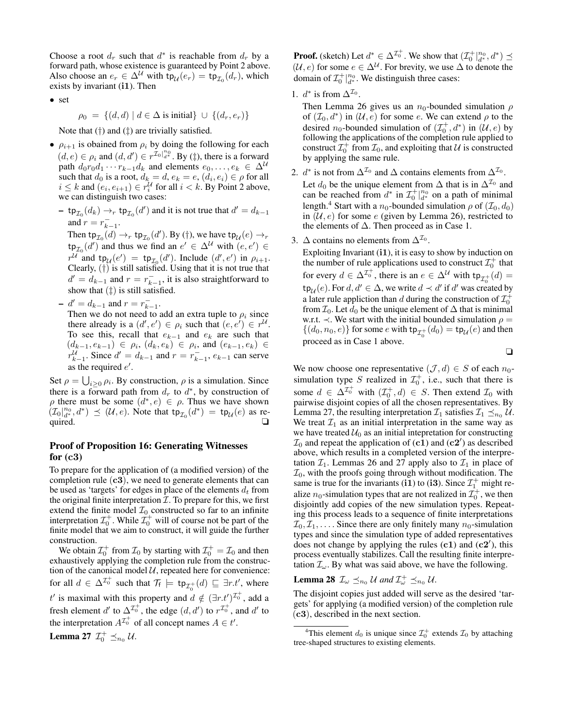Choose a root  $d_r$  such that  $d^*$  is reachable from  $d_r$  by a forward path, whose existence is guaranteed by Point 2 above. Also choose an  $e_r \in \Delta^{\mathcal{U}}$  with  $\tt tp_{\mathcal{U}}(e_r) = \ttp_{\mathcal{I}_0}(d_r)$ , which exists by invariant (i1). Then

• set

$$
\rho_0 = \{(d, d) \mid d \in \Delta \text{ is initial}\} \cup \{(d_r, e_r)\}
$$

Note that (†) and (‡) are trivially satisfied.

- $\rho_{i+1}$  is obained from  $\rho_i$  by doing the following for each  $(d, e) \in \rho_i$  and  $(d, d') \in r^{\mathcal{I}_0|_{d^*}^{n_0}}$ . By (‡), there is a forward path  $d_0r_0d_1 \cdots r_{k-1}d_k$  and elements  $e_0, \ldots, e_k \in \Delta^{\mathcal{U}}$ such that  $d_0$  is a root,  $d_k = d$ ,  $e_k = e$ ,  $(d_i, e_i) \in \rho$  for all  $i \leq k$  and  $(e_i, e_{i+1}) \in r_i^{\mathcal{U}}$  for all  $i < k$ . By Point 2 above, we can distinguish two cases:
	- $-$  tp<sub> $\mathcal{I}_0$ </sub> $(d_k) \rightarrow_r$  tp<sub> $\mathcal{I}_0$ </sub> $(d')$  and it is not true that  $d' = d_{k-1}$ and  $r = r_{k-1}^-$ .

Then  $\tt tp_{\mathcal{I}_0}(d) \to_r \tt tp_{\mathcal{I}_0}(d').$  By (†), we have  $\tt tp_{\mathcal{U}}(e) \to_r$  $\tt tp_{\mathcal{I}_0}(d')$  and thus we find an  $e' \in \Delta^{\mathcal{U}}$  with  $(e, e') \in$  $r^{\mathcal{U}}$  and  $tp_{\mathcal{U}}(e') = tp_{\mathcal{I}_0}(d')$ . Include  $(d', e')$  in  $\rho_{i+1}$ . Clearly, (†) is still satisfied. Using that it is not true that  $d' = d_{k-1}$  and  $r = r_{k-1}^-$ , it is also straightforward to show that  $(\ddagger)$  is still satisfied.

 $-d' = d_{k-1}$  and  $r = r_{k-1}^-$ .

Then we do not need to add an extra tuple to  $\rho_i$  since there already is a  $(d', e') \in \rho_i$  such that  $(e, e') \in r^{\mathcal{U}}$ . To see this, recall that  $e_{k-1}$  and  $e_k$  are such that  $(d_{k-1}, e_{k-1}) \in \rho_i$ ,  $(d_k, e_k) \in \rho_i$ , and  $(e_{k-1}, e_k) \in$  $r_{k-1}^{\mathcal{U}}$ . Since  $d' = d_{k-1}$  and  $r = r_{k-1}$ ,  $e_{k-1}$  can serve as the required  $e'$ .

Set  $\rho = \bigcup_{i \geq 0} \rho_i$ . By construction,  $\rho$  is a simulation. Since there is a forward path from  $d_r$  to  $d^*$ , by construction of  $\rho$  there must be some  $(d^*, e) \in \rho$ . Thus we have shown  $(\mathcal{I}_0|_{d^*}^{n_0},d^*) \preceq (\mathcal{U},e)$ . Note that  $\tt tp_{\mathcal{I}_0}(d^*) = \ttp_{\mathcal{U}}(e)$  as required.  $\Box$ 

# Proof of Proposition 16: Generating Witnesses for  $(c3)$

To prepare for the application of (a modified version) of the completion rule  $(c3)$ , we need to generate elements that can be used as 'targets' for edges in place of the elements  $d_t$  from the original finite interpretation  $I$ . To prepare for this, we first extend the finite model  $\mathcal{I}_0$  constructed so far to an infinite interpretation  $\mathcal{I}_0^+$ . While  $\mathcal{I}_0^+$  will of course not be part of the finite model that we aim to construct, it will guide the further construction.

We obtain  $\mathcal{I}_0^+$  from  $\mathcal{I}_0$  by starting with  $\mathcal{I}_0^+ = \mathcal{I}_0$  and then exhaustively applying the completion rule from the construction of the canonical model  $U$ , repeated here for convenience: for all  $d \in \Delta^{\mathcal{I}_{0}^{+}}$  such that  $\mathcal{T}_{f} \models \text{tp}_{\mathcal{I}_{0}^{+}}(d) \sqsubseteq \exists r.t',$  where t' is maximal with this property and  $d \notin (\exists r.t')^{\mathcal{I}_0^+}$ , add a fresh element d' to  $\Delta^{\mathcal{I}_{0}^{+}}$ , the edge  $(d, d')$  to  $r^{\mathcal{I}_{0}^{+}}$ , and d' to the interpretation  $A^{\mathcal{I}_{0}^{+}}$  of all concept names  $A \in t'$ .

**Lemma 27**  $\mathcal{I}_0^+ \preceq_{n_0} \mathcal{U}$ .

**Proof.** (sketch) Let  $d^* \in \Delta^{\mathcal{I}_0^+}$ . We show that  $(\mathcal{I}_0^+|_{d^*}^{n_0}, d^*) \preceq$ (U, e) for some  $e \in \Delta^{\mathcal{U}}$ . For brevity, we use  $\Delta$  to denote the domain of  $\mathcal{I}_0^+|_{d^*}^{n_0}$ . We distinguish three cases:

1.  $d^*$  is from  $\Delta^{\mathcal{I}_0}$ .

Then Lemma 26 gives us an  $n_0$ -bounded simulation  $\rho$ of  $(\mathcal{I}_0, d^*)$  in  $(\mathcal{U}, e)$  for some e. We can extend  $\rho$  to the desired  $n_0$ -bounded simulation of  $(\mathcal{I}_0^+, d^*)$  in  $(\mathcal{U}, e)$  by following the applications of the completion rule applied to construct  $\mathcal{I}_0^+$  from  $\mathcal{I}_0$ , and exploiting that U is constructed by applying the same rule.

- 2.  $d^*$  is not from  $\Delta^{\mathcal{I}_0}$  and  $\Delta$  contains elements from  $\Delta^{\mathcal{I}_0}$ . Let  $d_0$  be the unique element from  $\Delta$  that is in  $\Delta^{\mathcal{I}_0}$  and can be reached from  $d^*$  in  $\mathcal{I}_0^+|_{d^*}^{n_0}$  on a path of minimal length.<sup>4</sup> Start with a n<sub>0</sub>-bounded simulation  $\rho$  of  $(\mathcal{I}_0, d_0)$ in  $(U, e)$  for some e (given by Lemma 26), restricted to the elements of  $\Delta$ . Then proceed as in Case 1.
- 3.  $\Delta$  contains no elements from  $\Delta^{\mathcal{I}_0}$ .

Exploiting Invariant (i1), it is easy to show by induction on the number of rule applications used to construct  $\mathcal{I}_0^+$  that for every  $d \in \Delta^{\mathcal{I}^+_0}$ , there is an  $e \in \Delta^{\mathcal{U}}$  with  $tp_{\mathcal{I}^+_0}(d) =$ tp<sub>U</sub>(e). For  $d, d' \in \Delta$ , we write  $d \prec d'$  if  $d'$  was created by a later rule appliction than d during the construction of  $\mathcal{I}_0^+$ from  $\mathcal{I}_0$ . Let  $d_0$  be the unique element of  $\Delta$  that is minimal w.r.t.  $\prec$ . We start with the initial bounded simulation  $\rho =$  $\{(d_0, n_0, e)\}$  for some  $e$  with  $\tt tp_{\mathcal{I}_0^+}(d_0) = \ttp_{\mathcal{U}}(e)$  and then proceed as in Case 1 above.

❏

We now choose one representative  $(\mathcal{J}, d) \in S$  of each  $n_0$ simulation type S realized in  $\mathcal{I}_0^+$ , i.e., such that there is some  $d \in \Delta^{\mathcal{I}_0^+}$  with  $(\mathcal{I}_0^+,d) \in S$ . Then extend  $\mathcal{I}_0$  with pairwise disjoint copies of all the chosen representatives. By Lemma 27, the resulting interpretation  $\mathcal{I}_1$  satisfies  $\mathcal{I}_1 \preceq_{n_0} \mathcal{U}$ . We treat  $\mathcal{I}_1$  as an initial interpretation in the same way as we have treated  $U_0$  as an initial intepretation for constructing  $\mathcal{I}_0$  and repeat the application of (c1) and (c2') as described above, which results in a completed version of the interpretation  $\mathcal{I}_1$ . Lemmas 26 and 27 apply also to  $\mathcal{I}_1$  in place of  $\mathcal{I}_0$ , with the proofs going through without modification. The same is true for the invariants (i1) to (i3). Since  $\mathcal{I}_1^+$  might realize  $n_0$ -simulation types that are not realized in  $\mathcal{I}_0^+$ , we then disjointly add copies of the new simulation types. Repeating this process leads to a sequence of finite interpretations  $\mathcal{I}_0, \mathcal{I}_1, \ldots$  Since there are only finitely many  $n_0$ -simulation types and since the simulation type of added representatives does not change by applying the rules  $(c1)$  and  $(c2')$ , this process eventually stabilizes. Call the resulting finite interpretation  $\mathcal{I}_{\omega}$ . By what was said above, we have the following.

**Lemma 28**  $\mathcal{I}_{\omega} \preceq_{n_0} \mathcal{U}$  and  $\mathcal{I}_{\omega}^+ \preceq_{n_0} \mathcal{U}$ .

The disjoint copies just added will serve as the desired 'targets' for applying (a modified version) of the completion rule (c3), described in the next section.

<sup>&</sup>lt;sup>4</sup>This element  $d_0$  is unique since  $\mathcal{I}_0^+$  extends  $\mathcal{I}_0$  by attaching tree-shaped structures to existing elements.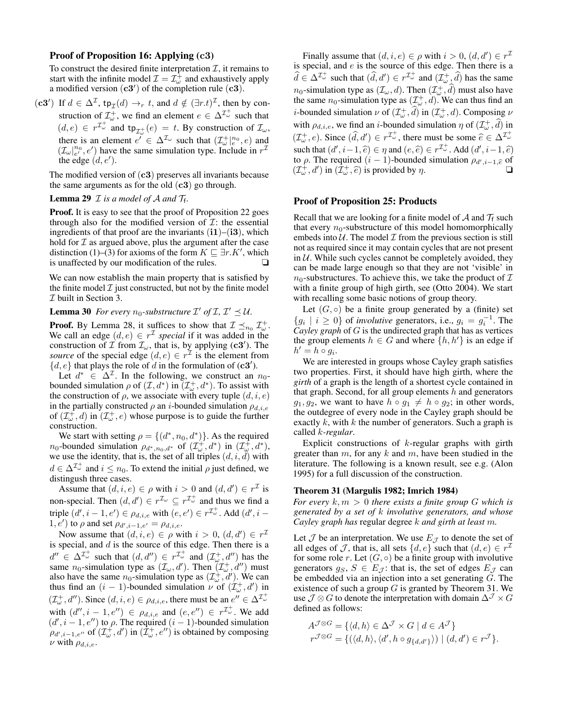### Proof of Proposition 16: Applying (c3)

To construct the desired finite interpretation  $\mathcal{I}$ , it remains to start with the infinite model  $\mathcal{I} = \mathcal{I}_{\omega}^{\hat{+}}$  and exhaustively apply a modified version  $(c3')$  of the completion rule  $(c3)$ .

(c3') If  $d \in \Delta^{\mathcal{I}}$ , tp<sub>I</sub>(d)  $\rightarrow_r t$ , and  $d \notin (\exists r.t)^{\mathcal{I}}$ , then by construction of  $\mathcal{I}_{\omega}^{+}$ , we find an element  $e \in \Delta^{\mathcal{I}_{\omega}^{+}}$  such that  $(d, e) \in r^{\mathcal{I}_{\omega}^{+}}$  and  $tp_{\mathcal{I}_{\omega}^{+}}(e) = t$ . By construction of  $\mathcal{I}_{\omega}$ , there is an element  $e' \in \Delta^{\mathcal{I}_{\omega}}$  such that  $(\mathcal{I}_{\omega}^{+}|_{e}^{n_0},e)$  and  $(\mathcal{I}_{\omega}|_{e'}^{n_0}, e')$  have the same simulation type. Include in  $r^{\mathcal{I}}$ the edge  $(d, e')$ .

The modified version of  $(c3)$  preserves all invariants because the same arguments as for the old  $(c3)$  go through.

# **Lemma 29**  $\mathcal I$  *is a model of A and*  $\mathcal T_f$ .

Proof. It is easy to see that the proof of Proposition 22 goes through also for the modified version of  $\mathcal{I}$ : the essential ingredients of that proof are the invariants  $(i1)–(i3)$ , which hold for  $\mathcal I$  as argued above, plus the argument after the case distinction (1)–(3) for axioms of the form  $K \sqsubseteq \exists r.K'$ , which is unaffected by our modification of the rules.

We can now establish the main property that is satisfied by the finite model  $\mathcal I$  just constructed, but not by the finite model I built in Section 3.

# **Lemma 30** For every  $n_0$ -substructure  $\mathcal{I}'$  of  $\mathcal{I}, \mathcal{I}' \preceq \mathcal{U}$ .

**Proof.** By Lemma 28, it suffices to show that  $\mathcal{I} \preceq_{n_0} \mathcal{I}_{\omega}^+$ . We call an edge  $(d, e) \in r^{\mathcal{I}}$  special if it was added in the construction of  $\mathcal I$  from  $\mathcal I_\omega$ , that is, by applying (c3'). The *source* of the special edge  $(d, e) \in r^{\mathcal{I}}$  is the element from  $\{d, e\}$  that plays the role of  $d$  in the formulation of (c3').

Let  $d^* \in \Delta^{\mathcal{I}}$ . In the following, we construct an  $n_0$ bounded simulation  $\rho$  of  $(\mathcal{I}, d^*)$  in  $(\mathcal{I}^+_{\omega}, d^*)$ . To assist with the construction of  $\rho$ , we associate with every tuple  $(d, i, e)$ in the partially constructed  $\rho$  an *i*-bounded simulation  $\rho_{d,i,e}$ of  $(\mathcal{I}_{\omega}^+,d)$  in  $(\mathcal{I}_{\omega}^+,e)$  whose purpose is to guide the further construction.

We start with setting  $\rho = \{(d^*, n_0, d^*)\}$ . As the required *n*<sub>0</sub>-bounded simulation  $\rho_{d^*,n_0,d^*}$  of  $(\mathcal{I}_{\omega}^+,d^*)$  in  $(\mathcal{I}_{\omega}^+,d^*)$ , we use the identity, that is, the set of all triples  $(d, i, d)$  with  $d \in \Delta^{\mathcal{I}_{\omega}^{+}}$  and  $i \leq n_0$ . To extend the initial  $\rho$  just defined, we distingush three cases.

Assume that  $(d, i, e) \in \rho$  with  $i > 0$  and  $(d, d') \in r^{\mathcal{I}}$  is non-special. Then  $(d, d') \in r^{\mathcal{I}_{\omega}} \subseteq r^{\mathcal{I}_{\omega}^{+}}$  and thus we find a triple  $(d', i - 1, e') \in \rho_{d,i,e}$  with  $(e, e') \in r^{\mathcal{I}_{\omega}^+}$ . Add  $(d', i - 1)$ 1,  $e'$ ) to  $\rho$  and set  $\rho_{d',i-1,e'} = \rho_{d,i,e}$ .

Now assume that  $(d, i, e) \in \rho$  with  $i > 0$ ,  $(d, d') \in r^{\mathcal{I}}$ is special, and  $d$  is the source of this edge. Then there is a  $d'' \in \Delta^{\mathcal{I}_{\omega}^+}$  such that  $(d, d'') \in r^{\mathcal{I}_{\omega}^+}$  and  $(\mathcal{I}_{\omega}^+, d'')$  has the same n<sub>0</sub>-simulation type as  $(\mathcal{I}_{\omega}, d')$ . Then  $(\mathcal{I}_{\omega}^+, d'')$  must also have the same  $n_0$ -simulation type as  $(\mathcal{I}_{\omega}^+, d')$ . We can thus find an  $(i - 1)$ -bounded simulation  $\nu$  of  $(\mathcal{I}_{\omega}^+, d')$  in  $(\mathcal{I}_{\omega}^+, d'')$ . Since  $(d, i, e) \in \rho_{d,i,e}$ , there must be an  $e'' \in \Delta^{\mathcal{I}_{\omega}^+}$ with  $(d'', i - 1, e'') \in \rho_{d,i,e}$  and  $(e, e'') \in r^{\mathcal{I}_{\omega}^+}$ . We add  $(d', i - 1, e'')$  to  $\rho$ . The required  $(i - 1)$ -bounded simulation  $\rho_{d',i-1,e''}$  of  $(\mathcal{I}_{\omega}^+,d')$  in  $(\mathcal{I}_{\omega}^+,e'')$  is obtained by composing  $\nu$  with  $\rho_{d,i,e}$ .

Finally assume that  $(d, i, e) \in \rho$  with  $i > 0$ ,  $(d, d') \in r^{\mathcal{I}}$ is special, and e is the source of this edge. Then there is a  $\widehat{d} \in \Delta^{\mathcal{I}_{\omega}^+}$  such that  $(\widehat{d}, d') \in r^{\mathcal{I}_{\omega}^+}$  and  $(\mathcal{I}_{\omega}^+, \widehat{d})$  has the same  $n_0$ -simulation type as  $(\mathcal{I}_{\omega}, d)$ . Then  $(\mathcal{I}_{\omega}^+, d)$  must also have the same  $n_0$ -simulation type as  $(\mathcal{I}^+_{\omega}, d)$ . We can thus find an *i*-bounded simulation  $\nu$  of  $(\mathcal{I}_{\omega}^+, \hat{d})$  in  $(\mathcal{I}_{\omega}^+, d)$ . Composing  $\nu$ with  $\rho_{d,i,e}$ , we find an *i*-bounded simulation  $\eta$  of  $(\mathcal{I}_{\omega}^+, \hat{d})$  in  $(\mathcal{I}_{\omega}^+, e)$ . Since  $(\hat{d}, d') \in r^{\mathcal{I}_{\omega}^+}$ , there must be some  $\hat{e} \in \Delta^{\mathcal{I}_{\omega}^+}$ such that  $(d', i-1, \hat{e}) \in \eta$  and  $(e, \hat{e}) \in r^{\mathcal{I}_{\omega}^+}$ . Add  $(d', i-1, \hat{e})$ <br>to a The required  $(i-1)$ -bounded simulation  $g_{\omega}$ ,  $\phi$  of to  $\rho$ . The required  $(i-1)$ -bounded simulation  $\rho_{d',i-1,\hat{e}}$  of  $(7+\delta')$  is provided by  $p$  $(\mathcal{I}_{\omega}^+, d')$  in  $(\mathcal{I}_{\omega}^+, \hat{e})$  is provided by  $\eta$ .

#### Proof of Proposition 25: Products

Recall that we are looking for a finite model of  $A$  and  $T_f$  such that every  $n_0$ -substructure of this model homomorphically embeds into  $U$ . The model  $I$  from the previous section is still not as required since it may contain cycles that are not present in  $U$ . While such cycles cannot be completely avoided, they can be made large enough so that they are not 'visible' in  $n_0$ -substructures. To achieve this, we take the product of  $\mathcal I$ with a finite group of high girth, see (Otto 2004). We start with recalling some basic notions of group theory.

Let  $(G, \circ)$  be a finite group generated by a (finite) set  ${g_i \mid i \ge 0}$  of *involutive* generators, i.e.,  $g_i = g_i^{-1}$ . The *Cayley graph* of G is the undirected graph that has as vertices the group elements  $h \in G$  and where  $\{h, h'\}$  is an edge if  $h' = h \circ g_i.$ 

We are interested in groups whose Cayley graph satisfies two properties. First, it should have high girth, where the *girth* of a graph is the length of a shortest cycle contained in that graph. Second, for all group elements  $h$  and generators  $g_1, g_2$ , we want to have  $h \circ g_1 \neq h \circ g_2$ ; in other words, the outdegree of every node in the Cayley graph should be exactly  $k$ , with  $k$  the number of generators. Such a graph is called k*-regular*.

Explicit constructions of  $k$ -regular graphs with girth greater than  $m$ , for any  $k$  and  $m$ , have been studied in the literature. The following is a known result, see e.g. (Alon 1995) for a full discussion of the construction.

#### Theorem 31 (Margulis 1982; Imrich 1984)

*For every*  $k, m > 0$  *there exists a finite group G which is generated by a set of* k *involutive generators, and whose Cayley graph has* regular degree k *and girth at least* m*.*

Let  $\mathcal J$  be an interpretation. We use  $E_{\mathcal J}$  to denote the set of all edges of J, that is, all sets  $\{d, e\}$  such that  $(d, e) \in r^{\mathcal{I}}$ for some role r. Let  $(G, \circ)$  be a finite group with involutive generators  $g_S, S \in E_J$ : that is, the set of edges  $E_J$  can be embedded via an injection into a set generating  $G$ . The existence of such a group  $G$  is granted by Theorem 31. We use  $\mathcal{J} \otimes G$  to denote the interpretation with domain  $\Delta^{\mathcal{J}} \times G$ defined as follows:

$$
A^{\mathcal{J}\otimes G} = \{ \langle d, h \rangle \in \Delta^{\mathcal{J}} \times G \mid d \in A^{\mathcal{J}} \} r^{\mathcal{J}\otimes G} = \{ (\langle d, h \rangle, \langle d', h \circ g_{\{d, d'\}} \rangle) \mid (d, d') \in r^{\mathcal{J}} \}.
$$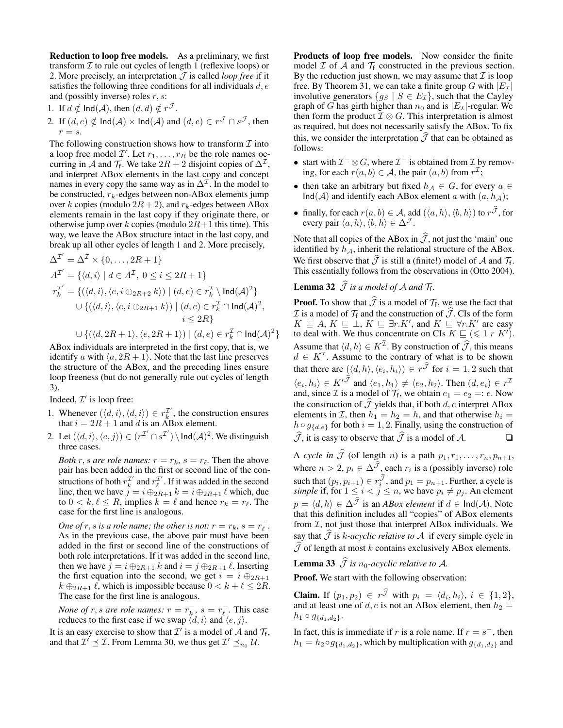Reduction to loop free models. As a preliminary, we first transform  $I$  to rule out cycles of length 1 (reflexive loops) or 2. More precisely, an interpretation  $\mathcal J$  is called *loop free* if it satisfies the following three conditions for all individuals  $d, e$ and (possibly inverse) roles  $r, s$ :

- 1. If  $d \notin \text{Ind}(\mathcal{A})$ , then  $(d, d) \notin r^{\mathcal{J}}$ .
- 2. If  $(d, e) \notin \text{Ind}(\mathcal{A}) \times \text{Ind}(\mathcal{A})$  and  $(d, e) \in r^{\mathcal{J}} \cap s^{\mathcal{J}}$ , then  $r = s$ .

The following construction shows how to transform  $\mathcal I$  into a loop free model  $\mathcal{I}'$ . Let  $r_1, \ldots, r_R$  be the role names occurring in A and  $\mathcal{T}_f$ . We take  $2R + 2$  disjoint copies of  $\Delta^{\mathcal{I}}$ , and interpret ABox elements in the last copy and concept names in every copy the same way as in  $\Delta^{\mathcal{I}}$ . In the model to be constructed,  $r_k$ -edges between non-ABox elements jump over k copies (modulo  $2R + 2$ ), and  $r_k$ -edges between ABox elements remain in the last copy if they originate there, or otherwise jump over k copies (modulo  $2R+1$  this time). This way, we leave the ABox structure intact in the last copy, and break up all other cycles of length 1 and 2. More precisely,

$$
\Delta^{\mathcal{I}'} = \Delta^{\mathcal{I}} \times \{0, \dots, 2R + 1\}
$$
  
\n
$$
A^{\mathcal{I}'} = \{ \langle d, i \rangle \mid d \in A^{\mathcal{I}}, 0 \le i \le 2R + 1 \}
$$
  
\n
$$
r_k^{\mathcal{I}'} = \{ (\langle d, i \rangle, \langle e, i \oplus_{2R+2} k \rangle) \mid (d, e) \in r_k^{\mathcal{I}} \setminus \text{Ind}(\mathcal{A})^2 \}
$$
  
\n
$$
\cup \{ (\langle d, i \rangle, \langle e, i \oplus_{2R+1} k \rangle) \mid (d, e) \in r_k^{\mathcal{I}} \cap \text{Ind}(\mathcal{A})^2, i \le 2R \}
$$

$$
\cup \{(\langle d, 2R+1 \rangle, \langle e, 2R+1 \rangle) \mid (d, e) \in r_k^{\mathcal{I}} \cap \text{Ind}(\mathcal{A})^2\}
$$

ABox individuals are interpreted in the first copy, that is, we identify a with  $\langle a, 2R + 1 \rangle$ . Note that the last line preserves the structure of the ABox, and the preceding lines ensure loop freeness (but do not generally rule out cycles of length 3).

Indeed,  $\mathcal{I}'$  is loop free:

- 1. Whenever  $(\langle d, i \rangle, \langle d, i \rangle) \in r_k^{\mathcal{I}'},$  the construction ensures that  $i = 2R + 1$  and d is an ABox element.
- 2. Let  $(\langle d, i \rangle, \langle e, j \rangle) \in (r^{\mathcal{I}'} \cap s^{\mathcal{I}'}) \setminus \text{Ind}(\mathcal{A})^2$ . We distinguish three cases.

*Both* r, *s* are role names:  $r = r_k$ ,  $s = r_\ell$ . Then the above pair has been added in the first or second line of the constructions of both  $r_k^{\mathcal{I}'}$  and  $r_\ell^{\mathcal{I}'}$ . If it was added in the second line, then we have  $j = i \bigoplus_{2R+1} k = i \bigoplus_{2R+1} \ell$  which, due to  $0 < k, \ell \leq R$ , implies  $k = \ell$  and hence  $r_k = r_\ell$ . The case for the first line is analogous.

*One of*  $r$ ,  $s$  *is a role name; the other is not:*  $r = r_k$ ,  $s = r_\ell^-$ . As in the previous case, the above pair must have been added in the first or second line of the constructions of both role interpretations. If it was added in the second line, then we have  $j = i \bigoplus_{2R+1} k$  and  $i = j \bigoplus_{2R+1} \ell$ . Inserting the first equation into the second, we get  $i = i \bigoplus_{2R+1}$  $k \bigoplus_{2R+1} \ell$ , which is impossible because  $0 < k + \ell \leq 2R$ . The case for the first line is analogous.

*None of r, s are role names:*  $r = r_k^-, s = r_\ell^-.$  This case reduces to the first case if we swap  $\langle d, i \rangle$  and  $\langle e, j \rangle$ .

It is an easy exercise to show that  $\mathcal{I}'$  is a model of  $\mathcal{A}$  and  $\mathcal{T}_f$ , and that  $\mathcal{I}' \preceq \mathcal{I}$ . From Lemma 30, we thus get  $\mathcal{I}' \preceq_{n_0} \mathcal{U}$ .

Products of loop free models. Now consider the finite model  $\mathcal I$  of  $\mathcal A$  and  $\mathcal T_f$  constructed in the previous section. By the reduction just shown, we may assume that  $\mathcal I$  is loop free. By Theorem 31, we can take a finite group G with  $|E_{\mathcal{I}}|$ involutive generators  $\{g_S \mid S \in E_{\mathcal{I}}\}$ , such that the Cayley graph of G has girth higher than  $n_0$  and is  $|E<sub>\mathcal{I}</sub>|$ -regular. We then form the product  $\mathcal{I} \otimes G$ . This interpretation is almost as required, but does not necessarily satisfy the ABox. To fix this, we consider the interpretation  $\hat{J}$  that can be obtained as follows:

- start with  $\mathcal{I}^- \otimes G$ , where  $\mathcal{I}^-$  is obtained from  $\mathcal I$  by removing, for each  $r(a, b) \in A$ , the pair  $(a, b)$  from  $r^{\mathcal{I}}$ ;
- then take an arbitrary but fixed  $h_A \in G$ , for every  $a \in$  $Ind(A)$  and identify each ABox element a with  $(a, h<sub>A</sub>)$ ;
- finally, for each  $r(a, b) \in A$ , add  $(\langle a, h \rangle, \langle b, h \rangle)$  to  $r^{\mathcal{J}}$ , for every pair  $\langle a, h \rangle, \langle b, h \rangle \in \Delta^{\mathcal{J}}$ .

Note that all copies of the ABox in  $\hat{J}$ , not just the 'main' one identified by  $h_{\mathcal{A}}$ , inherit the relational structure of the ABox. We first observe that  $\mathcal J$  is still a (finite!) model of  $\mathcal A$  and  $\mathcal T_f$ . This essentially follows from the observations in (Otto 2004).

# **Lemma 32**  $\mathcal J$  *is a model of*  $\mathcal A$  *and*  $\mathcal T_f$ *.*

**Proof.** To show that  $\mathcal{J}$  is a model of  $\mathcal{T}_f$ , we use the fact that  $\mathcal I$  is a model of  $\mathcal T_f$  and the construction of  $\widehat{\mathcal J}$ . CIs of the form  $K \subseteq A, K \subseteq \bot, K \subseteq \exists r.K', \text{ and } K \subseteq \forall r.K' \text{ are easy}$ to deal with. We thus concentrate on CIs  $K \sqsubseteq (\leq 1 \; r \; K')$ . Assume that  $\langle d, h \rangle \in K^{\mathcal{I}}$ . By construction of  $\widehat{\mathcal{J}}$ , this means  $d \in K^{\mathcal{I}}$ . Assume to the contrary of what is to be shown that there are  $(\langle d, h \rangle, \langle e_i, h_i \rangle) \in r^{\mathcal{J}}$  for  $i = 1, 2$  such that  $\langle e_i, h_i \rangle \in K'^{\mathcal{J}}$  and  $\langle e_1, h_1 \rangle \neq \langle e_2, h_2 \rangle$ . Then  $(d, e_i) \in r^{\mathcal{I}}$ and, since  $\mathcal I$  is a model of  $\mathcal T_f$ , we obtain  $e_1 = e_2 =: e$ . Now the construction of  $\hat{J}$  yields that, if both d, e interpret ABox elements in *I*, then  $h_1 = h_2 = h$ , and that otherwise  $h_i =$  $h \circ g_{\{d,e\}}$  for both  $i = 1, 2$ . Finally, using the construction of  $\widehat{\mathcal{J}}$ , it is easy to observe that  $\widehat{\mathcal{J}}$  is a model of A.  $\Box$ 

A *cycle in*  $\widehat{\mathcal{J}}$  (of length *n*) is a path  $p_1, r_1, \ldots, r_n, p_{n+1}$ , where  $n > 2$ ,  $p_i \in \Delta^{\mathcal{J}}$ , each  $r_i$  is a (possibly inverse) role such that  $(p_i, p_{i+1}) \in r_i^{\mathcal{J}}$ , and  $p_1 = p_{n+1}$ . Further, a cycle is *simple* if, for  $1 \leq i < j \leq n$ , we have  $p_i \neq p_j$ . An element  $p = \langle d, h \rangle \in \Delta^{\overline{J}}$  is an *ABox element* if  $d \in \text{Ind}(\mathcal{A})$ . Note that this definition includes all "copies" of ABox elements from  $I$ , not just those that interpret ABox individuals. We say that  $\widehat{\mathcal{J}}$  is *k-acyclic relative to*  $\mathcal A$  if every simple cycle in  $\widehat{\mathcal{J}}$  of length at most k contains exclusively ABox elements.

**Lemma 33**  $\widehat{\mathcal{J}}$  *is*  $n_0$ -acyclic relative to A.

Proof. We start with the following observation:

**Claim.** If  $(p_1, p_2) \in r^{\mathcal{J}}$  with  $p_i = \langle d_i, h_i \rangle, i \in \{1, 2\},\$ and at least one of d, e is not an ABox element, then  $h_2 =$  $h_1 \circ g_{\{d_1, d_2\}}.$ 

In fact, this is immediate if r is a role name. If  $r = s^-$ , then  $h_1 = h_2 \circ g_{\{d_1, d_2\}}$ , which by multiplication with  $g_{\{d_1, d_2\}}$  and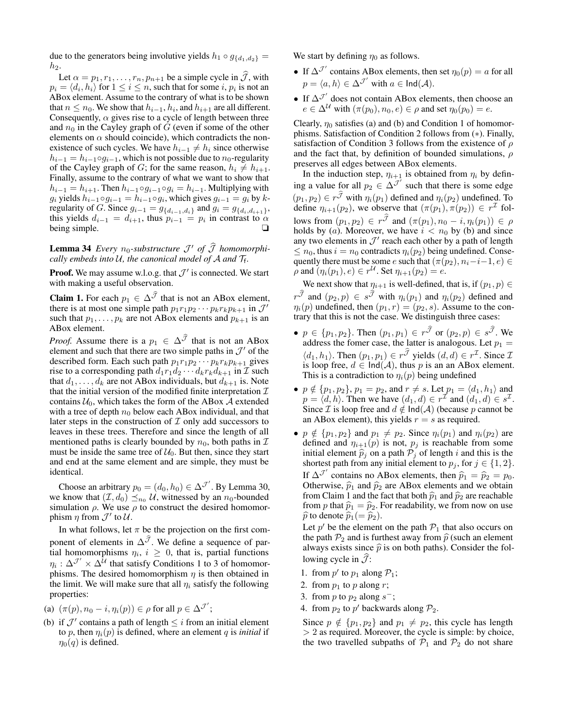due to the generators being involutive yields  $h_1 \circ g_{\{d_1, d_2\}} =$  $h_2$ .

Let  $\alpha = p_1, r_1, \ldots, r_n, p_{n+1}$  be a simple cycle in  $\mathcal{J}$ , with  $p_i = \langle d_i, h_i \rangle$  for  $1 \leq i \leq n$ , such that for some  $i, p_i$  is not an ABox element. Assume to the contrary of what is to be shown that  $n \leq n_0$ . We show that  $h_{i-1}$ ,  $h_i$ , and  $h_{i+1}$  are all different. Consequently,  $\alpha$  gives rise to a cycle of length between three and  $n_0$  in the Cayley graph of G (even if some of the other elements on  $\alpha$  should coincide), which contradicts the nonexistence of such cycles. We have  $h_{i-1} \neq h_i$  since otherwise  $h_{i-1} = h_{i-1} \circ g_{i-1}$ , which is not possible due to  $n_0$ -regularity of the Cayley graph of G; for the same reason,  $h_i \neq h_{i+1}$ . Finally, assume to the contrary of what we want to show that  $h_{i-1} = h_{i+1}$ . Then  $h_{i-1} \circ g_{i-1} \circ g_i = h_{i-1}$ . Multiplying with  $g_i$  yields  $h_{i-1} \circ g_{i-1} = h_{i-1} \circ g_i$ , which gives  $g_{i-1} = g_i$  by  $k$ regularity of *G*. Since  $g_{i-1} = g_{\{d_{i-1}, d_i\}}$  and  $g_i = g_{\{d_i, d_{i+1}\}}$ , this yields  $d_{i-1} = d_{i+1}$ , thus  $p_{i-1} = p_i$  in contrast to  $\alpha$ being simple.

# **Lemma 34** *Every*  $n_0$ -substructure  $\mathcal{J}'$  of  $\widehat{\mathcal{J}}$  homomorphi*cally embeds into*  $U$ , the canonical model of  $\mathcal A$  and  $\mathcal T_f$ .

**Proof.** We may assume w.l.o.g. that  $\mathcal{J}'$  is connected. We start with making a useful observation.

**Claim 1.** For each  $p_1 \in \Delta^{\mathcal{J}}$  that is not an ABox element, there is at most one simple path  $p_1r_1p_2\cdots p_kr_kp_{k+1}$  in  $\mathcal{J}'$ such that  $p_1, \ldots, p_k$  are not ABox elements and  $p_{k+1}$  is an ABox element.

*Proof.* Assume there is a  $p_1 \in \Delta^{\mathcal{J}}$  that is not an ABox element and such that there are two simple paths in  $\mathcal{J}'$  of the described form. Each such path  $p_1r_1p_2\cdots p_kr_kp_{k+1}$  gives rise to a corresponding path  $d_1r_1d_2 \cdots d_kr_kd_{k+1}$  in  $\mathcal I$  such that  $d_1, \ldots, d_k$  are not ABox individuals, but  $d_{k+1}$  is. Note that the initial version of the modified finite interpretation  $\mathcal I$ contains  $U_0$ , which takes the form of the ABox A extended with a tree of depth  $n_0$  below each ABox individual, and that later steps in the construction of  $\mathcal I$  only add successors to leaves in these trees. Therefore and since the length of all mentioned paths is clearly bounded by  $n_0$ , both paths in  $\mathcal I$ must be inside the same tree of  $U_0$ . But then, since they start and end at the same element and are simple, they must be identical.

Choose an arbitrary  $p_0 = (d_0, h_0) \in \Delta^{\mathcal{J}}$ . By Lemma 30, we know that  $(\mathcal{I}, d_0) \leq_{n_0} \mathcal{U}$ , witnessed by an  $n_0$ -bounded simulation  $\rho$ . We use  $\rho$  to construct the desired homomorphism  $\eta$  from  $\mathcal{J}'$  to  $\mathcal{U}$ .

In what follows, let  $\pi$  be the projection on the first component of elements in  $\Delta^{\mathcal{J}}$ . We define a sequence of partial homomorphisms  $\eta_i$ ,  $i \geq 0$ , that is, partial functions  $\eta_i : \Delta^{\mathcal{J}'} \times \Delta^{\mathcal{U}}$  that satisfy Conditions 1 to 3 of homomorphisms. The desired homomorphism  $\eta$  is then obtained in the limit. We will make sure that all  $\eta_i$  satisfy the following properties:

(a) 
$$
(\pi(p), n_0 - i, \eta_i(p)) \in \rho
$$
 for all  $p \in \Delta^{\mathcal{J}'}$ ;

(b) if  $\mathcal{J}'$  contains a path of length  $\leq i$  from an initial element to p, then  $\eta_i(p)$  is defined, where an element q is *initial* if  $\eta_0(q)$  is defined.

We start by defining  $\eta_0$  as follows.

- If  $\Delta^{\mathcal{J}}$  contains ABox elements, then set  $\eta_0(p) = a$  for all  $p = \langle a, h \rangle \in \Delta^{\mathcal{J}'}$  with  $a \in \mathsf{Ind}(\mathcal{A})$ .
- If  $\Delta^{\mathcal{J}}$  does not contain ABox elements, then choose an  $e \in \Delta^{\mathcal{U}}$  with  $(\pi(p_0), n_0, e) \in \rho$  and set  $\eta_0(p_0) = e$ .

Clearly,  $\eta_0$  satisfies (a) and (b) and Condition 1 of homomorphisms. Satisfaction of Condition 2 follows from (∗). Finally, satisfaction of Condition 3 follows from the existence of  $\rho$ and the fact that, by definition of bounded simulations,  $\rho$ preserves all edges between ABox elements.

In the induction step,  $\eta_{i+1}$  is obtained from  $\eta_i$  by defining a value for all  $p_2 \in \Delta^{J'}$  such that there is some edge  $(p_1, p_2) \in r^{\mathcal{J}}$  with  $\eta_i(p_1)$  defined and  $\eta_i(p_2)$  undefined. To define  $\eta_{i+1}(p_2)$ , we observe that  $(\pi(p_1), \pi(p_2)) \in r^{\mathcal{I}}$  follows from  $(p_1, p_2) \in r^{\overrightarrow{J}}$  and  $(\pi(p_1), n_0 - i, \eta_i(p_1)) \in \rho$ holds by (a). Moreover, we have  $i < n_0$  by (b) and since any two elements in  $\mathcal{J}'$  reach each other by a path of length  $\leq n_0$ , thus  $i = n_0$  contradicts  $\eta_i(p_2)$  being undefined. Consequently there must be some e such that  $(\pi(p_2), n_i-i-1, e) \in$  $\rho$  and  $(\eta_i(p_1), e) \in r^{\mathcal{U}}$ . Set  $\eta_{i+1}(p_2) = e$ .

We next show that  $\eta_{i+1}$  is well-defined, that is, if  $(p_1, p) \in$  $r^{\overline{\mathcal{J}}}$  and  $(p_2, p) \in s^{\overline{\mathcal{J}}}$  with  $\eta_i(p_1)$  and  $\eta_i(p_2)$  defined and  $\eta_i(p)$  undefined, then  $(p_1, r) = (p_2, s)$ . Assume to the contrary that this is not the case. We distinguish three cases:

- $p \in \{p_1, p_2\}$ . Then  $(p_1, p_1) \in r^{\overline{\mathcal{J}}}$  or  $(p_2, p) \in s^{\overline{\mathcal{J}}}$ . We address the fomer case, the latter is analogous. Let  $p_1 =$  $\langle d_1, h_1 \rangle$ . Then  $(p_1, p_1) \in r^{\mathcal{J}}$  yields  $(d, d) \in r^{\mathcal{I}}$ . Since  $\mathcal{I}$ is loop free,  $d \in Ind(A)$ , thus p is an an ABox element. This is a contradiction to  $\eta_i(p)$  being undefined
- $p \notin \{p_1, p_2\}, p_1 = p_2$ , and  $r \neq s$ . Let  $p_1 = \langle d_1, h_1 \rangle$  and  $p = \langle d, h \rangle$ . Then we have  $(d_1, d) \in r^{\mathcal{I}}$  and  $(d_1, d) \in s^{\mathcal{I}}$ . Since  $\mathcal I$  is loop free and  $d \notin \text{Ind}(\mathcal A)$  (because  $p$  cannot be an ABox element), this yields  $r = s$  as required.
- $p \notin \{p_1, p_2\}$  and  $p_1 \neq p_2$ . Since  $\eta_i(p_1)$  and  $\eta_i(p_2)$  are defined and  $\eta_{i+1}(p)$  is not,  $p_j$  is reachable from some initial element  $\hat{p}_j$  on a path  $\mathcal{P}_j$  of length i and this is the shortest path from any initial element to  $p_j$ , for  $j \in \{1, 2\}$ . If  $\Delta^{\mathcal{J}}$  contains no ABox elements, then  $\hat{p}_1 = \hat{p}_2 = p_0$ .<br>Otherwise  $\hat{p}_1$  and  $\hat{p}_2$  are ABox elements and we obtain Otherwise,  $\hat{p}_1$  and  $\hat{p}_2$  are ABox elements and we obtain from Claim 1 and the fact that both  $\hat{p}_1$  and  $\hat{p}_2$  are reachable from p that  $\hat{p}_1 = \hat{p}_2$ . For readability, we from now on use  $\widehat{p}$  to denote  $\widehat{p}_1(=\widehat{p}_2)$ .

Let  $p'$  be the element on the path  $\mathcal{P}_1$  that also occurs on the path  $P_2$  and is furthest away from  $\hat{p}$  (such an element always exists since  $\hat{p}$  is on both paths). Consider the following cycle in  $\mathcal{J}$ :

- 1. from  $p'$  to  $p_1$  along  $P_1$ ;
- 2. from  $p_1$  to  $p$  along  $r$ ;
- 3. from *p* to  $p_2$  along  $s^-$ ;
- 4. from  $p_2$  to  $p'$  backwards along  $\mathcal{P}_2$ .

Since  $p \notin \{p_1, p_2\}$  and  $p_1 \neq p_2$ , this cycle has length  $> 2$  as required. Moreover, the cycle is simple: by choice, the two travelled subpaths of  $P_1$  and  $P_2$  do not share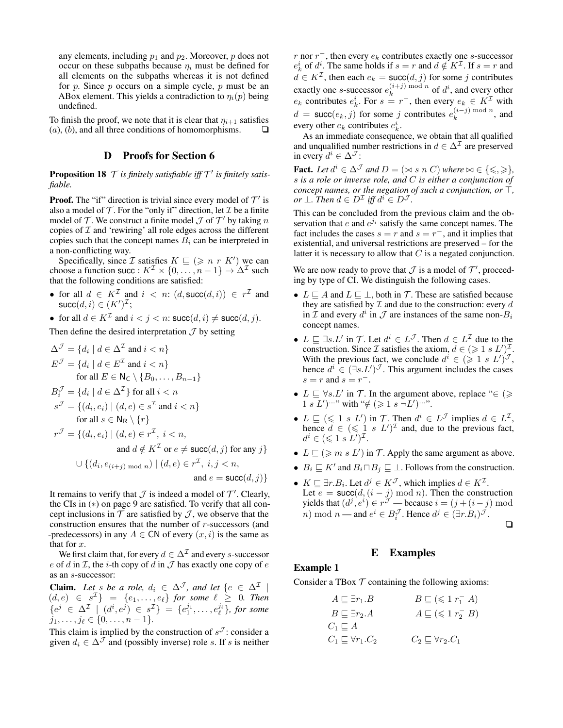any elements, including  $p_1$  and  $p_2$ . Moreover, p does not occur on these subpaths because  $\eta_i$  must be defined for all elements on the subpaths whereas it is not defined for  $p$ . Since  $p$  occurs on a simple cycle,  $p$  must be an ABox element. This yields a contradiction to  $\eta_i(p)$  being undefined.

To finish the proof, we note that it is clear that  $\eta_{i+1}$  satisfies  $(a)$ ,  $(b)$ , and all three conditions of homomorphisms.  $\Box$ 

# D Proofs for Section 6

**Proposition 18**  $\mathcal T$  is finitely satisfiable iff  $\mathcal T'$  is finitely satis*fiable.*

**Proof.** The "if" direction is trivial since every model of  $T'$  is also a model of  $\mathcal T$ . For the "only if" direction, let  $\mathcal I$  be a finite model of  $\mathcal T$ . We construct a finite model  $\mathcal J$  of  $\mathcal T'$  by taking  $n$ copies of  $I$  and 'rewiring' all role edges across the different copies such that the concept names  $B_i$  can be interpreted in a non-conflicting way.

Specifically, since *I* satisfies  $K \sqsubseteq (\geq n \ r \ K')$  we can choose a function succ :  $K^{\mathcal{I}} \times \{0, \ldots, n-1\} \to \Delta^{\mathcal{I}}$  such that the following conditions are satisfied:

- for all  $d \in K^{\mathcal{I}}$  and  $i \leq n$ :  $(d, \text{succ}(d, i)) \in r^{\mathcal{I}}$  and  $\mathsf{succ}(d, i) \in (K')^\mathcal{I};$
- for all  $d \in K^{\mathcal{I}}$  and  $i < j < n$ :  $succ(d, i) \neq succ(d, j)$ .

Then define the desired interpretation  $\mathcal J$  by setting

$$
\Delta^{\mathcal{J}} = \{d_i \mid d \in \Delta^{\mathcal{I}} \text{ and } i < n\}
$$
\n
$$
E^{\mathcal{J}} = \{d_i \mid d \in E^{\mathcal{I}} \text{ and } i < n\}
$$
\nfor all  $E \in \mathbb{N}_C \setminus \{B_0, \ldots, B_{n-1}\}$ \n
$$
B_i^{\mathcal{J}} = \{d_i \mid d \in \Delta^{\mathcal{I}}\} \text{ for all } i < n
$$
\n
$$
s^{\mathcal{J}} = \{(d_i, e_i) \mid (d, e) \in s^{\mathcal{I}} \text{ and } i < n\}
$$
\nfor all  $s \in \mathbb{N}_R \setminus \{r\}$ \n
$$
r^{\mathcal{J}} = \{(d_i, e_i) \mid (d, e) \in r^{\mathcal{I}}, i < n,
$$
\nand  $d \notin K^{\mathcal{I}} \text{ or } e \neq \text{succ}(d, j) \text{ for any}$ \n
$$
\cup \{(d_i, e_{(i+j) \bmod n}) \mid (d, e) \in r^{\mathcal{I}}, i, j < n,
$$

and  $e = succ(d, j)$ 

 $j$ 

It remains to verify that  $\mathcal J$  is indeed a model of  $\mathcal T'$ . Clearly, the CIs in (∗) on page 9 are satisfied. To verify that all concept inclusions in  $\mathcal T$  are satisfied by  $\mathcal J$ , we observe that the construction ensures that the number of r-successors (and -predecessors) in any  $A \in \mathsf{CN}$  of every  $(x, i)$  is the same as that for x.

We first claim that, for every  $d \in \Delta^{\mathcal{I}}$  and every s-successor e of d in  $\mathcal I$ , the *i*-th copy of d in  $\mathcal J$  has exactly one copy of e as an s-successor:

**Claim.** Let s be a role,  $d_i \in \Delta^{\mathcal{J}}$ , and let  $\{e \in \Delta^{\mathcal{I}} | \}$  $(d, e) \in s^{\mathcal{I}}$  =  $\{e_1, \ldots, e_{\ell}\}$  for some  $\ell \geq 0$ . Then { $e^j$  ∈  $\Delta^{\mathcal{I}}$  |  $(d^i, e^j)$  ∈  $s^{\mathcal{I}}$ } = { $e_1^{j_1}, \ldots, e_\ell^{j_\ell}$ }, for some  $j_1, \ldots, j_\ell \in \{0, \ldots, n - 1\}.$ 

This claim is implied by the construction of  $s^{\mathcal{J}}$ : consider a given  $d_i \in \Delta^{\mathcal{J}}$  and (possibly inverse) role s. If s is neither r nor  $r^{-}$ , then every  $e_k$  contributes exactly one s-successor  $e_k^i$  of  $d^i$ . The same holds if  $s = r$  and  $d \notin K^{\mathcal{I}}$ . If  $s = r$  and  $d \in K^{\mathcal{I}}$ , then each  $e_k = \text{succ}(d, j)$  for some j contributes exactly one *s*-successor  $e_k^{(i+j) \bmod n}$  $\binom{i+j}{k}$  mod n of  $d^i$ , and every other  $e_k$  contributes  $e_k^i$ . For  $s = r^-$ , then every  $e_k \in K^{\mathcal{I}}$  with  $d = \textsf{succ}(e_k, j)$  for some j contributes  $e_k^{(i-j) \bmod n}$  $\binom{k}{k}$  mod n, and every other  $e_k$  contributes  $e_k^i$ .

As an immediate consequence, we obtain that all qualified and unqualified number restrictions in  $d \in \Delta^{\mathcal{I}}$  are preserved in every  $d^i \in \Delta^{\mathcal{J}}$ :

**Fact.** Let  $d^i \in \Delta^{\mathcal{J}}$  and  $D = (\bowtie s \ n \ C)$  where  $\bowtie \in \{\leqslant, \geqslant\}$ , s *is a role or inverse role, and* C *is either a conjunction of concept names, or the negation of such a conjunction, or*  $\top$ *,*  $or \perp$ *. Then*  $d \in D^{\mathcal{I}}$  iff  $d^i \in D^{\mathcal{J}}$ *.* 

This can be concluded from the previous claim and the observation that  $e$  and  $e^{j_i}$  satisfy the same concept names. The fact includes the cases  $s = r$  and  $s = r^{-}$ , and it implies that existential, and universal restrictions are preserved – for the latter it is necessary to allow that  $C$  is a negated conjunction.

We are now ready to prove that  $\mathcal J$  is a model of  $\mathcal T'$ , proceeding by type of CI. We distinguish the following cases.

- $L \sqsubseteq A$  and  $L \sqsubseteq \bot$ , both in T. These are satisfied because they are satisfied by  $\mathcal I$  and due to the construction: every  $d$ in  $\mathcal I$  and every  $d^i$  in  $\mathcal J$  are instances of the same non- $B_i$ concept names.
- $L \subseteq \exists s.L'$  in T. Let  $d^i \in L^{\mathcal{J}}$ . Then  $d \in L^{\mathcal{I}}$  due to the construction. Since  $\mathcal I$  satisfies the axiom,  $d \in (\geq 1 s L')^{\mathcal I}$ . With the previous fact, we conclude  $d^i \in (\geq 1 \ s \ L')^{\mathcal{J}}$ , hence  $d^i \in (\exists s.L')^{\mathcal{J}}$ . This argument includes the cases  $s = r$  and  $s = r^{-}$ .
- $L \subseteq \forall s.L'$  in T. In the argument above, replace " $\in (\geq$  $1 s L'$ )  $\cdots$ " with " $\notin (\geq 1 s - L') \cdots$ ".
- $L \sqsubseteq (\leq 1 \ s \ L')$  in  $\mathcal{T}$ . Then  $d^i \in L^{\mathcal{J}}$  implies  $d \in L^{\mathcal{I}}$ , hence  $d \in (\leq 1 \ s \ L')^{\mathcal{I}}$  and, due to the previous fact,  $d^i \in (\leqslant 1 \ s \ L^i)^{\mathcal{I}}.$
- $L \sqsubseteq (\geq m s L')$  in  $\mathcal{T}$ . Apply the same argument as above.
- $B_i \sqsubseteq K'$  and  $B_i \sqcap B_j \sqsubseteq \bot$ . Follows from the construction.
- $K \sqsubseteq \exists r.B_i$ . Let  $d^j \in K^{\mathcal{J}}$ , which implies  $d \in K^{\mathcal{I}}$ . Let  $e = succ(d, (i - j) \mod n)$ . Then the construction yields that  $(d^j, e^i) \in r^{\mathcal{J}}$  — because  $i = (j + (i - j) \mod 1)$ *n*) mod *n* — and  $e^i \in B_i^{\mathcal{J}}$ . Hence  $d^j \in (\exists r.B_i)^{\mathcal{J}}$ .

❏

# E Examples

# Example 1

Consider a TBox  $T$  containing the following axioms:

$$
A \sqsubseteq \exists r_1.B \qquad B \sqsubseteq (\leq 1 r_1^- A)
$$
  
\n
$$
B \sqsubseteq \exists r_2.A \qquad A \sqsubseteq (\leq 1 r_2^- B)
$$
  
\n
$$
C_1 \sqsubseteq A
$$
  
\n
$$
C_1 \sqsubseteq \forall r_1.C_2 \qquad C_2 \sqsubseteq \forall r_2.C_1
$$